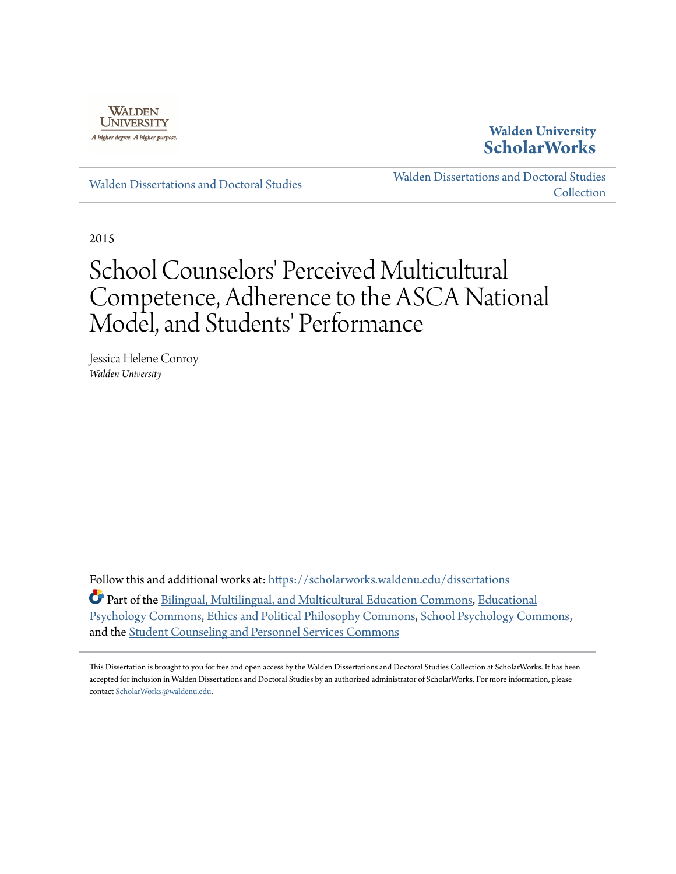

## **Walden University [ScholarWorks](https://scholarworks.waldenu.edu?utm_source=scholarworks.waldenu.edu%2Fdissertations%2F1338&utm_medium=PDF&utm_campaign=PDFCoverPages)**

[Walden Dissertations and Doctoral Studies](https://scholarworks.waldenu.edu/dissertations?utm_source=scholarworks.waldenu.edu%2Fdissertations%2F1338&utm_medium=PDF&utm_campaign=PDFCoverPages)

[Walden Dissertations and Doctoral Studies](https://scholarworks.waldenu.edu/dissanddoc?utm_source=scholarworks.waldenu.edu%2Fdissertations%2F1338&utm_medium=PDF&utm_campaign=PDFCoverPages) [Collection](https://scholarworks.waldenu.edu/dissanddoc?utm_source=scholarworks.waldenu.edu%2Fdissertations%2F1338&utm_medium=PDF&utm_campaign=PDFCoverPages)

2015

# School Counselors' Perceived Multicultural Competence, Adherence to the ASCA National Model, and Students' Performance

Jessica Helene Conroy *Walden University*

Follow this and additional works at: [https://scholarworks.waldenu.edu/dissertations](https://scholarworks.waldenu.edu/dissertations?utm_source=scholarworks.waldenu.edu%2Fdissertations%2F1338&utm_medium=PDF&utm_campaign=PDFCoverPages)

Part of the [Bilingual, Multilingual, and Multicultural Education Commons](http://network.bepress.com/hgg/discipline/785?utm_source=scholarworks.waldenu.edu%2Fdissertations%2F1338&utm_medium=PDF&utm_campaign=PDFCoverPages), [Educational](http://network.bepress.com/hgg/discipline/798?utm_source=scholarworks.waldenu.edu%2Fdissertations%2F1338&utm_medium=PDF&utm_campaign=PDFCoverPages) [Psychology Commons,](http://network.bepress.com/hgg/discipline/798?utm_source=scholarworks.waldenu.edu%2Fdissertations%2F1338&utm_medium=PDF&utm_campaign=PDFCoverPages) [Ethics and Political Philosophy Commons](http://network.bepress.com/hgg/discipline/529?utm_source=scholarworks.waldenu.edu%2Fdissertations%2F1338&utm_medium=PDF&utm_campaign=PDFCoverPages), [School Psychology Commons](http://network.bepress.com/hgg/discipline/1072?utm_source=scholarworks.waldenu.edu%2Fdissertations%2F1338&utm_medium=PDF&utm_campaign=PDFCoverPages), and the [Student Counseling and Personnel Services Commons](http://network.bepress.com/hgg/discipline/802?utm_source=scholarworks.waldenu.edu%2Fdissertations%2F1338&utm_medium=PDF&utm_campaign=PDFCoverPages)

This Dissertation is brought to you for free and open access by the Walden Dissertations and Doctoral Studies Collection at ScholarWorks. It has been accepted for inclusion in Walden Dissertations and Doctoral Studies by an authorized administrator of ScholarWorks. For more information, please contact [ScholarWorks@waldenu.edu](mailto:ScholarWorks@waldenu.edu).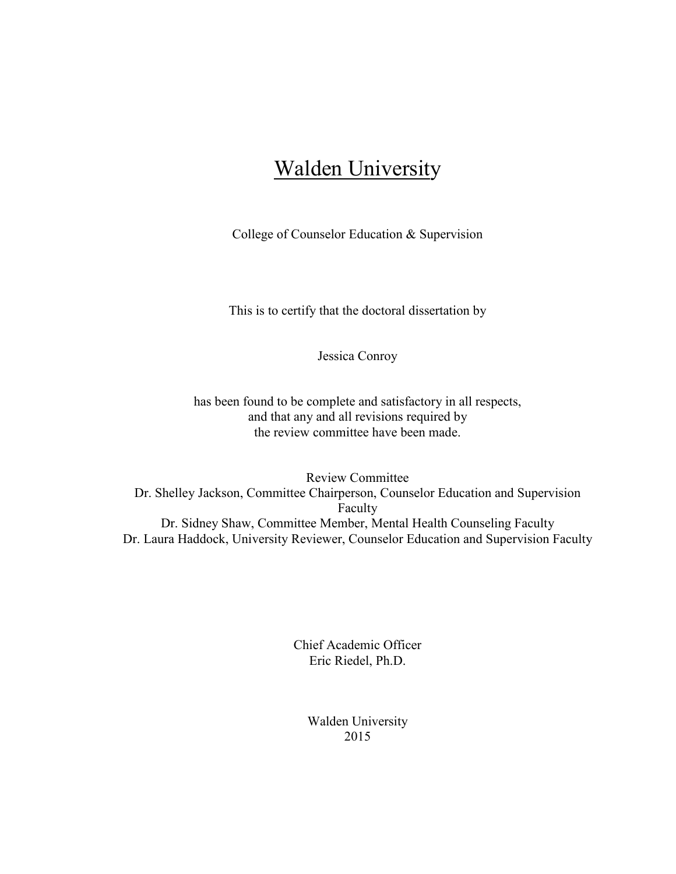## **Walden University**

College of Counselor Education & Supervision

This is to certify that the doctoral dissertation by

Jessica Conroy

has been found to be complete and satisfactory in all respects, and that any and all revisions required by the review committee have been made.

Review Committee Dr. Shelley Jackson, Committee Chairperson, Counselor Education and Supervision Faculty Dr. Sidney Shaw, Committee Member, Mental Health Counseling Faculty Dr. Laura Haddock, University Reviewer, Counselor Education and Supervision Faculty

> Chief Academic Officer Eric Riedel, Ph.D.

> > Walden University 2015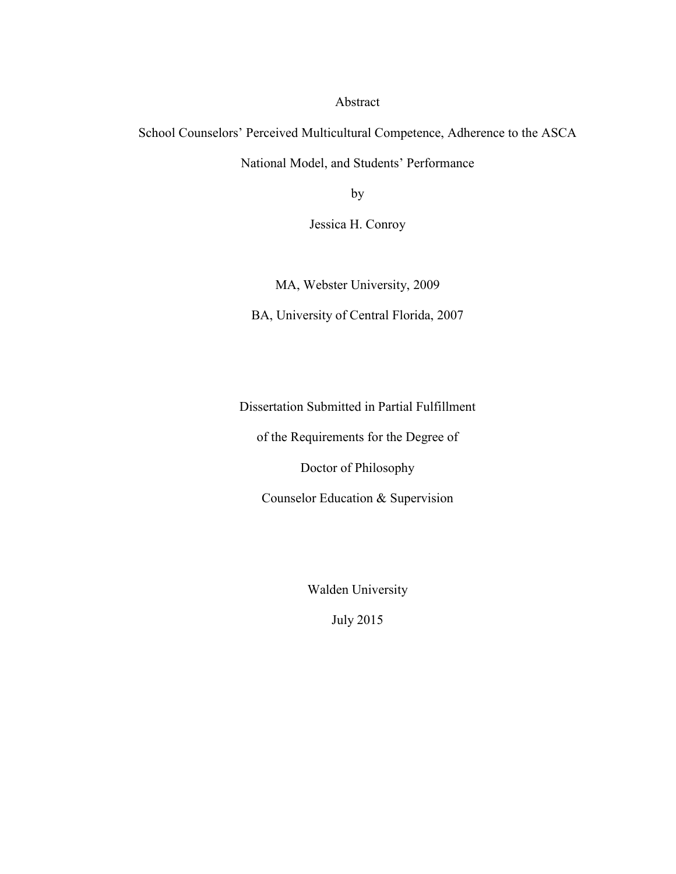Abstract

School Counselors' Perceived Multicultural Competence, Adherence to the ASCA National Model, and Students' Performance

by

Jessica H. Conroy

MA, Webster University, 2009

BA, University of Central Florida, 2007

Dissertation Submitted in Partial Fulfillment

of the Requirements for the Degree of

Doctor of Philosophy

Counselor Education & Supervision

Walden University

July 2015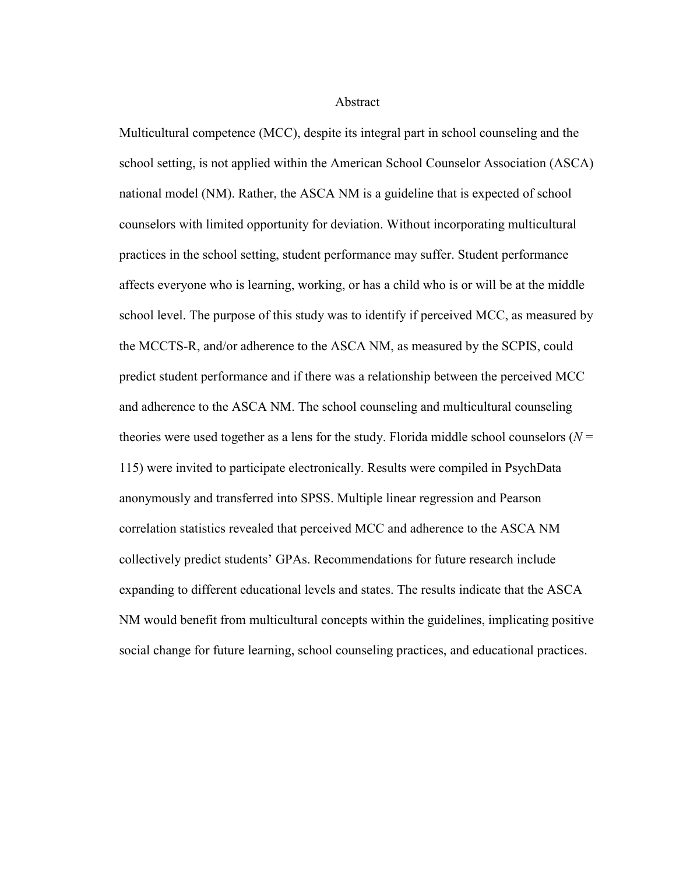Abstract

Multicultural competence (MCC), despite its integral part in school counseling and the school setting, is not applied within the American School Counselor Association (ASCA) national model (NM). Rather, the ASCA NM is a guideline that is expected of school counselors with limited opportunity for deviation. Without incorporating multicultural practices in the school setting, student performance may suffer. Student performance affects everyone who is learning, working, or has a child who is or will be at the middle school level. The purpose of this study was to identify if perceived MCC, as measured by the MCCTS-R, and/or adherence to the ASCA NM, as measured by the SCPIS, could predict student performance and if there was a relationship between the perceived MCC and adherence to the ASCA NM. The school counseling and multicultural counseling theories were used together as a lens for the study. Florida middle school counselors ( $N =$ 115) were invited to participate electronically. Results were compiled in PsychData anonymously and transferred into SPSS. Multiple linear regression and Pearson correlation statistics revealed that perceived MCC and adherence to the ASCA NM collectively predict students' GPAs. Recommendations for future research include expanding to different educational levels and states. The results indicate that the ASCA NM would benefit from multicultural concepts within the guidelines, implicating positive social change for future learning, school counseling practices, and educational practices.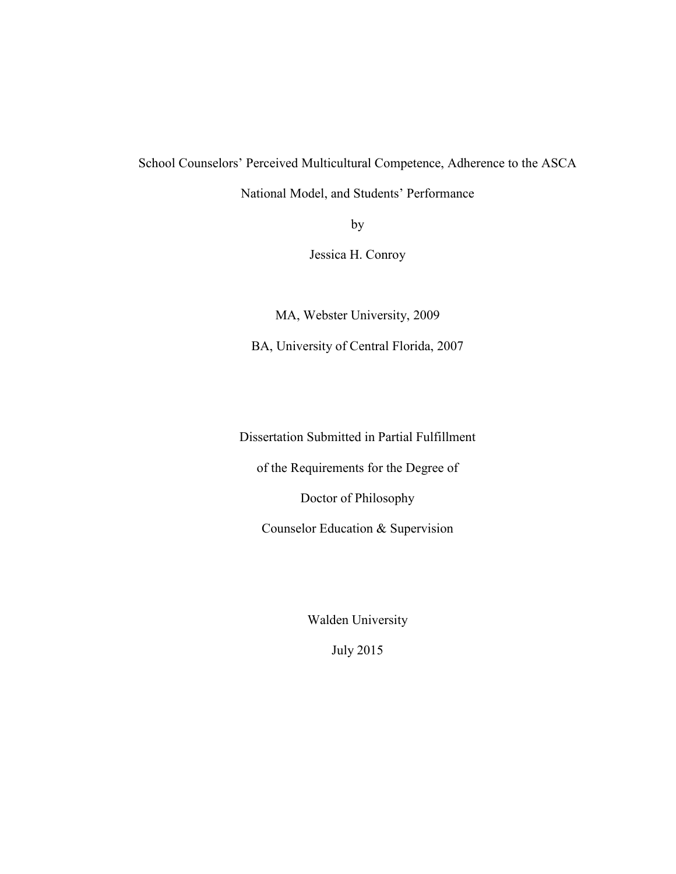School Counselors' Perceived Multicultural Competence, Adherence to the ASCA

National Model, and Students' Performance

by

Jessica H. Conroy

MA, Webster University, 2009

BA, University of Central Florida, 2007

Dissertation Submitted in Partial Fulfillment

of the Requirements for the Degree of

Doctor of Philosophy

Counselor Education & Supervision

Walden University

July 2015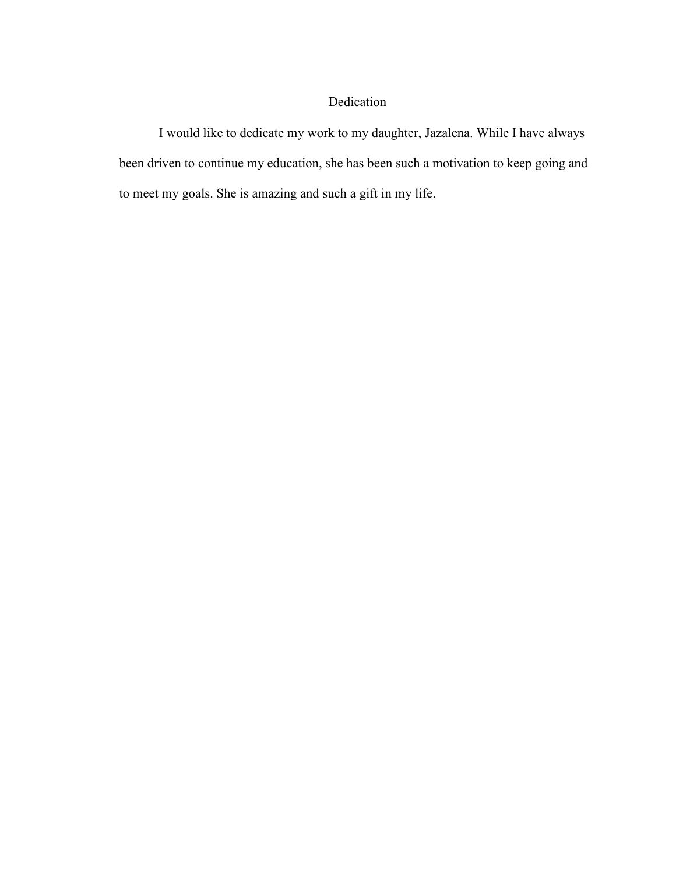### Dedication

I would like to dedicate my work to my daughter, Jazalena. While I have always been driven to continue my education, she has been such a motivation to keep going and to meet my goals. She is amazing and such a gift in my life.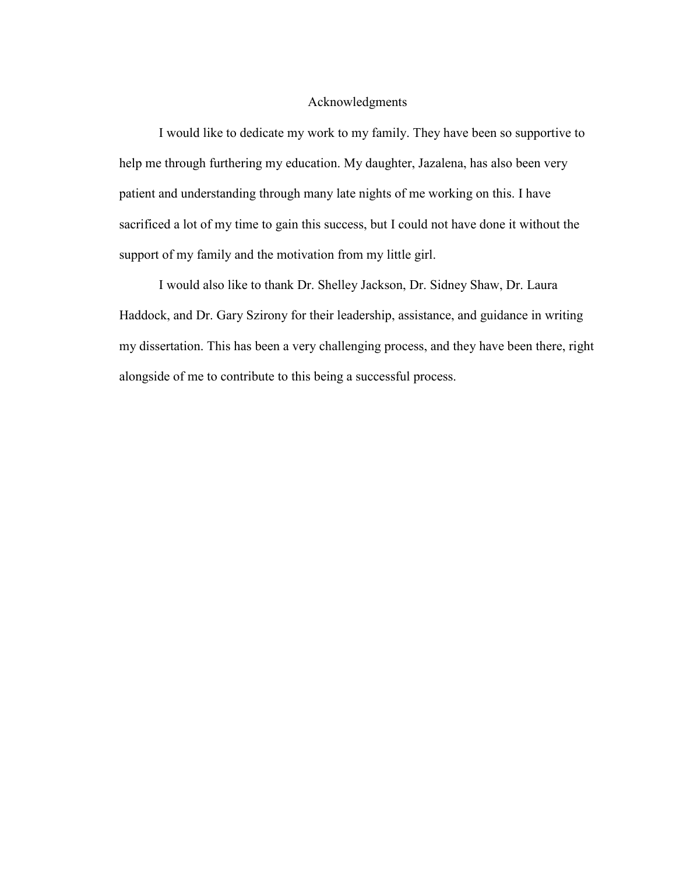#### Acknowledgments

I would like to dedicate my work to my family. They have been so supportive to help me through furthering my education. My daughter, Jazalena, has also been very patient and understanding through many late nights of me working on this. I have sacrificed a lot of my time to gain this success, but I could not have done it without the support of my family and the motivation from my little girl.

I would also like to thank Dr. Shelley Jackson, Dr. Sidney Shaw, Dr. Laura Haddock, and Dr. Gary Szirony for their leadership, assistance, and guidance in writing my dissertation. This has been a very challenging process, and they have been there, right alongside of me to contribute to this being a successful process.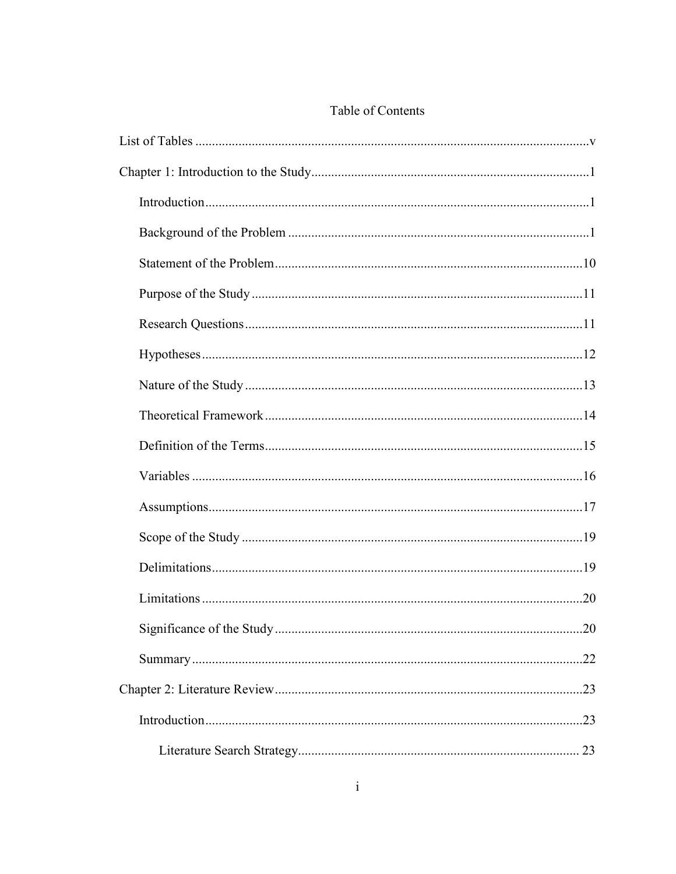## Table of Contents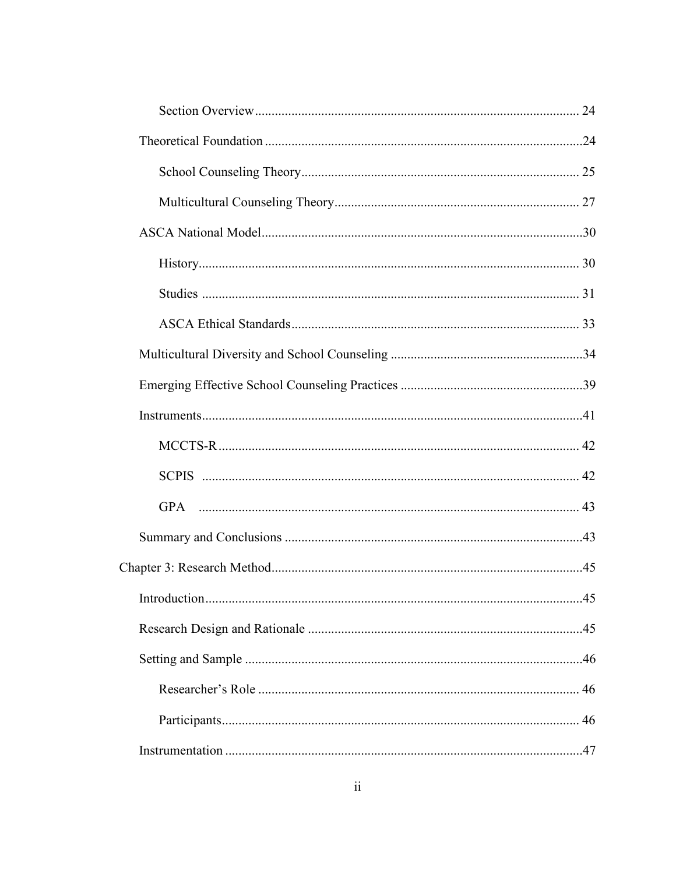| .45 |
|-----|
|     |
|     |
|     |
|     |
|     |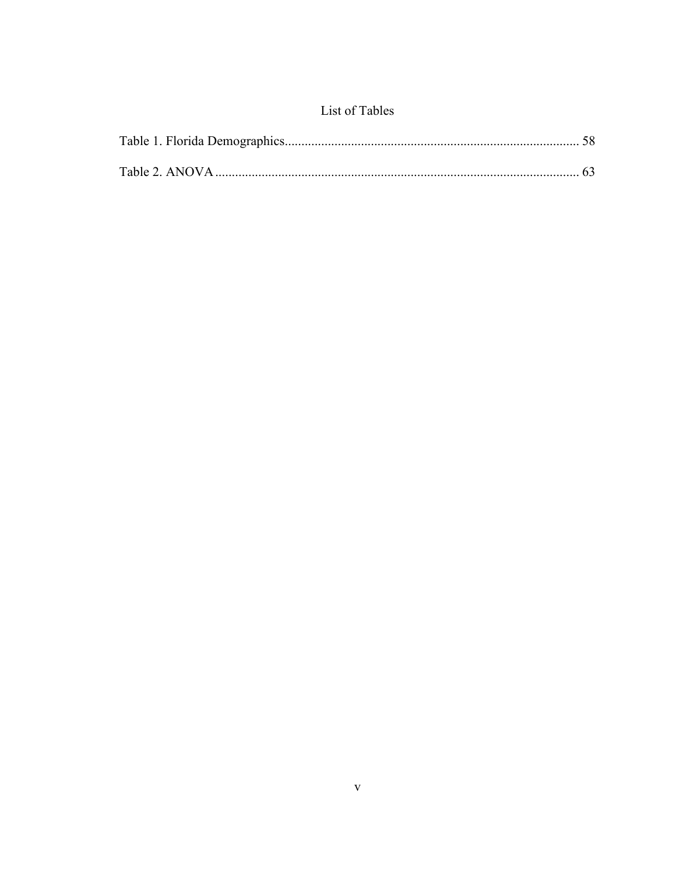## List of Tables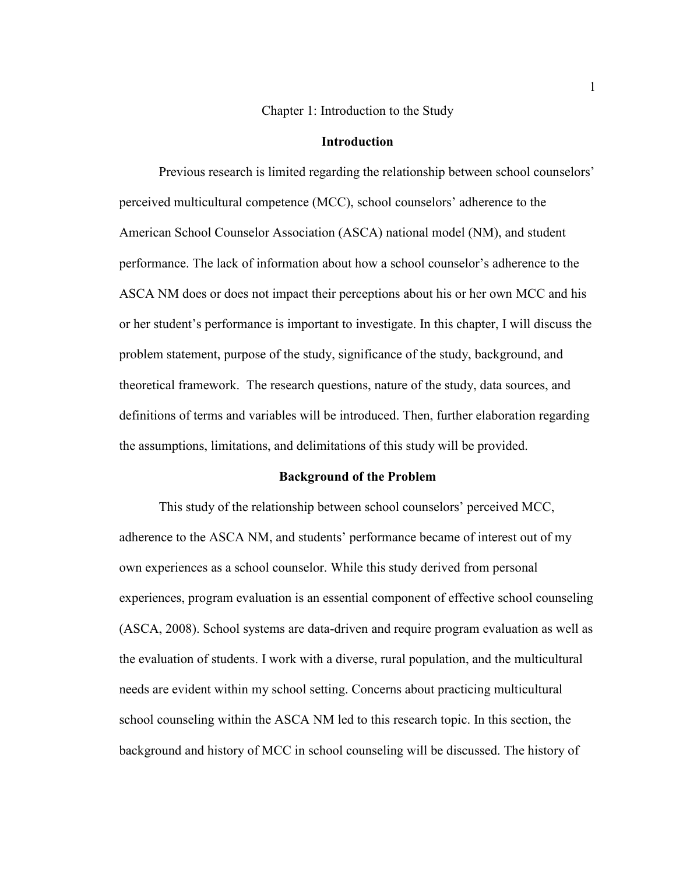Chapter 1: Introduction to the Study

#### **Introduction**

Previous research is limited regarding the relationship between school counselors' perceived multicultural competence (MCC), school counselors' adherence to the American School Counselor Association (ASCA) national model (NM), and student performance. The lack of information about how a school counselor's adherence to the ASCA NM does or does not impact their perceptions about his or her own MCC and his or her student's performance is important to investigate. In this chapter, I will discuss the problem statement, purpose of the study, significance of the study, background, and theoretical framework. The research questions, nature of the study, data sources, and definitions of terms and variables will be introduced. Then, further elaboration regarding the assumptions, limitations, and delimitations of this study will be provided.

#### **Background of the Problem**

This study of the relationship between school counselors' perceived MCC, adherence to the ASCA NM, and students' performance became of interest out of my own experiences as a school counselor. While this study derived from personal experiences, program evaluation is an essential component of effective school counseling (ASCA, 2008). School systems are data-driven and require program evaluation as well as the evaluation of students. I work with a diverse, rural population, and the multicultural needs are evident within my school setting. Concerns about practicing multicultural school counseling within the ASCA NM led to this research topic. In this section, the background and history of MCC in school counseling will be discussed. The history of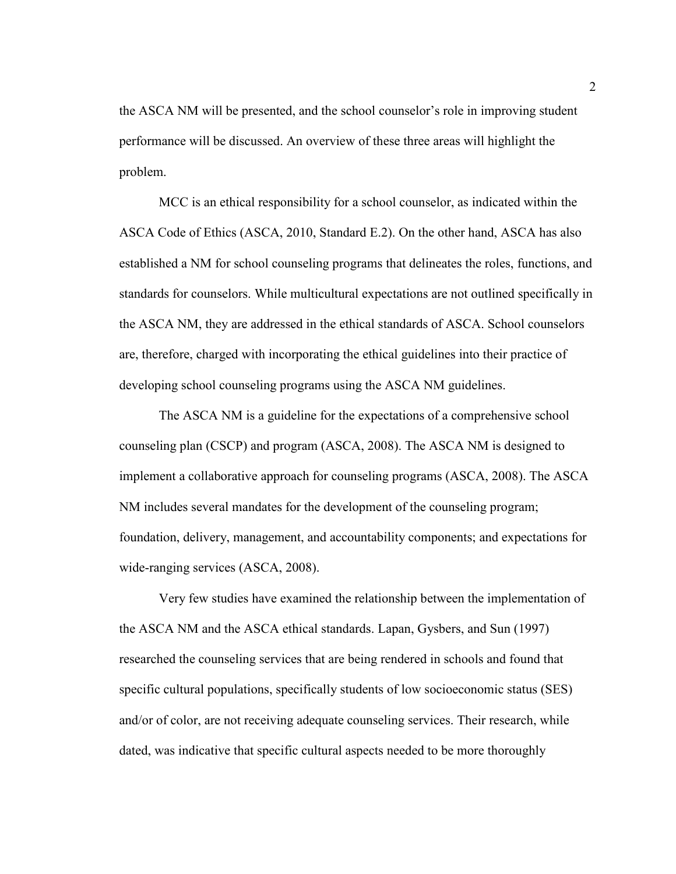the ASCA NM will be presented, and the school counselor's role in improving student performance will be discussed. An overview of these three areas will highlight the problem.

MCC is an ethical responsibility for a school counselor, as indicated within the ASCA Code of Ethics (ASCA, 2010, Standard E.2). On the other hand, ASCA has also established a NM for school counseling programs that delineates the roles, functions, and standards for counselors. While multicultural expectations are not outlined specifically in the ASCA NM, they are addressed in the ethical standards of ASCA. School counselors are, therefore, charged with incorporating the ethical guidelines into their practice of developing school counseling programs using the ASCA NM guidelines.

The ASCA NM is a guideline for the expectations of a comprehensive school counseling plan (CSCP) and program (ASCA, 2008). The ASCA NM is designed to implement a collaborative approach for counseling programs (ASCA, 2008). The ASCA NM includes several mandates for the development of the counseling program; foundation, delivery, management, and accountability components; and expectations for wide-ranging services (ASCA, 2008).

Very few studies have examined the relationship between the implementation of the ASCA NM and the ASCA ethical standards. Lapan, Gysbers, and Sun (1997) researched the counseling services that are being rendered in schools and found that specific cultural populations, specifically students of low socioeconomic status (SES) and/or of color, are not receiving adequate counseling services. Their research, while dated, was indicative that specific cultural aspects needed to be more thoroughly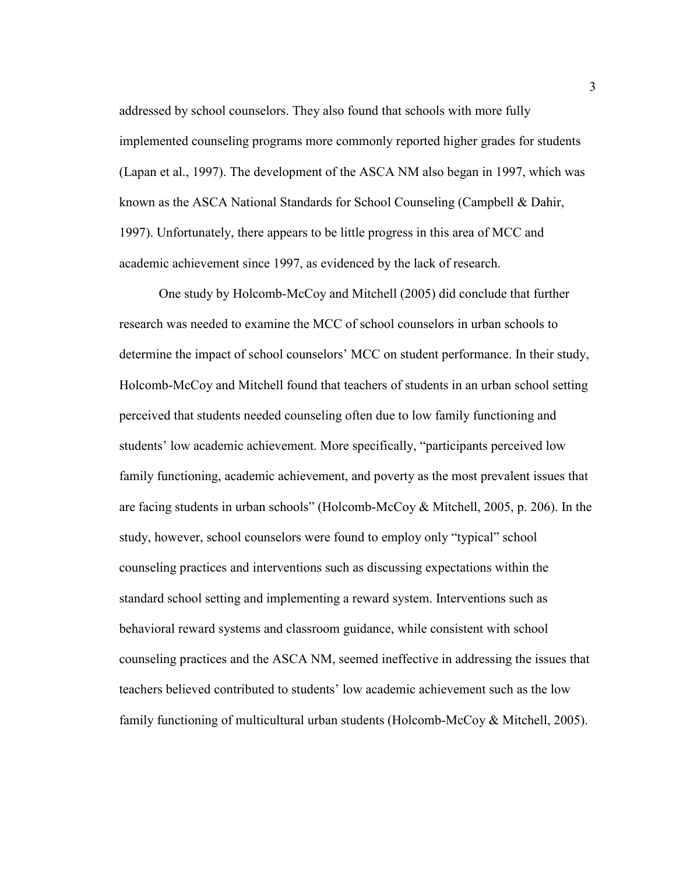addressed by school counselors. They also found that schools with more fully implemented counseling programs more commonly reported higher grades for students (Lapan et al., 1997). The development of the ASCA NM also began in 1997, which was known as the ASCA National Standards for School Counseling (Campbell & Dahir, 1997). Unfortunately, there appears to be little progress in this area of MCC and academic achievement since 1997, as evidenced by the lack of research.

One study by Holcomb-McCoy and Mitchell (2005) did conclude that further research was needed to examine the MCC of school counselors in urban schools to determine the impact of school counselors' MCC on student performance. In their study, Holcomb-McCoy and Mitchell found that teachers of students in an urban school setting perceived that students needed counseling often due to low family functioning and students' low academic achievement. More specifically, "participants perceived low family functioning, academic achievement, and poverty as the most prevalent issues that are facing students in urban schools" (Holcomb-McCoy & Mitchell, 2005, p. 206). In the study, however, school counselors were found to employ only "typical" school counseling practices and interventions such as discussing expectations within the standard school setting and implementing a reward system. Interventions such as behavioral reward systems and classroom guidance, while consistent with school counseling practices and the ASCA NM, seemed ineffective in addressing the issues that teachers believed contributed to students' low academic achievement such as the low family functioning of multicultural urban students (Holcomb-McCoy & Mitchell, 2005).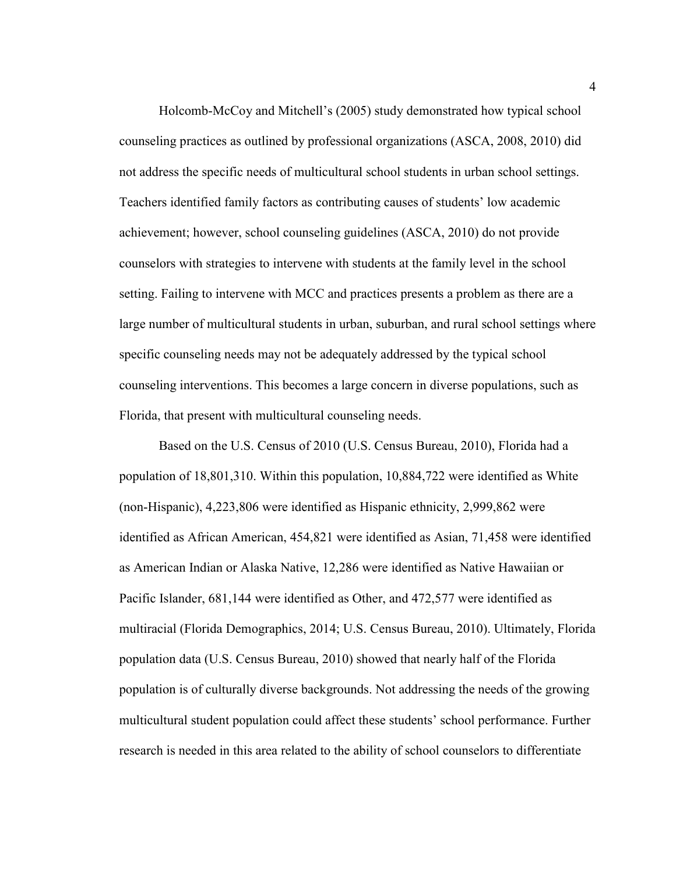Holcomb-McCoy and Mitchell's (2005) study demonstrated how typical school counseling practices as outlined by professional organizations (ASCA, 2008, 2010) did not address the specific needs of multicultural school students in urban school settings. Teachers identified family factors as contributing causes of students' low academic achievement; however, school counseling guidelines (ASCA, 2010) do not provide counselors with strategies to intervene with students at the family level in the school setting. Failing to intervene with MCC and practices presents a problem as there are a large number of multicultural students in urban, suburban, and rural school settings where specific counseling needs may not be adequately addressed by the typical school counseling interventions. This becomes a large concern in diverse populations, such as Florida, that present with multicultural counseling needs.

Based on the U.S. Census of 2010 (U.S. Census Bureau, 2010), Florida had a population of 18,801,310. Within this population, 10,884,722 were identified as White (non-Hispanic), 4,223,806 were identified as Hispanic ethnicity, 2,999,862 were identified as African American, 454,821 were identified as Asian, 71,458 were identified as American Indian or Alaska Native, 12,286 were identified as Native Hawaiian or Pacific Islander, 681,144 were identified as Other, and 472,577 were identified as multiracial (Florida Demographics, 2014; U.S. Census Bureau, 2010). Ultimately, Florida population data (U.S. Census Bureau, 2010) showed that nearly half of the Florida population is of culturally diverse backgrounds. Not addressing the needs of the growing multicultural student population could affect these students' school performance. Further research is needed in this area related to the ability of school counselors to differentiate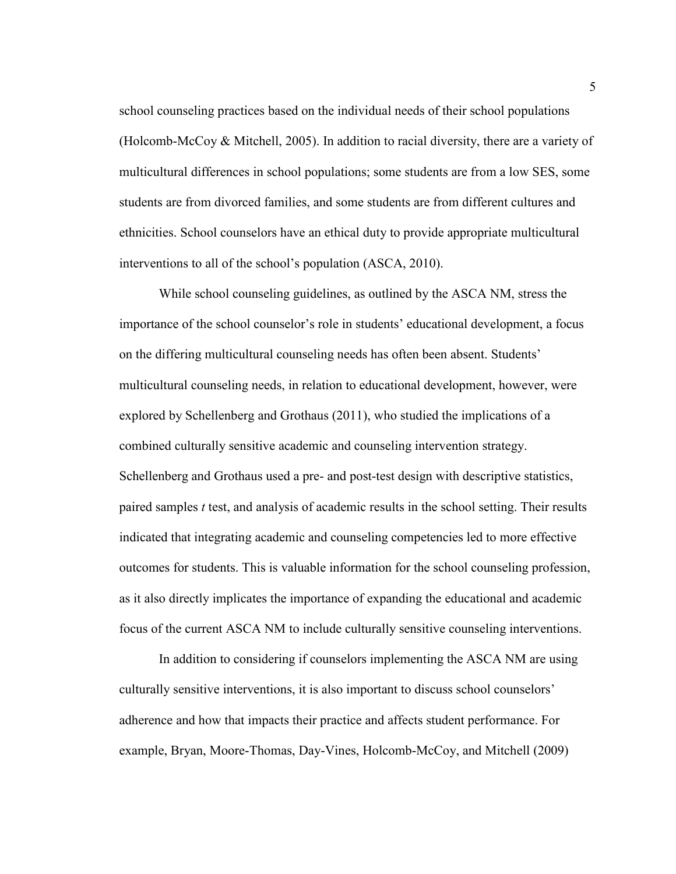school counseling practices based on the individual needs of their school populations (Holcomb-McCoy & Mitchell, 2005). In addition to racial diversity, there are a variety of multicultural differences in school populations; some students are from a low SES, some students are from divorced families, and some students are from different cultures and ethnicities. School counselors have an ethical duty to provide appropriate multicultural interventions to all of the school's population (ASCA, 2010).

While school counseling guidelines, as outlined by the ASCA NM, stress the importance of the school counselor's role in students' educational development, a focus on the differing multicultural counseling needs has often been absent. Students' multicultural counseling needs, in relation to educational development, however, were explored by Schellenberg and Grothaus (2011), who studied the implications of a combined culturally sensitive academic and counseling intervention strategy. Schellenberg and Grothaus used a pre- and post-test design with descriptive statistics, paired samples *t* test, and analysis of academic results in the school setting. Their results indicated that integrating academic and counseling competencies led to more effective outcomes for students. This is valuable information for the school counseling profession, as it also directly implicates the importance of expanding the educational and academic focus of the current ASCA NM to include culturally sensitive counseling interventions.

In addition to considering if counselors implementing the ASCA NM are using culturally sensitive interventions, it is also important to discuss school counselors' adherence and how that impacts their practice and affects student performance. For example, Bryan, Moore-Thomas, Day-Vines, Holcomb-McCoy, and Mitchell (2009)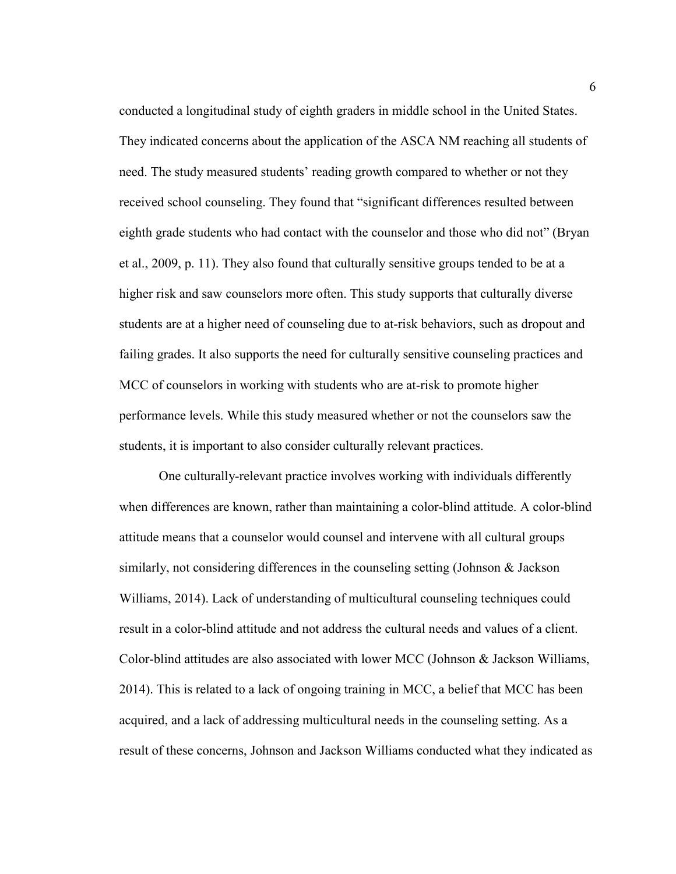conducted a longitudinal study of eighth graders in middle school in the United States. They indicated concerns about the application of the ASCA NM reaching all students of need. The study measured students' reading growth compared to whether or not they received school counseling. They found that "significant differences resulted between eighth grade students who had contact with the counselor and those who did not" (Bryan et al., 2009, p. 11). They also found that culturally sensitive groups tended to be at a higher risk and saw counselors more often. This study supports that culturally diverse students are at a higher need of counseling due to at-risk behaviors, such as dropout and failing grades. It also supports the need for culturally sensitive counseling practices and MCC of counselors in working with students who are at-risk to promote higher performance levels. While this study measured whether or not the counselors saw the students, it is important to also consider culturally relevant practices.

One culturally-relevant practice involves working with individuals differently when differences are known, rather than maintaining a color-blind attitude. A color-blind attitude means that a counselor would counsel and intervene with all cultural groups similarly, not considering differences in the counseling setting (Johnson & Jackson Williams, 2014). Lack of understanding of multicultural counseling techniques could result in a color-blind attitude and not address the cultural needs and values of a client. Color-blind attitudes are also associated with lower MCC (Johnson & Jackson Williams, 2014). This is related to a lack of ongoing training in MCC, a belief that MCC has been acquired, and a lack of addressing multicultural needs in the counseling setting. As a result of these concerns, Johnson and Jackson Williams conducted what they indicated as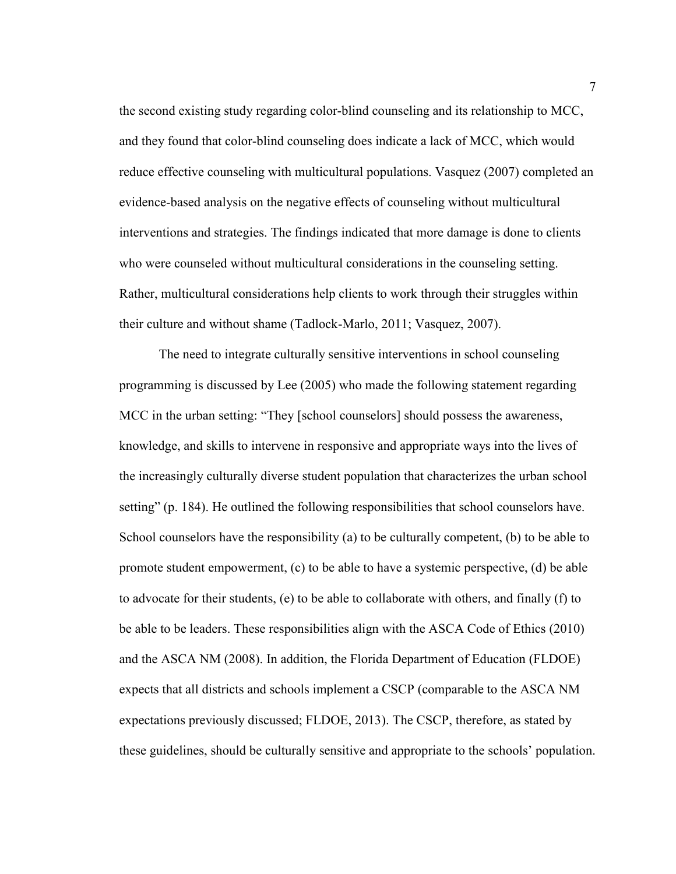the second existing study regarding color-blind counseling and its relationship to MCC, and they found that color-blind counseling does indicate a lack of MCC, which would reduce effective counseling with multicultural populations. Vasquez (2007) completed an evidence-based analysis on the negative effects of counseling without multicultural interventions and strategies. The findings indicated that more damage is done to clients who were counseled without multicultural considerations in the counseling setting. Rather, multicultural considerations help clients to work through their struggles within their culture and without shame (Tadlock-Marlo, 2011; Vasquez, 2007).

The need to integrate culturally sensitive interventions in school counseling programming is discussed by Lee (2005) who made the following statement regarding MCC in the urban setting: "They [school counselors] should possess the awareness, knowledge, and skills to intervene in responsive and appropriate ways into the lives of the increasingly culturally diverse student population that characterizes the urban school setting" (p. 184). He outlined the following responsibilities that school counselors have. School counselors have the responsibility (a) to be culturally competent, (b) to be able to promote student empowerment, (c) to be able to have a systemic perspective, (d) be able to advocate for their students, (e) to be able to collaborate with others, and finally (f) to be able to be leaders. These responsibilities align with the ASCA Code of Ethics (2010) and the ASCA NM (2008). In addition, the Florida Department of Education (FLDOE) expects that all districts and schools implement a CSCP (comparable to the ASCA NM expectations previously discussed; FLDOE, 2013). The CSCP, therefore, as stated by these guidelines, should be culturally sensitive and appropriate to the schools' population.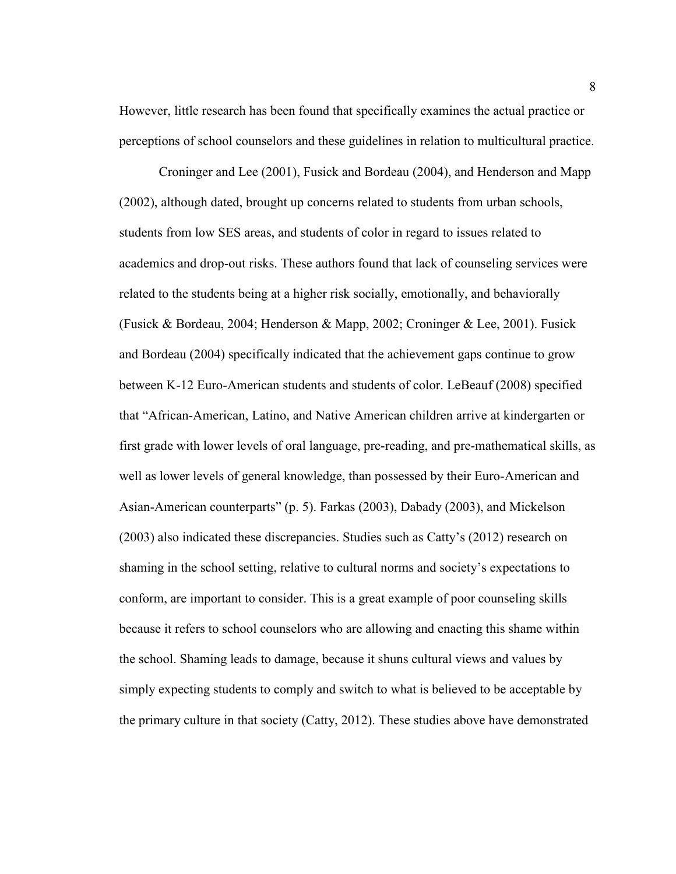However, little research has been found that specifically examines the actual practice or perceptions of school counselors and these guidelines in relation to multicultural practice.

Croninger and Lee (2001), Fusick and Bordeau (2004), and Henderson and Mapp (2002), although dated, brought up concerns related to students from urban schools, students from low SES areas, and students of color in regard to issues related to academics and drop-out risks. These authors found that lack of counseling services were related to the students being at a higher risk socially, emotionally, and behaviorally (Fusick & Bordeau, 2004; Henderson & Mapp, 2002; Croninger & Lee, 2001). Fusick and Bordeau (2004) specifically indicated that the achievement gaps continue to grow between K-12 Euro-American students and students of color. LeBeauf (2008) specified that "African-American, Latino, and Native American children arrive at kindergarten or first grade with lower levels of oral language, pre-reading, and pre-mathematical skills, as well as lower levels of general knowledge, than possessed by their Euro-American and Asian-American counterparts" (p. 5). Farkas (2003), Dabady (2003), and Mickelson (2003) also indicated these discrepancies. Studies such as Catty's (2012) research on shaming in the school setting, relative to cultural norms and society's expectations to conform, are important to consider. This is a great example of poor counseling skills because it refers to school counselors who are allowing and enacting this shame within the school. Shaming leads to damage, because it shuns cultural views and values by simply expecting students to comply and switch to what is believed to be acceptable by the primary culture in that society (Catty, 2012). These studies above have demonstrated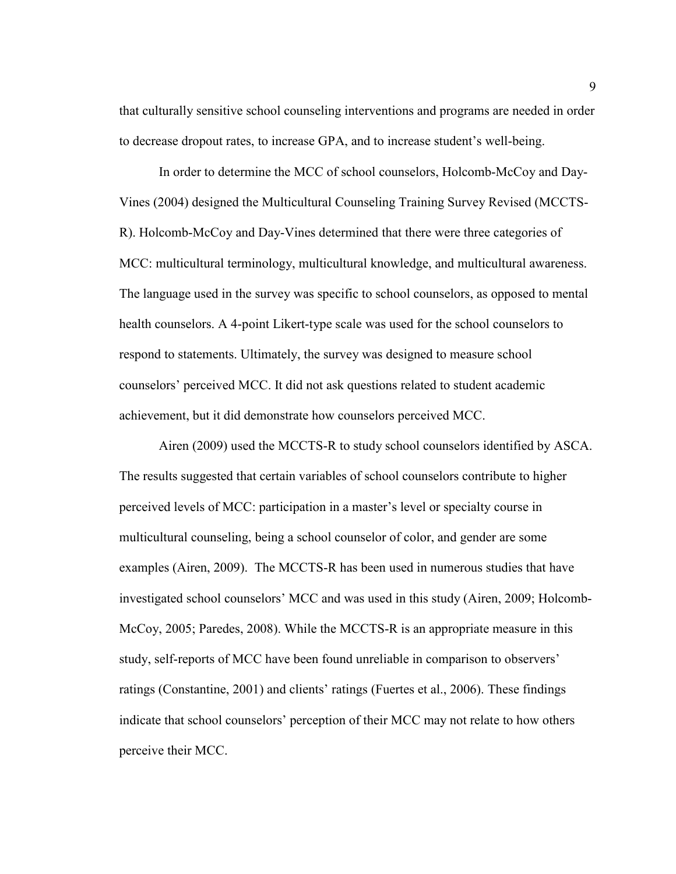that culturally sensitive school counseling interventions and programs are needed in order to decrease dropout rates, to increase GPA, and to increase student's well-being.

In order to determine the MCC of school counselors, Holcomb-McCoy and Day-Vines (2004) designed the Multicultural Counseling Training Survey Revised (MCCTS-R). Holcomb-McCoy and Day-Vines determined that there were three categories of MCC: multicultural terminology, multicultural knowledge, and multicultural awareness. The language used in the survey was specific to school counselors, as opposed to mental health counselors. A 4-point Likert-type scale was used for the school counselors to respond to statements. Ultimately, the survey was designed to measure school counselors' perceived MCC. It did not ask questions related to student academic achievement, but it did demonstrate how counselors perceived MCC.

Airen (2009) used the MCCTS-R to study school counselors identified by ASCA. The results suggested that certain variables of school counselors contribute to higher perceived levels of MCC: participation in a master's level or specialty course in multicultural counseling, being a school counselor of color, and gender are some examples (Airen, 2009). The MCCTS-R has been used in numerous studies that have investigated school counselors' MCC and was used in this study (Airen, 2009; Holcomb-McCoy, 2005; Paredes, 2008). While the MCCTS-R is an appropriate measure in this study, self-reports of MCC have been found unreliable in comparison to observers' ratings (Constantine, 2001) and clients' ratings (Fuertes et al., 2006). These findings indicate that school counselors' perception of their MCC may not relate to how others perceive their MCC.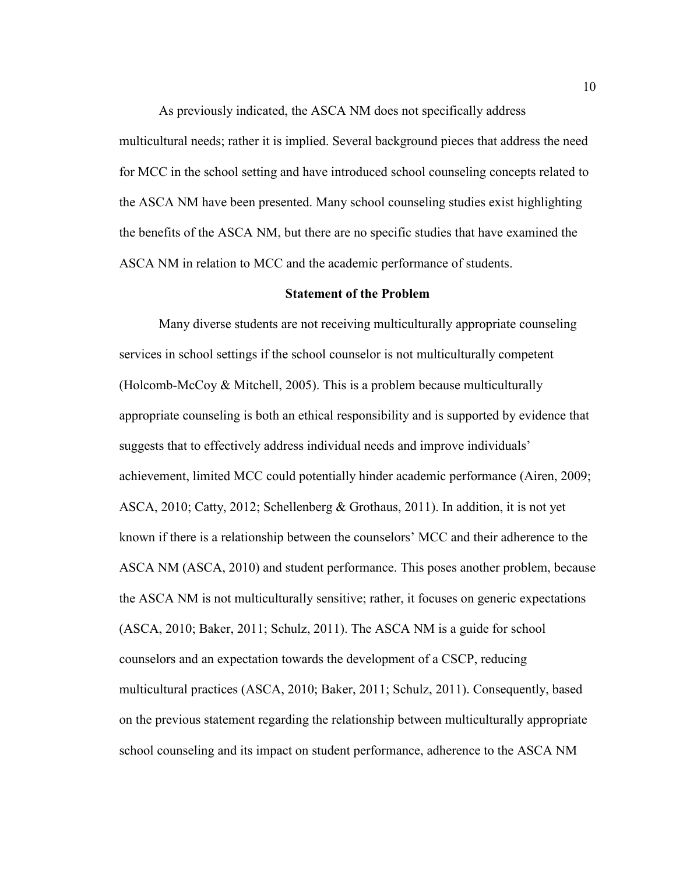As previously indicated, the ASCA NM does not specifically address multicultural needs; rather it is implied. Several background pieces that address the need for MCC in the school setting and have introduced school counseling concepts related to the ASCA NM have been presented. Many school counseling studies exist highlighting the benefits of the ASCA NM, but there are no specific studies that have examined the ASCA NM in relation to MCC and the academic performance of students.

#### **Statement of the Problem**

Many diverse students are not receiving multiculturally appropriate counseling services in school settings if the school counselor is not multiculturally competent (Holcomb-McCoy & Mitchell, 2005). This is a problem because multiculturally appropriate counseling is both an ethical responsibility and is supported by evidence that suggests that to effectively address individual needs and improve individuals' achievement, limited MCC could potentially hinder academic performance (Airen, 2009; ASCA, 2010; Catty, 2012; Schellenberg  $\&$  Grothaus, 2011). In addition, it is not yet known if there is a relationship between the counselors' MCC and their adherence to the ASCA NM (ASCA, 2010) and student performance. This poses another problem, because the ASCA NM is not multiculturally sensitive; rather, it focuses on generic expectations (ASCA, 2010; Baker, 2011; Schulz, 2011). The ASCA NM is a guide for school counselors and an expectation towards the development of a CSCP, reducing multicultural practices (ASCA, 2010; Baker, 2011; Schulz, 2011). Consequently, based on the previous statement regarding the relationship between multiculturally appropriate school counseling and its impact on student performance, adherence to the ASCA NM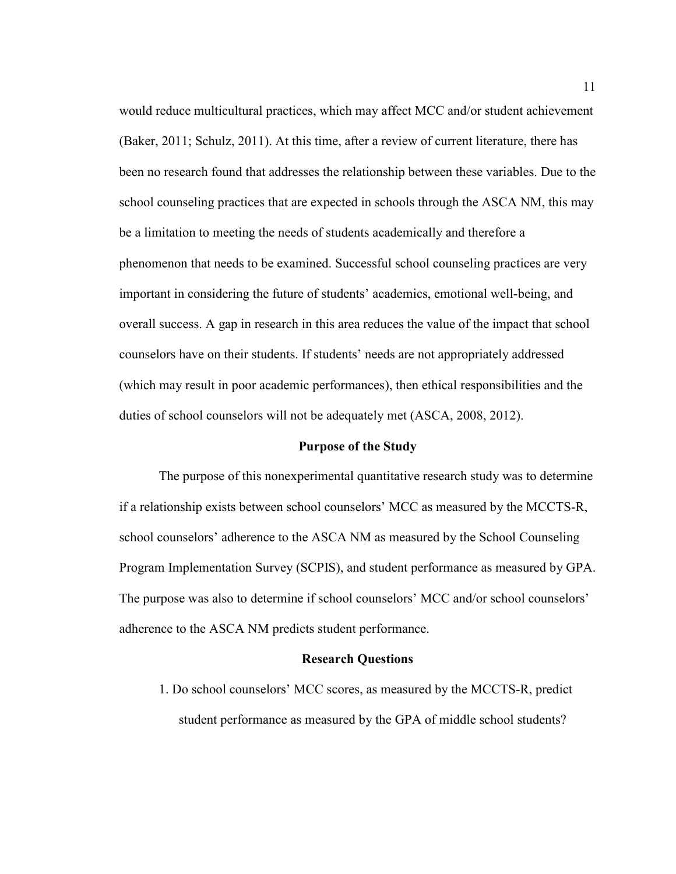would reduce multicultural practices, which may affect MCC and/or student achievement (Baker, 2011; Schulz, 2011). At this time, after a review of current literature, there has been no research found that addresses the relationship between these variables. Due to the school counseling practices that are expected in schools through the ASCA NM, this may be a limitation to meeting the needs of students academically and therefore a phenomenon that needs to be examined. Successful school counseling practices are very important in considering the future of students' academics, emotional well-being, and overall success. A gap in research in this area reduces the value of the impact that school counselors have on their students. If students' needs are not appropriately addressed (which may result in poor academic performances), then ethical responsibilities and the duties of school counselors will not be adequately met (ASCA, 2008, 2012).

#### **Purpose of the Study**

 The purpose of this nonexperimental quantitative research study was to determine if a relationship exists between school counselors' MCC as measured by the MCCTS-R, school counselors' adherence to the ASCA NM as measured by the School Counseling Program Implementation Survey (SCPIS), and student performance as measured by GPA. The purpose was also to determine if school counselors' MCC and/or school counselors' adherence to the ASCA NM predicts student performance.

#### **Research Questions**

1. Do school counselors' MCC scores, as measured by the MCCTS-R, predict student performance as measured by the GPA of middle school students?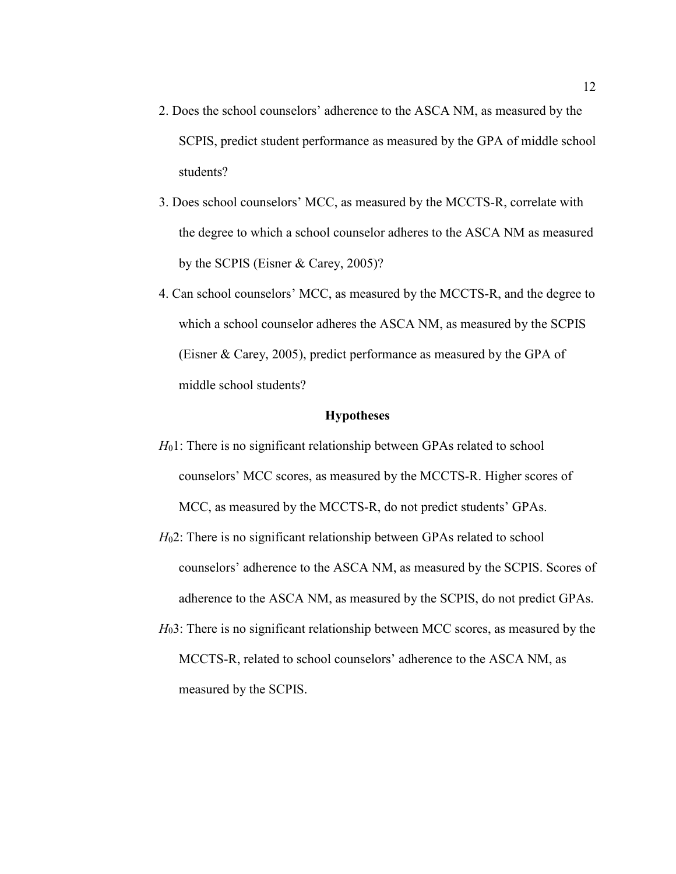- 2. Does the school counselors' adherence to the ASCA NM, as measured by the SCPIS, predict student performance as measured by the GPA of middle school students?
- 3. Does school counselors' MCC, as measured by the MCCTS-R, correlate with the degree to which a school counselor adheres to the ASCA NM as measured by the SCPIS (Eisner & Carey, 2005)?
- 4. Can school counselors' MCC, as measured by the MCCTS-R, and the degree to which a school counselor adheres the ASCA NM, as measured by the SCPIS (Eisner & Carey, 2005), predict performance as measured by the GPA of middle school students?

#### **Hypotheses**

- *H*<sub>0</sub>1: There is no significant relationship between GPAs related to school counselors' MCC scores, as measured by the MCCTS-R. Higher scores of MCC, as measured by the MCCTS-R, do not predict students' GPAs.
- *H*<sub>0</sub>2: There is no significant relationship between GPAs related to school counselors' adherence to the ASCA NM, as measured by the SCPIS. Scores of adherence to the ASCA NM, as measured by the SCPIS, do not predict GPAs.
- *H*<sub>0</sub>3: There is no significant relationship between MCC scores, as measured by the MCCTS-R, related to school counselors' adherence to the ASCA NM, as measured by the SCPIS.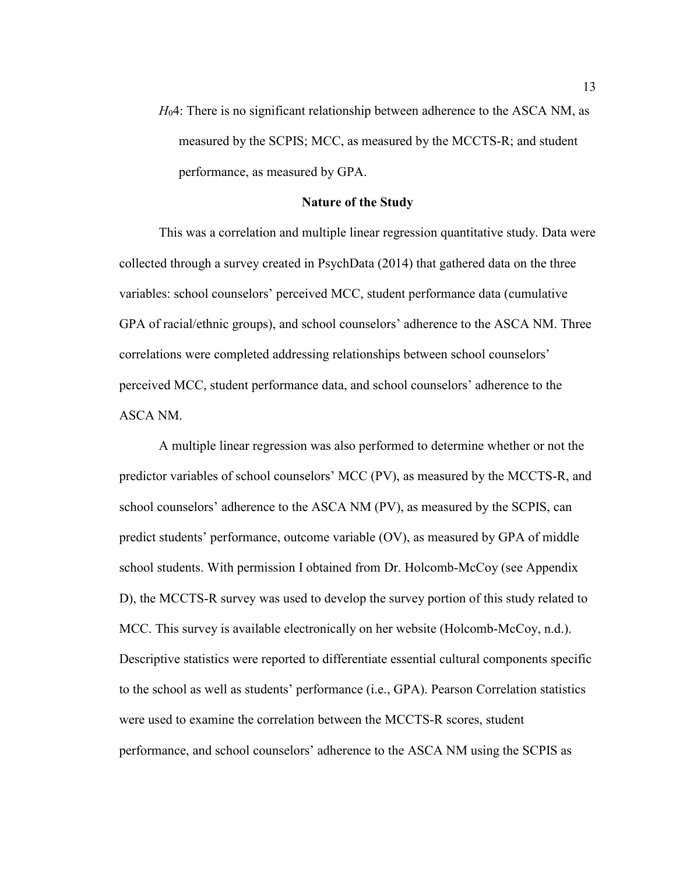*H*04: There is no significant relationship between adherence to the ASCA NM, as measured by the SCPIS; MCC, as measured by the MCCTS-R; and student performance, as measured by GPA.

#### **Nature of the Study**

This was a correlation and multiple linear regression quantitative study. Data were collected through a survey created in PsychData (2014) that gathered data on the three variables: school counselors' perceived MCC, student performance data (cumulative GPA of racial/ethnic groups), and school counselors' adherence to the ASCA NM. Three correlations were completed addressing relationships between school counselors' perceived MCC, student performance data, and school counselors' adherence to the ASCA NM.

A multiple linear regression was also performed to determine whether or not the predictor variables of school counselors' MCC (PV), as measured by the MCCTS-R, and school counselors' adherence to the ASCA NM (PV), as measured by the SCPIS, can predict students' performance, outcome variable (OV), as measured by GPA of middle school students. With permission I obtained from Dr. Holcomb-McCoy (see Appendix D), the MCCTS-R survey was used to develop the survey portion of this study related to MCC. This survey is available electronically on her website (Holcomb-McCoy, n.d.). Descriptive statistics were reported to differentiate essential cultural components specific to the school as well as students' performance (i.e., GPA). Pearson Correlation statistics were used to examine the correlation between the MCCTS-R scores, student performance, and school counselors' adherence to the ASCA NM using the SCPIS as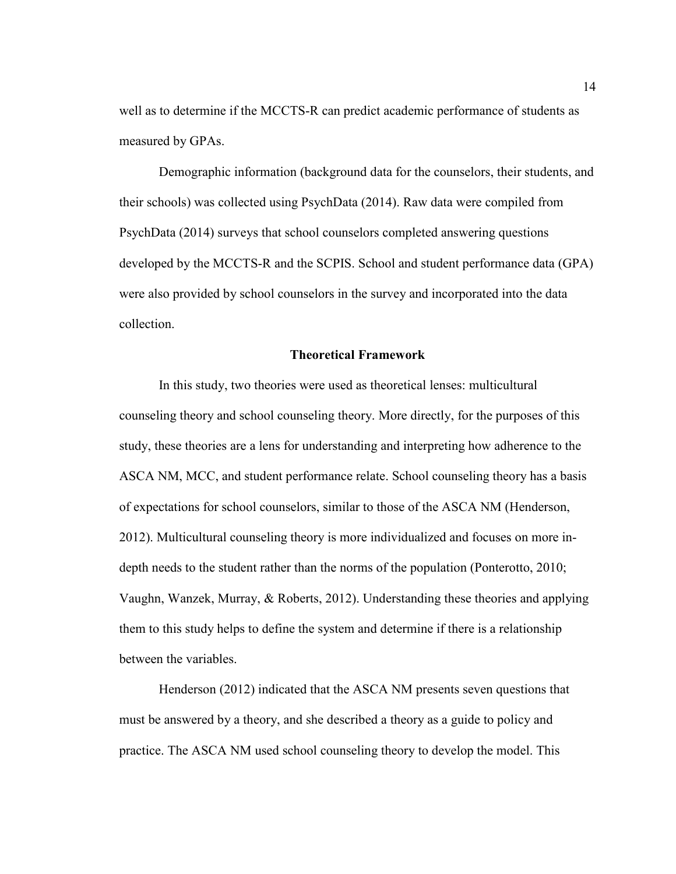well as to determine if the MCCTS-R can predict academic performance of students as measured by GPAs.

Demographic information (background data for the counselors, their students, and their schools) was collected using PsychData (2014). Raw data were compiled from PsychData (2014) surveys that school counselors completed answering questions developed by the MCCTS-R and the SCPIS. School and student performance data (GPA) were also provided by school counselors in the survey and incorporated into the data collection.

#### **Theoretical Framework**

 In this study, two theories were used as theoretical lenses: multicultural counseling theory and school counseling theory. More directly, for the purposes of this study, these theories are a lens for understanding and interpreting how adherence to the ASCA NM, MCC, and student performance relate. School counseling theory has a basis of expectations for school counselors, similar to those of the ASCA NM (Henderson, 2012). Multicultural counseling theory is more individualized and focuses on more indepth needs to the student rather than the norms of the population (Ponterotto, 2010; Vaughn, Wanzek, Murray, & Roberts, 2012). Understanding these theories and applying them to this study helps to define the system and determine if there is a relationship between the variables.

Henderson (2012) indicated that the ASCA NM presents seven questions that must be answered by a theory, and she described a theory as a guide to policy and practice. The ASCA NM used school counseling theory to develop the model. This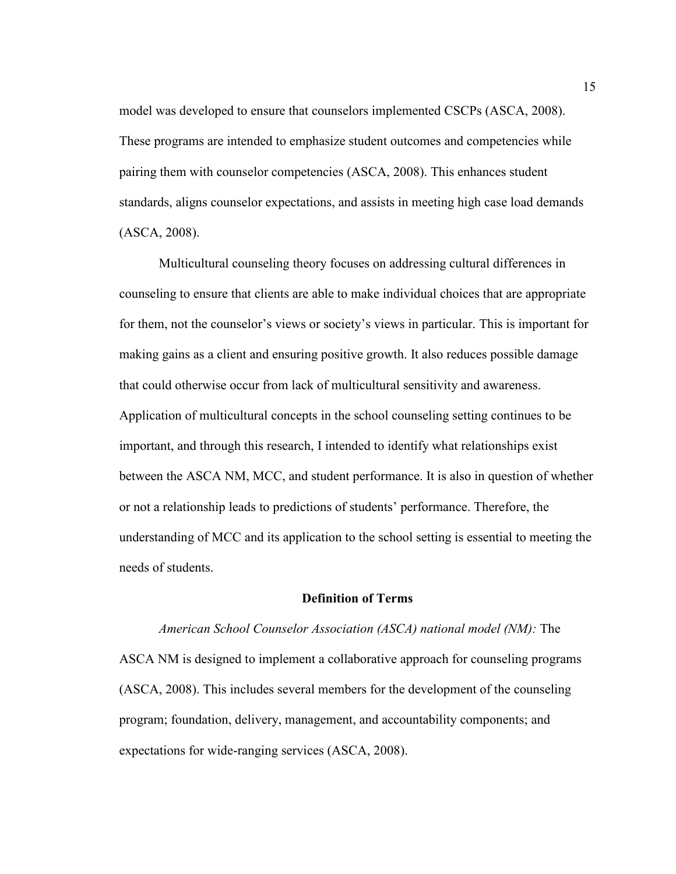model was developed to ensure that counselors implemented CSCPs (ASCA, 2008). These programs are intended to emphasize student outcomes and competencies while pairing them with counselor competencies (ASCA, 2008). This enhances student standards, aligns counselor expectations, and assists in meeting high case load demands (ASCA, 2008).

 Multicultural counseling theory focuses on addressing cultural differences in counseling to ensure that clients are able to make individual choices that are appropriate for them, not the counselor's views or society's views in particular. This is important for making gains as a client and ensuring positive growth. It also reduces possible damage that could otherwise occur from lack of multicultural sensitivity and awareness. Application of multicultural concepts in the school counseling setting continues to be important, and through this research, I intended to identify what relationships exist between the ASCA NM, MCC, and student performance. It is also in question of whether or not a relationship leads to predictions of students' performance. Therefore, the understanding of MCC and its application to the school setting is essential to meeting the needs of students.

#### **Definition of Terms**

#### *American School Counselor Association (ASCA) national model (NM):* The

ASCA NM is designed to implement a collaborative approach for counseling programs (ASCA, 2008). This includes several members for the development of the counseling program; foundation, delivery, management, and accountability components; and expectations for wide-ranging services (ASCA, 2008).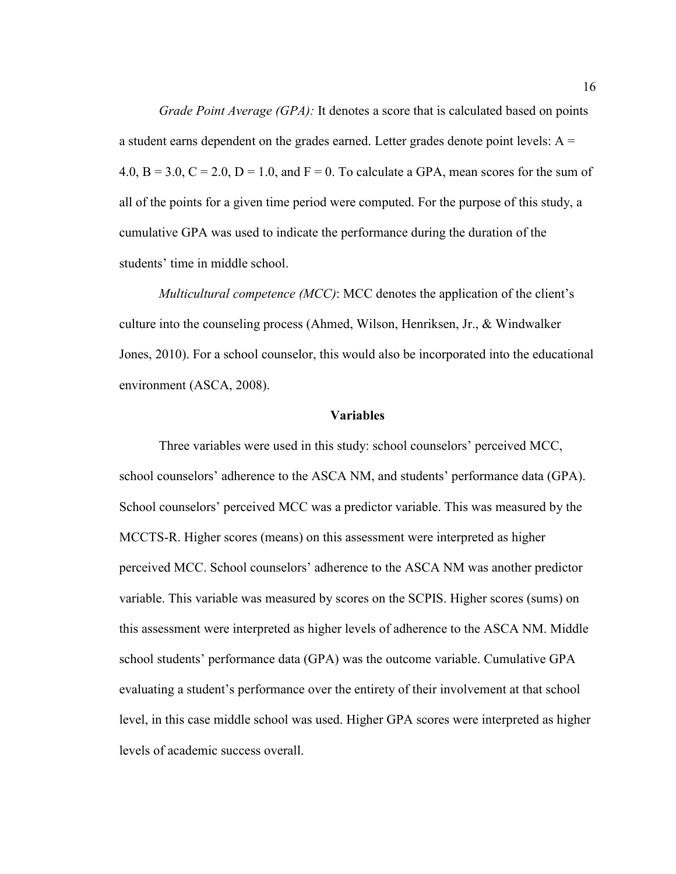*Grade Point Average (GPA):* It denotes a score that is calculated based on points a student earns dependent on the grades earned. Letter grades denote point levels:  $A =$  $4.0, B = 3.0, C = 2.0, D = 1.0, and F = 0$ . To calculate a GPA, mean scores for the sum of all of the points for a given time period were computed. For the purpose of this study, a cumulative GPA was used to indicate the performance during the duration of the students' time in middle school.

*Multicultural competence (MCC)*: MCC denotes the application of the client's culture into the counseling process (Ahmed, Wilson, Henriksen, Jr., & Windwalker Jones, 2010). For a school counselor, this would also be incorporated into the educational environment (ASCA, 2008).

#### **Variables**

Three variables were used in this study: school counselors' perceived MCC, school counselors' adherence to the ASCA NM, and students' performance data (GPA). School counselors' perceived MCC was a predictor variable. This was measured by the MCCTS-R. Higher scores (means) on this assessment were interpreted as higher perceived MCC. School counselors' adherence to the ASCA NM was another predictor variable. This variable was measured by scores on the SCPIS. Higher scores (sums) on this assessment were interpreted as higher levels of adherence to the ASCA NM. Middle school students' performance data (GPA) was the outcome variable. Cumulative GPA evaluating a student's performance over the entirety of their involvement at that school level, in this case middle school was used. Higher GPA scores were interpreted as higher levels of academic success overall.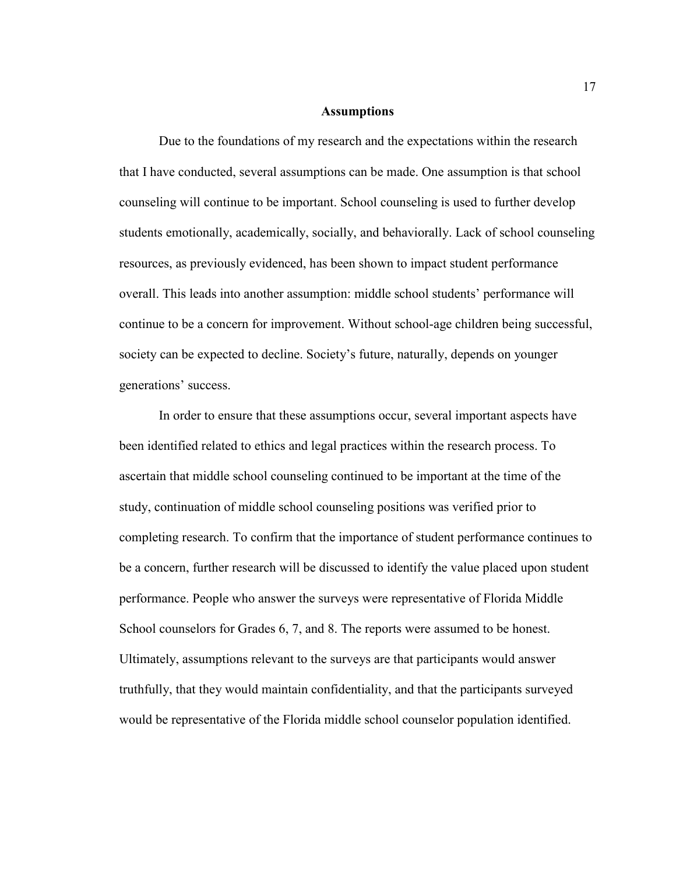#### **Assumptions**

Due to the foundations of my research and the expectations within the research that I have conducted, several assumptions can be made. One assumption is that school counseling will continue to be important. School counseling is used to further develop students emotionally, academically, socially, and behaviorally. Lack of school counseling resources, as previously evidenced, has been shown to impact student performance overall. This leads into another assumption: middle school students' performance will continue to be a concern for improvement. Without school-age children being successful, society can be expected to decline. Society's future, naturally, depends on younger generations' success.

In order to ensure that these assumptions occur, several important aspects have been identified related to ethics and legal practices within the research process. To ascertain that middle school counseling continued to be important at the time of the study, continuation of middle school counseling positions was verified prior to completing research. To confirm that the importance of student performance continues to be a concern, further research will be discussed to identify the value placed upon student performance. People who answer the surveys were representative of Florida Middle School counselors for Grades 6, 7, and 8. The reports were assumed to be honest. Ultimately, assumptions relevant to the surveys are that participants would answer truthfully, that they would maintain confidentiality, and that the participants surveyed would be representative of the Florida middle school counselor population identified.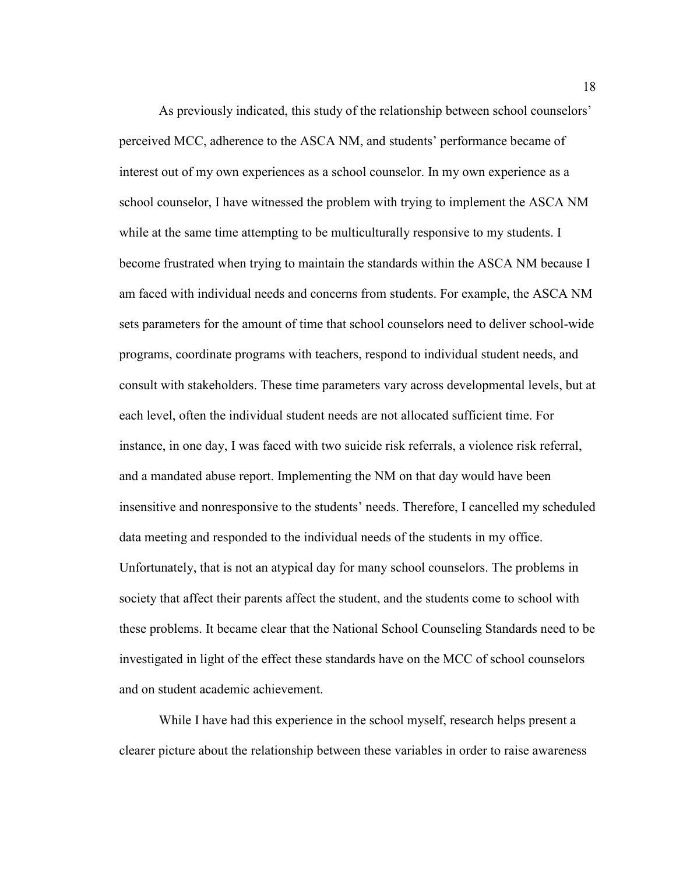As previously indicated, this study of the relationship between school counselors' perceived MCC, adherence to the ASCA NM, and students' performance became of interest out of my own experiences as a school counselor. In my own experience as a school counselor, I have witnessed the problem with trying to implement the ASCA NM while at the same time attempting to be multiculturally responsive to my students. I become frustrated when trying to maintain the standards within the ASCA NM because I am faced with individual needs and concerns from students. For example, the ASCA NM sets parameters for the amount of time that school counselors need to deliver school-wide programs, coordinate programs with teachers, respond to individual student needs, and consult with stakeholders. These time parameters vary across developmental levels, but at each level, often the individual student needs are not allocated sufficient time. For instance, in one day, I was faced with two suicide risk referrals, a violence risk referral, and a mandated abuse report. Implementing the NM on that day would have been insensitive and nonresponsive to the students' needs. Therefore, I cancelled my scheduled data meeting and responded to the individual needs of the students in my office. Unfortunately, that is not an atypical day for many school counselors. The problems in society that affect their parents affect the student, and the students come to school with these problems. It became clear that the National School Counseling Standards need to be investigated in light of the effect these standards have on the MCC of school counselors and on student academic achievement.

While I have had this experience in the school myself, research helps present a clearer picture about the relationship between these variables in order to raise awareness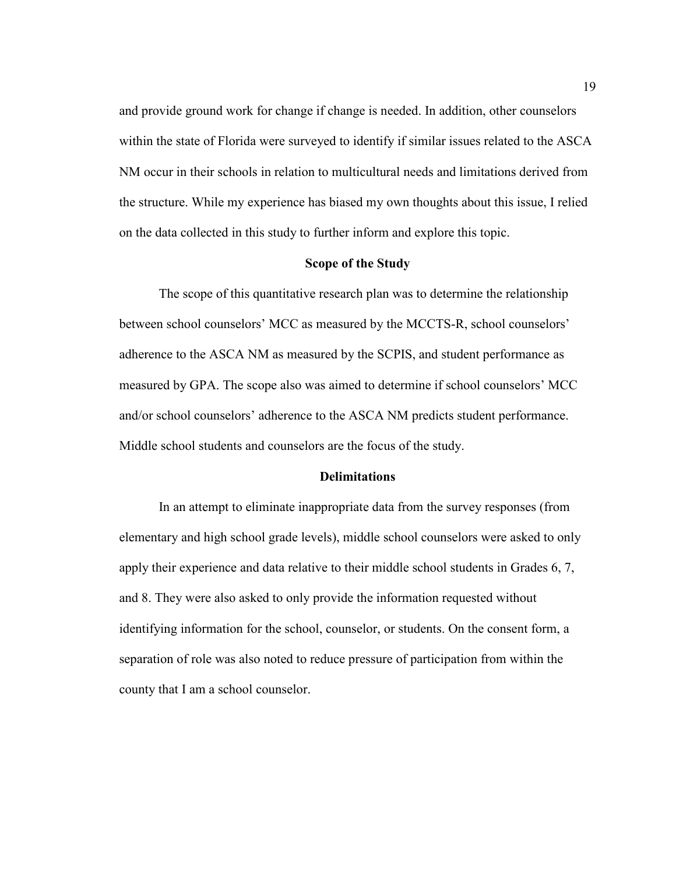and provide ground work for change if change is needed. In addition, other counselors within the state of Florida were surveyed to identify if similar issues related to the ASCA NM occur in their schools in relation to multicultural needs and limitations derived from the structure. While my experience has biased my own thoughts about this issue, I relied on the data collected in this study to further inform and explore this topic.

#### **Scope of the Study**

The scope of this quantitative research plan was to determine the relationship between school counselors' MCC as measured by the MCCTS-R, school counselors' adherence to the ASCA NM as measured by the SCPIS, and student performance as measured by GPA. The scope also was aimed to determine if school counselors' MCC and/or school counselors' adherence to the ASCA NM predicts student performance. Middle school students and counselors are the focus of the study.

#### **Delimitations**

In an attempt to eliminate inappropriate data from the survey responses (from elementary and high school grade levels), middle school counselors were asked to only apply their experience and data relative to their middle school students in Grades 6, 7, and 8. They were also asked to only provide the information requested without identifying information for the school, counselor, or students. On the consent form, a separation of role was also noted to reduce pressure of participation from within the county that I am a school counselor.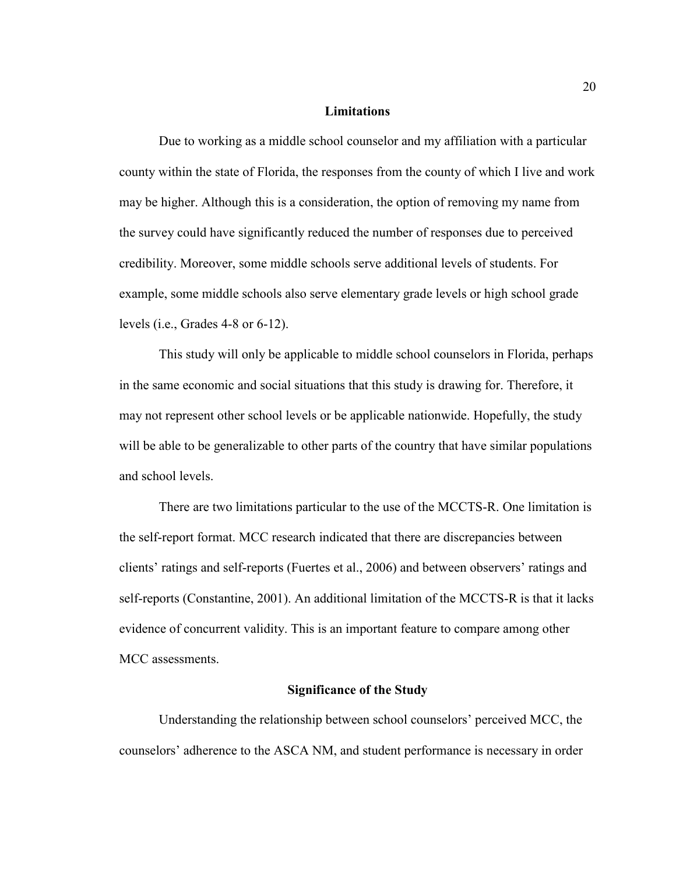#### **Limitations**

Due to working as a middle school counselor and my affiliation with a particular county within the state of Florida, the responses from the county of which I live and work may be higher. Although this is a consideration, the option of removing my name from the survey could have significantly reduced the number of responses due to perceived credibility. Moreover, some middle schools serve additional levels of students. For example, some middle schools also serve elementary grade levels or high school grade levels (i.e., Grades 4-8 or 6-12).

This study will only be applicable to middle school counselors in Florida, perhaps in the same economic and social situations that this study is drawing for. Therefore, it may not represent other school levels or be applicable nationwide. Hopefully, the study will be able to be generalizable to other parts of the country that have similar populations and school levels.

There are two limitations particular to the use of the MCCTS-R. One limitation is the self-report format. MCC research indicated that there are discrepancies between clients' ratings and self-reports (Fuertes et al., 2006) and between observers' ratings and self-reports (Constantine, 2001). An additional limitation of the MCCTS-R is that it lacks evidence of concurrent validity. This is an important feature to compare among other MCC assessments.

#### **Significance of the Study**

 Understanding the relationship between school counselors' perceived MCC, the counselors' adherence to the ASCA NM, and student performance is necessary in order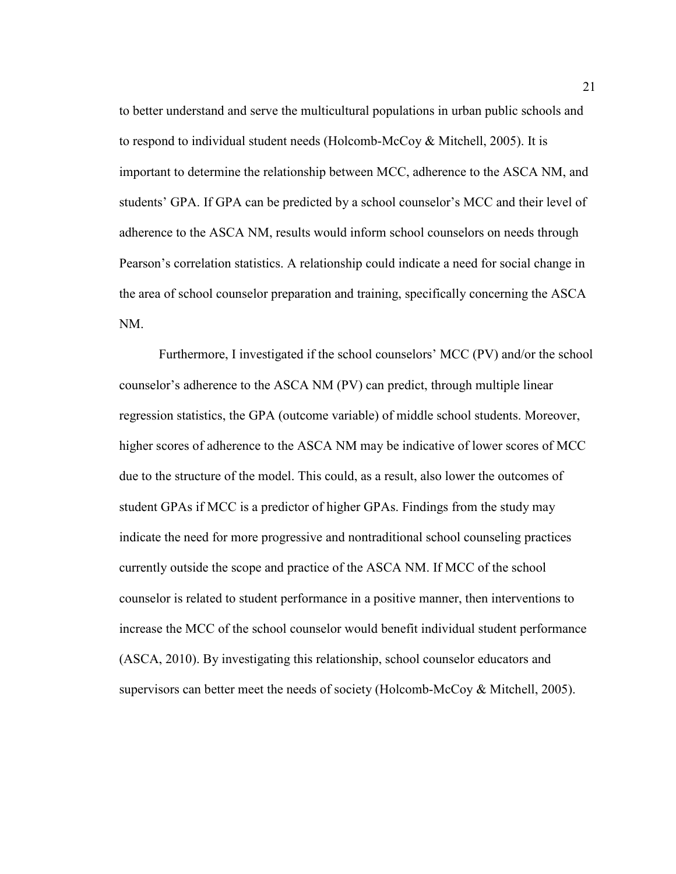to better understand and serve the multicultural populations in urban public schools and to respond to individual student needs (Holcomb-McCoy & Mitchell, 2005). It is important to determine the relationship between MCC, adherence to the ASCA NM, and students' GPA. If GPA can be predicted by a school counselor's MCC and their level of adherence to the ASCA NM, results would inform school counselors on needs through Pearson's correlation statistics. A relationship could indicate a need for social change in the area of school counselor preparation and training, specifically concerning the ASCA NM.

Furthermore, I investigated if the school counselors' MCC (PV) and/or the school counselor's adherence to the ASCA NM (PV) can predict, through multiple linear regression statistics, the GPA (outcome variable) of middle school students. Moreover, higher scores of adherence to the ASCA NM may be indicative of lower scores of MCC due to the structure of the model. This could, as a result, also lower the outcomes of student GPAs if MCC is a predictor of higher GPAs. Findings from the study may indicate the need for more progressive and nontraditional school counseling practices currently outside the scope and practice of the ASCA NM. If MCC of the school counselor is related to student performance in a positive manner, then interventions to increase the MCC of the school counselor would benefit individual student performance (ASCA, 2010). By investigating this relationship, school counselor educators and supervisors can better meet the needs of society (Holcomb-McCoy & Mitchell, 2005).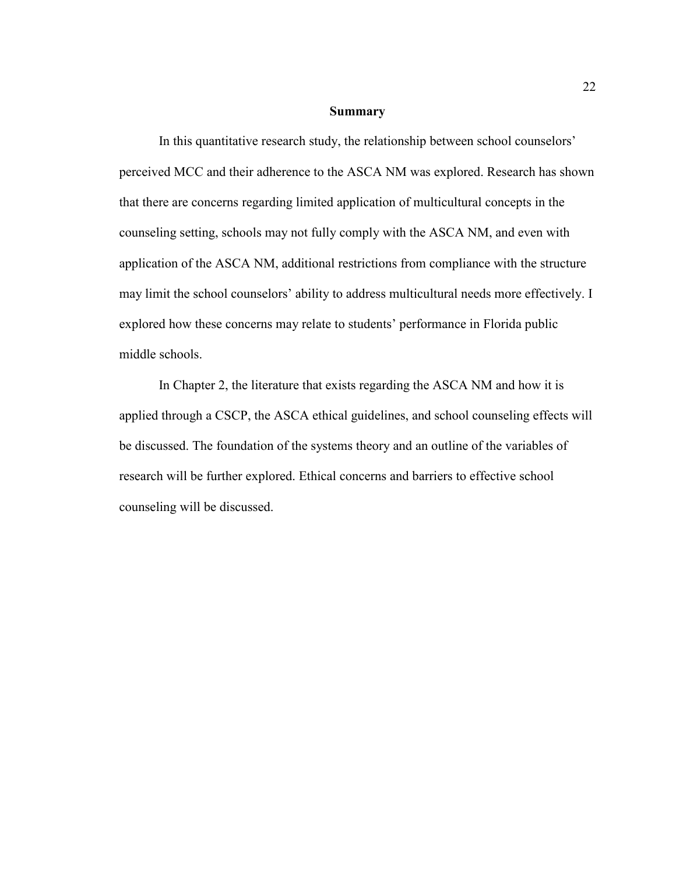#### **Summary**

 In this quantitative research study, the relationship between school counselors' perceived MCC and their adherence to the ASCA NM was explored. Research has shown that there are concerns regarding limited application of multicultural concepts in the counseling setting, schools may not fully comply with the ASCA NM, and even with application of the ASCA NM, additional restrictions from compliance with the structure may limit the school counselors' ability to address multicultural needs more effectively. I explored how these concerns may relate to students' performance in Florida public middle schools.

In Chapter 2, the literature that exists regarding the ASCA NM and how it is applied through a CSCP, the ASCA ethical guidelines, and school counseling effects will be discussed. The foundation of the systems theory and an outline of the variables of research will be further explored. Ethical concerns and barriers to effective school counseling will be discussed.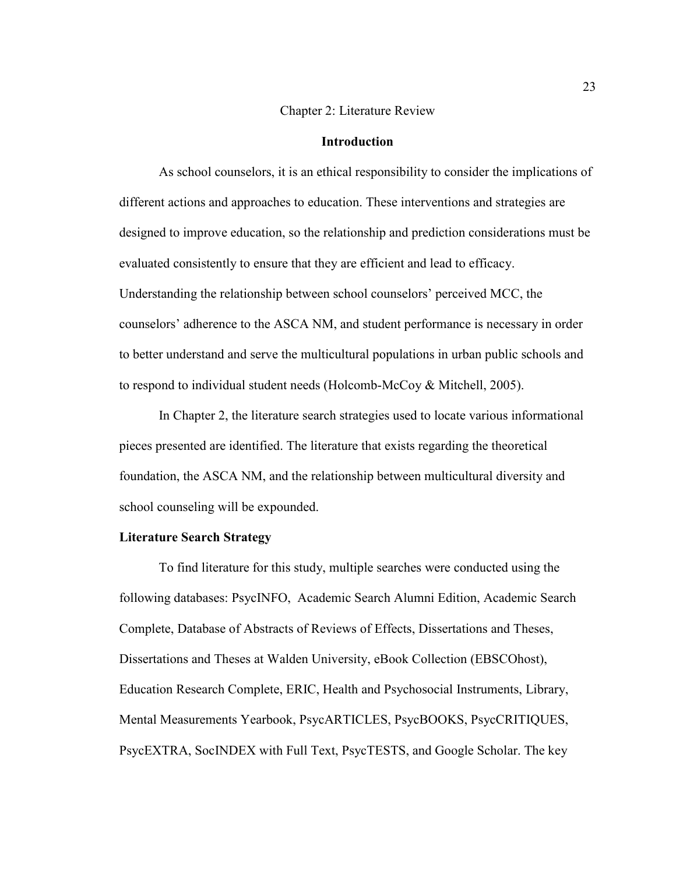#### Chapter 2: Literature Review

#### **Introduction**

As school counselors, it is an ethical responsibility to consider the implications of different actions and approaches to education. These interventions and strategies are designed to improve education, so the relationship and prediction considerations must be evaluated consistently to ensure that they are efficient and lead to efficacy. Understanding the relationship between school counselors' perceived MCC, the counselors' adherence to the ASCA NM, and student performance is necessary in order to better understand and serve the multicultural populations in urban public schools and to respond to individual student needs (Holcomb-McCoy & Mitchell, 2005).

 In Chapter 2, the literature search strategies used to locate various informational pieces presented are identified. The literature that exists regarding the theoretical foundation, the ASCA NM, and the relationship between multicultural diversity and school counseling will be expounded.

#### **Literature Search Strategy**

To find literature for this study, multiple searches were conducted using the following databases: PsycINFO, Academic Search Alumni Edition, Academic Search Complete, Database of Abstracts of Reviews of Effects, Dissertations and Theses, Dissertations and Theses at Walden University, eBook Collection (EBSCOhost), Education Research Complete, ERIC, Health and Psychosocial Instruments, Library, Mental Measurements Yearbook, PsycARTICLES, PsycBOOKS, PsycCRITIQUES, PsycEXTRA, SocINDEX with Full Text, PsycTESTS, and Google Scholar. The key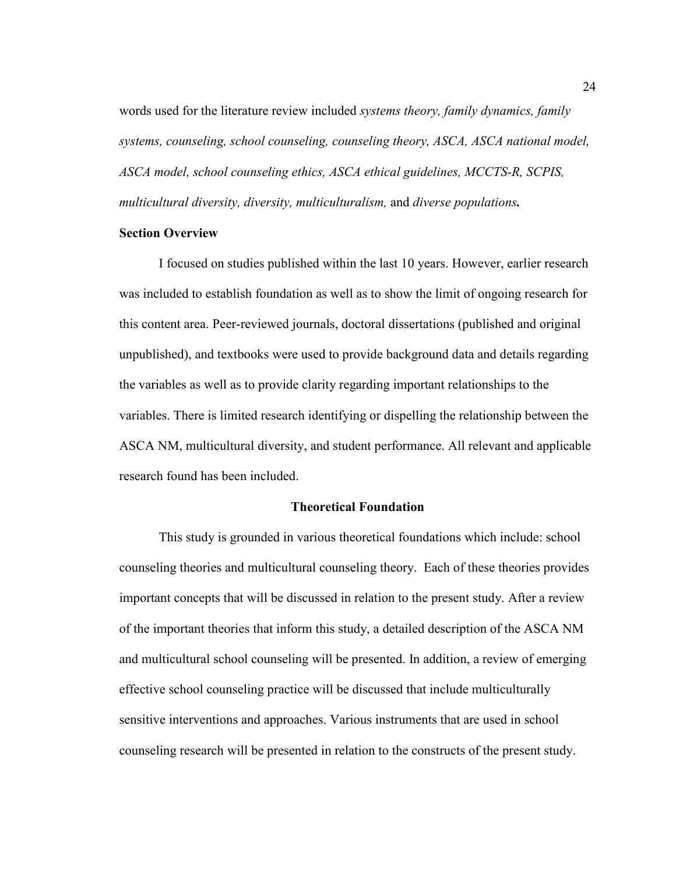words used for the literature review included *systems theory, family dynamics, family systems, counseling, school counseling, counseling theory, ASCA, ASCA national model, ASCA model, school counseling ethics, ASCA ethical guidelines, MCCTS-R, SCPIS, multicultural diversity, diversity, multiculturalism,* and *diverse populations.* 

#### **Section Overview**

I focused on studies published within the last 10 years. However, earlier research was included to establish foundation as well as to show the limit of ongoing research for this content area. Peer-reviewed journals, doctoral dissertations (published and original unpublished), and textbooks were used to provide background data and details regarding the variables as well as to provide clarity regarding important relationships to the variables. There is limited research identifying or dispelling the relationship between the ASCA NM, multicultural diversity, and student performance. All relevant and applicable research found has been included.

#### **Theoretical Foundation**

This study is grounded in various theoretical foundations which include: school counseling theories and multicultural counseling theory. Each of these theories provides important concepts that will be discussed in relation to the present study. After a review of the important theories that inform this study, a detailed description of the ASCA NM and multicultural school counseling will be presented. In addition, a review of emerging effective school counseling practice will be discussed that include multiculturally sensitive interventions and approaches. Various instruments that are used in school counseling research will be presented in relation to the constructs of the present study.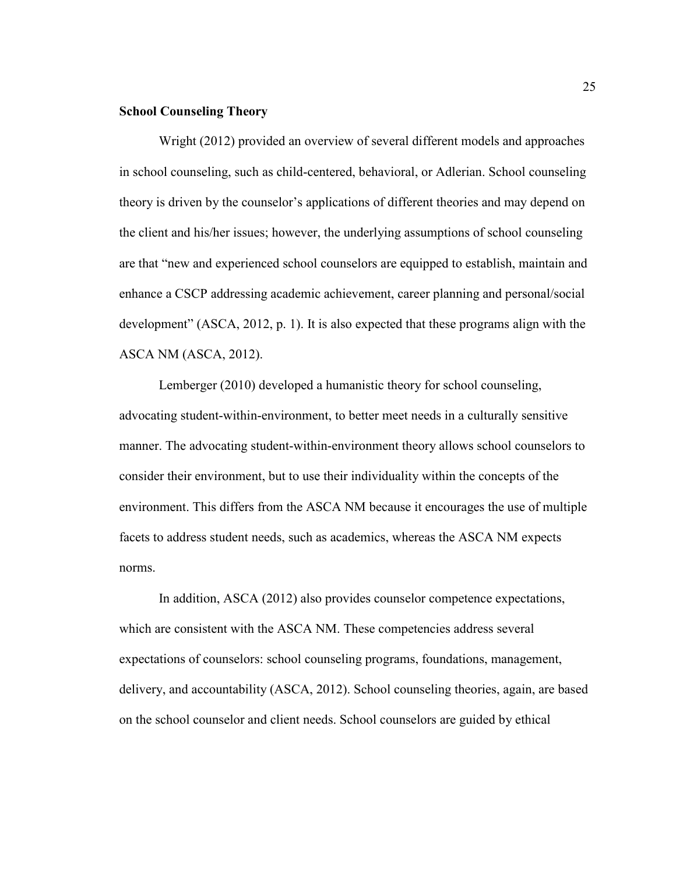#### **School Counseling Theory**

Wright (2012) provided an overview of several different models and approaches in school counseling, such as child-centered, behavioral, or Adlerian. School counseling theory is driven by the counselor's applications of different theories and may depend on the client and his/her issues; however, the underlying assumptions of school counseling are that "new and experienced school counselors are equipped to establish, maintain and enhance a CSCP addressing academic achievement, career planning and personal/social development" (ASCA, 2012, p. 1). It is also expected that these programs align with the ASCA NM (ASCA, 2012).

Lemberger (2010) developed a humanistic theory for school counseling, advocating student-within-environment, to better meet needs in a culturally sensitive manner. The advocating student-within-environment theory allows school counselors to consider their environment, but to use their individuality within the concepts of the environment. This differs from the ASCA NM because it encourages the use of multiple facets to address student needs, such as academics, whereas the ASCA NM expects norms.

In addition, ASCA (2012) also provides counselor competence expectations, which are consistent with the ASCA NM. These competencies address several expectations of counselors: school counseling programs, foundations, management, delivery, and accountability (ASCA, 2012). School counseling theories, again, are based on the school counselor and client needs. School counselors are guided by ethical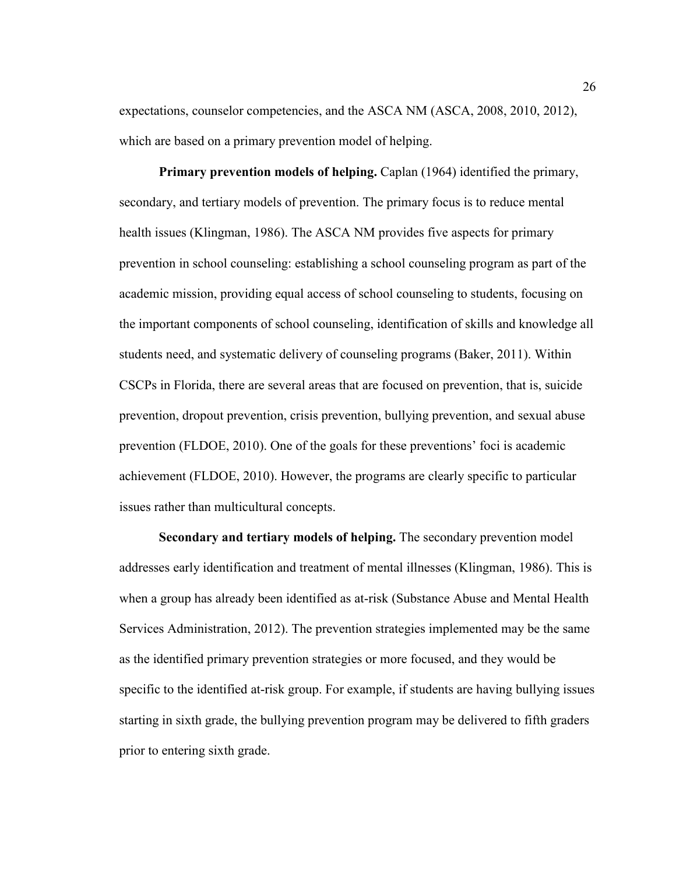expectations, counselor competencies, and the ASCA NM (ASCA, 2008, 2010, 2012), which are based on a primary prevention model of helping.

**Primary prevention models of helping.** Caplan (1964) identified the primary, secondary, and tertiary models of prevention. The primary focus is to reduce mental health issues (Klingman, 1986). The ASCA NM provides five aspects for primary prevention in school counseling: establishing a school counseling program as part of the academic mission, providing equal access of school counseling to students, focusing on the important components of school counseling, identification of skills and knowledge all students need, and systematic delivery of counseling programs (Baker, 2011). Within CSCPs in Florida, there are several areas that are focused on prevention, that is, suicide prevention, dropout prevention, crisis prevention, bullying prevention, and sexual abuse prevention (FLDOE, 2010). One of the goals for these preventions' foci is academic achievement (FLDOE, 2010). However, the programs are clearly specific to particular issues rather than multicultural concepts.

**Secondary and tertiary models of helping.** The secondary prevention model addresses early identification and treatment of mental illnesses (Klingman, 1986). This is when a group has already been identified as at-risk (Substance Abuse and Mental Health Services Administration, 2012). The prevention strategies implemented may be the same as the identified primary prevention strategies or more focused, and they would be specific to the identified at-risk group. For example, if students are having bullying issues starting in sixth grade, the bullying prevention program may be delivered to fifth graders prior to entering sixth grade.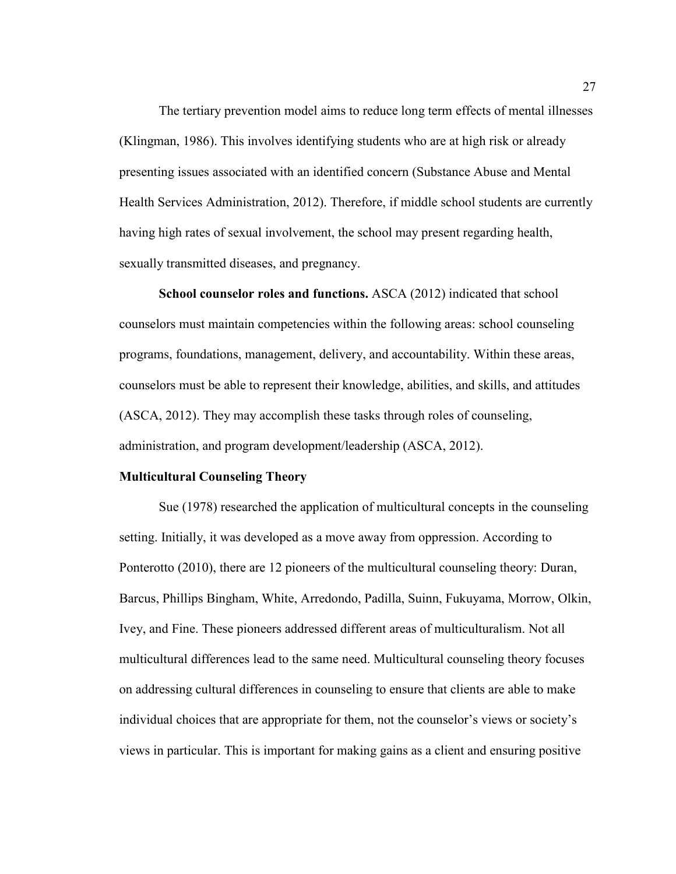The tertiary prevention model aims to reduce long term effects of mental illnesses (Klingman, 1986). This involves identifying students who are at high risk or already presenting issues associated with an identified concern (Substance Abuse and Mental Health Services Administration, 2012). Therefore, if middle school students are currently having high rates of sexual involvement, the school may present regarding health, sexually transmitted diseases, and pregnancy.

**School counselor roles and functions.** ASCA (2012) indicated that school counselors must maintain competencies within the following areas: school counseling programs, foundations, management, delivery, and accountability. Within these areas, counselors must be able to represent their knowledge, abilities, and skills, and attitudes (ASCA, 2012). They may accomplish these tasks through roles of counseling, administration, and program development/leadership (ASCA, 2012).

#### **Multicultural Counseling Theory**

Sue (1978) researched the application of multicultural concepts in the counseling setting. Initially, it was developed as a move away from oppression. According to Ponterotto (2010), there are 12 pioneers of the multicultural counseling theory: Duran, Barcus, Phillips Bingham, White, Arredondo, Padilla, Suinn, Fukuyama, Morrow, Olkin, Ivey, and Fine. These pioneers addressed different areas of multiculturalism. Not all multicultural differences lead to the same need. Multicultural counseling theory focuses on addressing cultural differences in counseling to ensure that clients are able to make individual choices that are appropriate for them, not the counselor's views or society's views in particular. This is important for making gains as a client and ensuring positive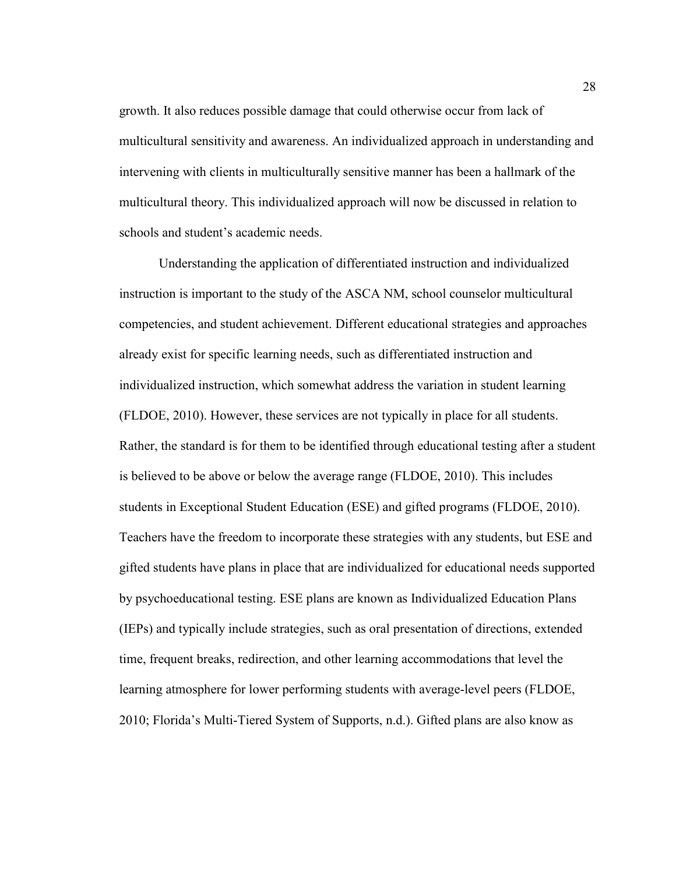growth. It also reduces possible damage that could otherwise occur from lack of multicultural sensitivity and awareness. An individualized approach in understanding and intervening with clients in multiculturally sensitive manner has been a hallmark of the multicultural theory. This individualized approach will now be discussed in relation to schools and student's academic needs.

 Understanding the application of differentiated instruction and individualized instruction is important to the study of the ASCA NM, school counselor multicultural competencies, and student achievement. Different educational strategies and approaches already exist for specific learning needs, such as differentiated instruction and individualized instruction, which somewhat address the variation in student learning (FLDOE, 2010). However, these services are not typically in place for all students. Rather, the standard is for them to be identified through educational testing after a student is believed to be above or below the average range (FLDOE, 2010). This includes students in Exceptional Student Education (ESE) and gifted programs (FLDOE, 2010). Teachers have the freedom to incorporate these strategies with any students, but ESE and gifted students have plans in place that are individualized for educational needs supported by psychoeducational testing. ESE plans are known as Individualized Education Plans (IEPs) and typically include strategies, such as oral presentation of directions, extended time, frequent breaks, redirection, and other learning accommodations that level the learning atmosphere for lower performing students with average-level peers (FLDOE, 2010; Florida's Multi-Tiered System of Supports, n.d.). Gifted plans are also know as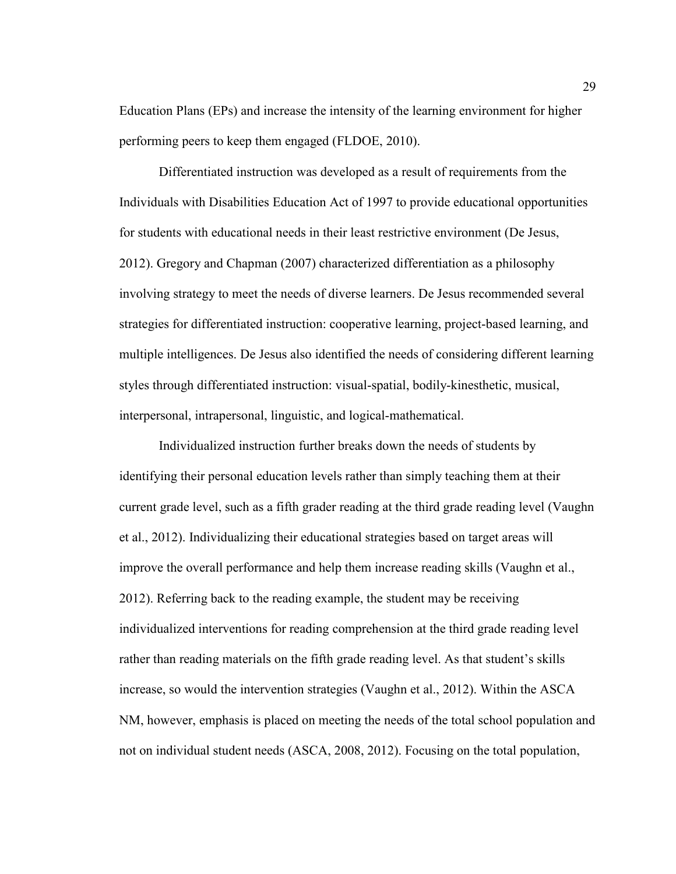Education Plans (EPs) and increase the intensity of the learning environment for higher performing peers to keep them engaged (FLDOE, 2010).

 Differentiated instruction was developed as a result of requirements from the Individuals with Disabilities Education Act of 1997 to provide educational opportunities for students with educational needs in their least restrictive environment (De Jesus, 2012). Gregory and Chapman (2007) characterized differentiation as a philosophy involving strategy to meet the needs of diverse learners. De Jesus recommended several strategies for differentiated instruction: cooperative learning, project-based learning, and multiple intelligences. De Jesus also identified the needs of considering different learning styles through differentiated instruction: visual-spatial, bodily-kinesthetic, musical, interpersonal, intrapersonal, linguistic, and logical-mathematical.

Individualized instruction further breaks down the needs of students by identifying their personal education levels rather than simply teaching them at their current grade level, such as a fifth grader reading at the third grade reading level (Vaughn et al., 2012). Individualizing their educational strategies based on target areas will improve the overall performance and help them increase reading skills (Vaughn et al., 2012). Referring back to the reading example, the student may be receiving individualized interventions for reading comprehension at the third grade reading level rather than reading materials on the fifth grade reading level. As that student's skills increase, so would the intervention strategies (Vaughn et al., 2012). Within the ASCA NM, however, emphasis is placed on meeting the needs of the total school population and not on individual student needs (ASCA, 2008, 2012). Focusing on the total population,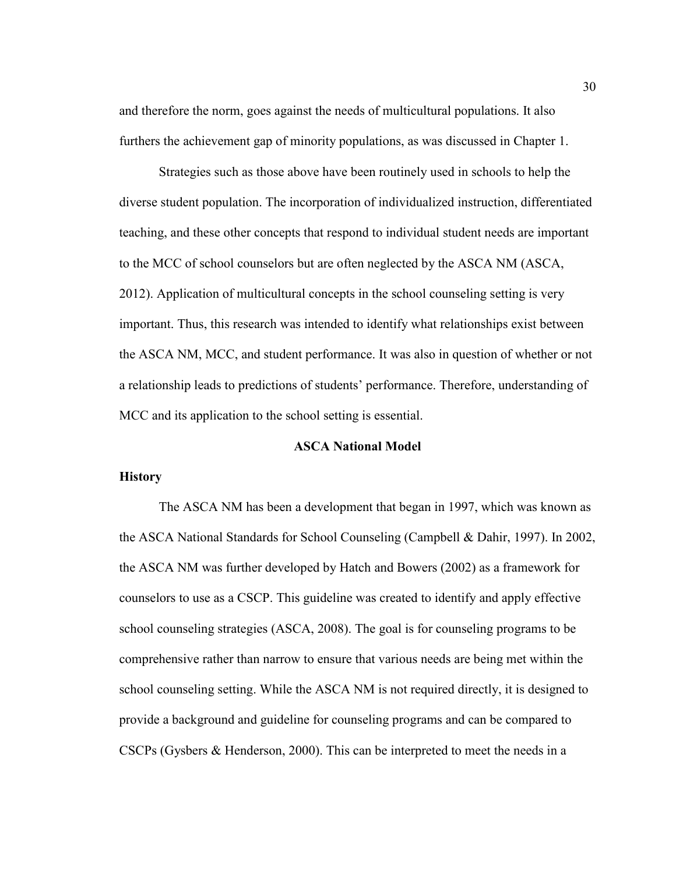and therefore the norm, goes against the needs of multicultural populations. It also furthers the achievement gap of minority populations, as was discussed in Chapter 1.

Strategies such as those above have been routinely used in schools to help the diverse student population. The incorporation of individualized instruction, differentiated teaching, and these other concepts that respond to individual student needs are important to the MCC of school counselors but are often neglected by the ASCA NM (ASCA, 2012). Application of multicultural concepts in the school counseling setting is very important. Thus, this research was intended to identify what relationships exist between the ASCA NM, MCC, and student performance. It was also in question of whether or not a relationship leads to predictions of students' performance. Therefore, understanding of MCC and its application to the school setting is essential.

## **ASCA National Model**

# **History**

The ASCA NM has been a development that began in 1997, which was known as the ASCA National Standards for School Counseling (Campbell & Dahir, 1997). In 2002, the ASCA NM was further developed by Hatch and Bowers (2002) as a framework for counselors to use as a CSCP. This guideline was created to identify and apply effective school counseling strategies (ASCA, 2008). The goal is for counseling programs to be comprehensive rather than narrow to ensure that various needs are being met within the school counseling setting. While the ASCA NM is not required directly, it is designed to provide a background and guideline for counseling programs and can be compared to CSCPs (Gysbers & Henderson, 2000). This can be interpreted to meet the needs in a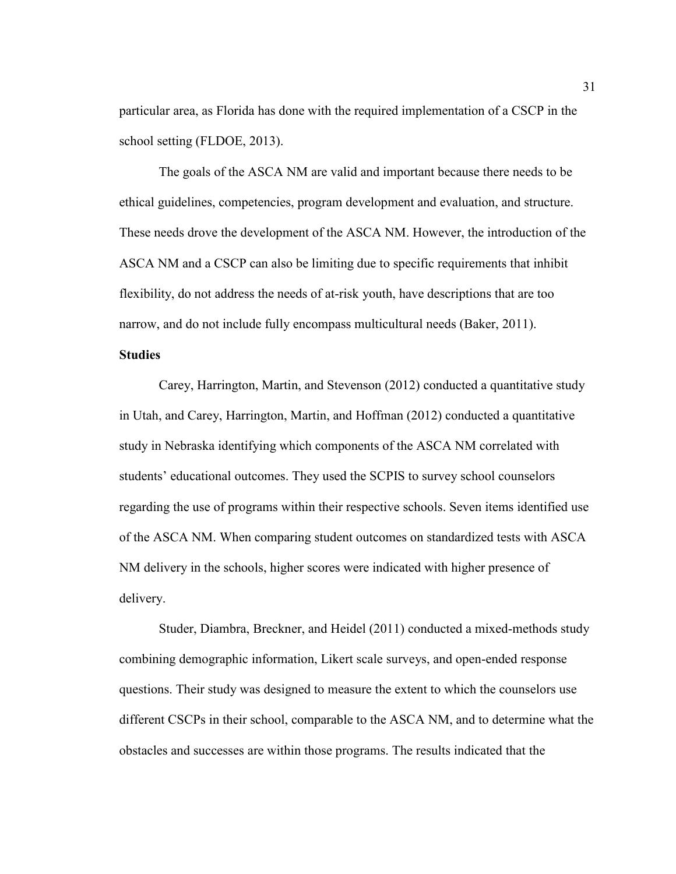particular area, as Florida has done with the required implementation of a CSCP in the school setting (FLDOE, 2013).

The goals of the ASCA NM are valid and important because there needs to be ethical guidelines, competencies, program development and evaluation, and structure. These needs drove the development of the ASCA NM. However, the introduction of the ASCA NM and a CSCP can also be limiting due to specific requirements that inhibit flexibility, do not address the needs of at-risk youth, have descriptions that are too narrow, and do not include fully encompass multicultural needs (Baker, 2011).

### **Studies**

 Carey, Harrington, Martin, and Stevenson (2012) conducted a quantitative study in Utah, and Carey, Harrington, Martin, and Hoffman (2012) conducted a quantitative study in Nebraska identifying which components of the ASCA NM correlated with students' educational outcomes. They used the SCPIS to survey school counselors regarding the use of programs within their respective schools. Seven items identified use of the ASCA NM. When comparing student outcomes on standardized tests with ASCA NM delivery in the schools, higher scores were indicated with higher presence of delivery.

 Studer, Diambra, Breckner, and Heidel (2011) conducted a mixed-methods study combining demographic information, Likert scale surveys, and open-ended response questions. Their study was designed to measure the extent to which the counselors use different CSCPs in their school, comparable to the ASCA NM, and to determine what the obstacles and successes are within those programs. The results indicated that the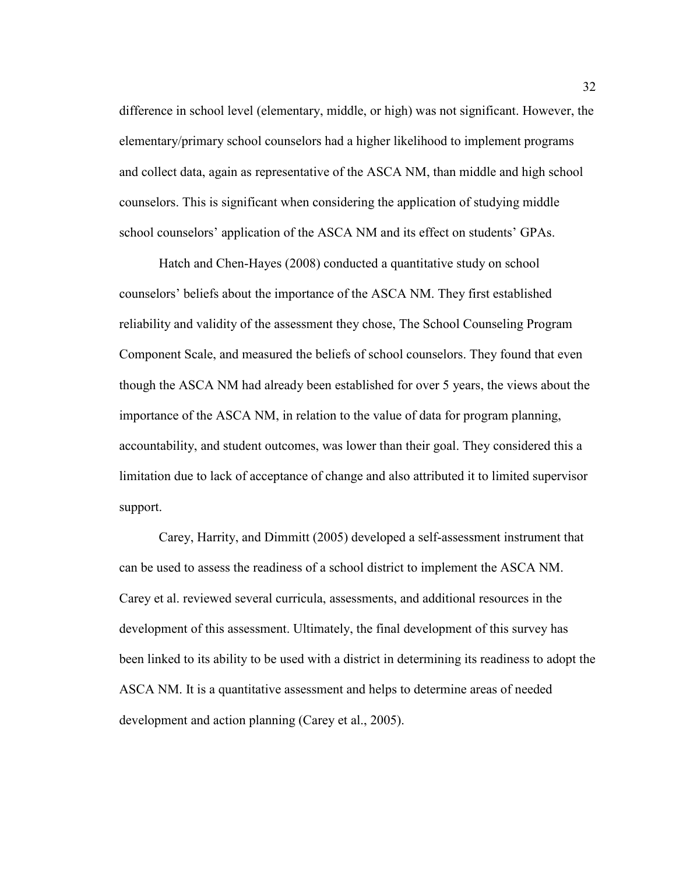difference in school level (elementary, middle, or high) was not significant. However, the elementary/primary school counselors had a higher likelihood to implement programs and collect data, again as representative of the ASCA NM, than middle and high school counselors. This is significant when considering the application of studying middle school counselors' application of the ASCA NM and its effect on students' GPAs.

 Hatch and Chen-Hayes (2008) conducted a quantitative study on school counselors' beliefs about the importance of the ASCA NM. They first established reliability and validity of the assessment they chose, The School Counseling Program Component Scale, and measured the beliefs of school counselors. They found that even though the ASCA NM had already been established for over 5 years, the views about the importance of the ASCA NM, in relation to the value of data for program planning, accountability, and student outcomes, was lower than their goal. They considered this a limitation due to lack of acceptance of change and also attributed it to limited supervisor support.

 Carey, Harrity, and Dimmitt (2005) developed a self-assessment instrument that can be used to assess the readiness of a school district to implement the ASCA NM. Carey et al. reviewed several curricula, assessments, and additional resources in the development of this assessment. Ultimately, the final development of this survey has been linked to its ability to be used with a district in determining its readiness to adopt the ASCA NM. It is a quantitative assessment and helps to determine areas of needed development and action planning (Carey et al., 2005).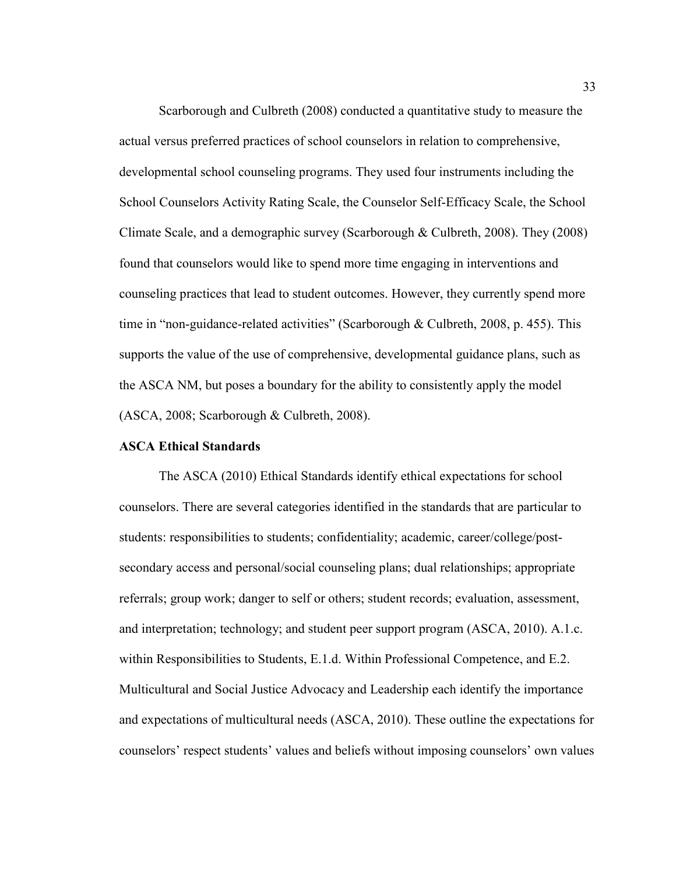Scarborough and Culbreth (2008) conducted a quantitative study to measure the actual versus preferred practices of school counselors in relation to comprehensive, developmental school counseling programs. They used four instruments including the School Counselors Activity Rating Scale, the Counselor Self-Efficacy Scale, the School Climate Scale, and a demographic survey (Scarborough & Culbreth, 2008). They (2008) found that counselors would like to spend more time engaging in interventions and counseling practices that lead to student outcomes. However, they currently spend more time in "non-guidance-related activities" (Scarborough & Culbreth, 2008, p. 455). This supports the value of the use of comprehensive, developmental guidance plans, such as the ASCA NM, but poses a boundary for the ability to consistently apply the model (ASCA, 2008; Scarborough & Culbreth, 2008).

#### **ASCA Ethical Standards**

The ASCA (2010) Ethical Standards identify ethical expectations for school counselors. There are several categories identified in the standards that are particular to students: responsibilities to students; confidentiality; academic, career/college/postsecondary access and personal/social counseling plans; dual relationships; appropriate referrals; group work; danger to self or others; student records; evaluation, assessment, and interpretation; technology; and student peer support program (ASCA, 2010). A.1.c. within Responsibilities to Students, E.1.d. Within Professional Competence, and E.2. Multicultural and Social Justice Advocacy and Leadership each identify the importance and expectations of multicultural needs (ASCA, 2010). These outline the expectations for counselors' respect students' values and beliefs without imposing counselors' own values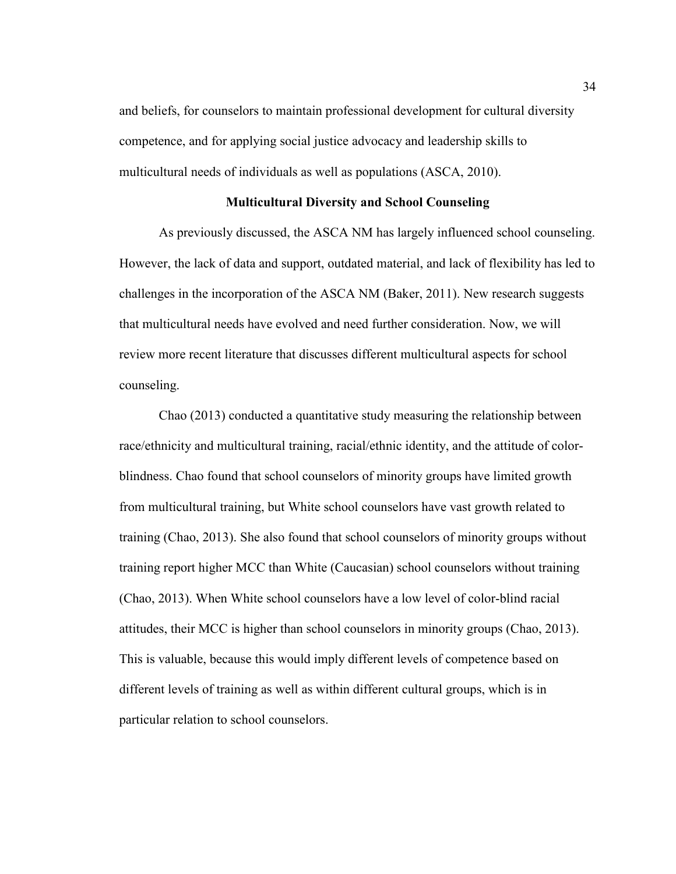and beliefs, for counselors to maintain professional development for cultural diversity competence, and for applying social justice advocacy and leadership skills to multicultural needs of individuals as well as populations (ASCA, 2010).

## **Multicultural Diversity and School Counseling**

As previously discussed, the ASCA NM has largely influenced school counseling. However, the lack of data and support, outdated material, and lack of flexibility has led to challenges in the incorporation of the ASCA NM (Baker, 2011). New research suggests that multicultural needs have evolved and need further consideration. Now, we will review more recent literature that discusses different multicultural aspects for school counseling.

 Chao (2013) conducted a quantitative study measuring the relationship between race/ethnicity and multicultural training, racial/ethnic identity, and the attitude of colorblindness. Chao found that school counselors of minority groups have limited growth from multicultural training, but White school counselors have vast growth related to training (Chao, 2013). She also found that school counselors of minority groups without training report higher MCC than White (Caucasian) school counselors without training (Chao, 2013). When White school counselors have a low level of color-blind racial attitudes, their MCC is higher than school counselors in minority groups (Chao, 2013). This is valuable, because this would imply different levels of competence based on different levels of training as well as within different cultural groups, which is in particular relation to school counselors.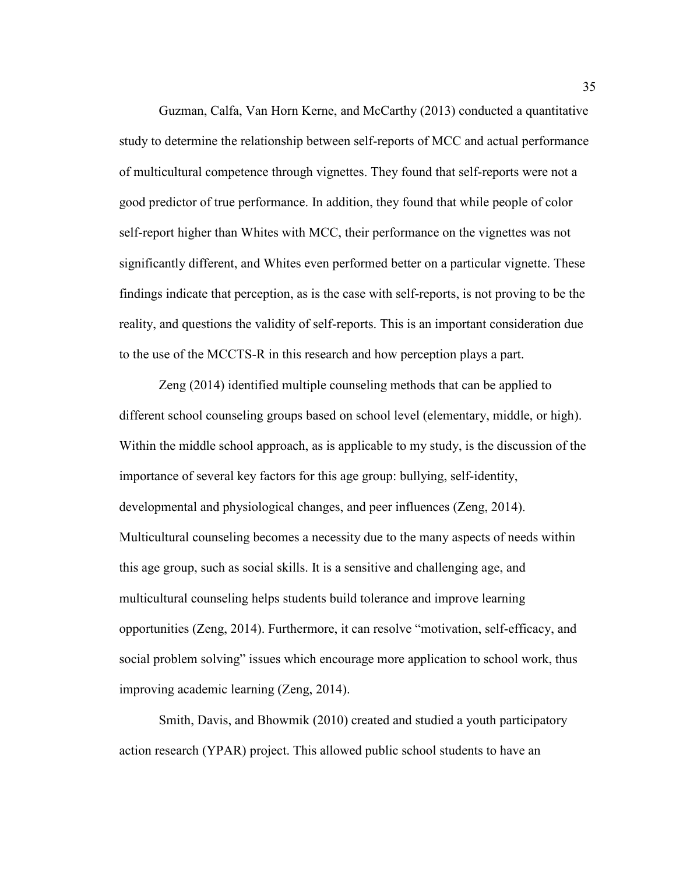Guzman, Calfa, Van Horn Kerne, and McCarthy (2013) conducted a quantitative study to determine the relationship between self-reports of MCC and actual performance of multicultural competence through vignettes. They found that self-reports were not a good predictor of true performance. In addition, they found that while people of color self-report higher than Whites with MCC, their performance on the vignettes was not significantly different, and Whites even performed better on a particular vignette. These findings indicate that perception, as is the case with self-reports, is not proving to be the reality, and questions the validity of self-reports. This is an important consideration due to the use of the MCCTS-R in this research and how perception plays a part.

 Zeng (2014) identified multiple counseling methods that can be applied to different school counseling groups based on school level (elementary, middle, or high). Within the middle school approach, as is applicable to my study, is the discussion of the importance of several key factors for this age group: bullying, self-identity, developmental and physiological changes, and peer influences (Zeng, 2014). Multicultural counseling becomes a necessity due to the many aspects of needs within this age group, such as social skills. It is a sensitive and challenging age, and multicultural counseling helps students build tolerance and improve learning opportunities (Zeng, 2014). Furthermore, it can resolve "motivation, self-efficacy, and social problem solving" issues which encourage more application to school work, thus improving academic learning (Zeng, 2014).

 Smith, Davis, and Bhowmik (2010) created and studied a youth participatory action research (YPAR) project. This allowed public school students to have an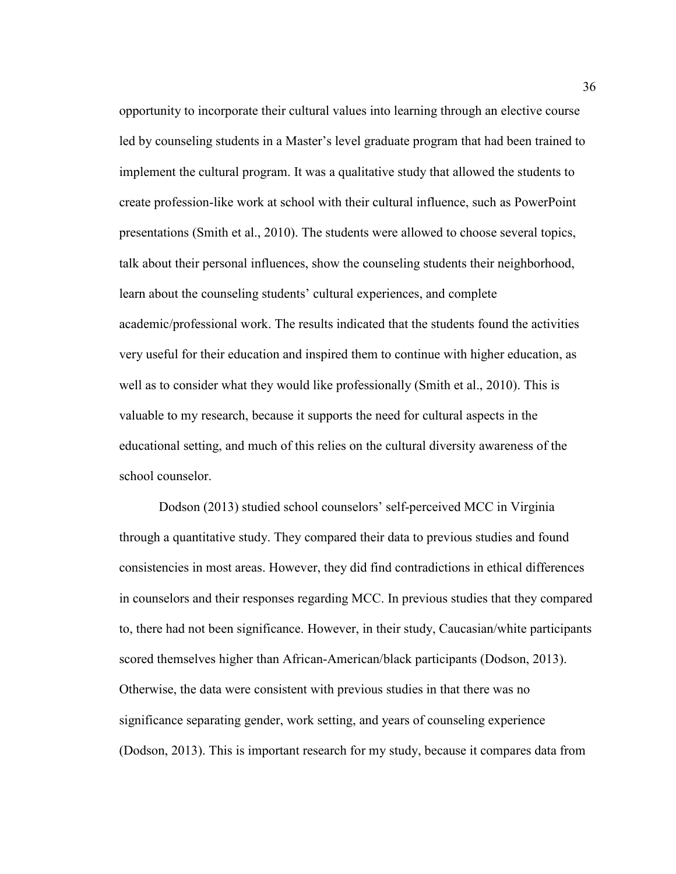opportunity to incorporate their cultural values into learning through an elective course led by counseling students in a Master's level graduate program that had been trained to implement the cultural program. It was a qualitative study that allowed the students to create profession-like work at school with their cultural influence, such as PowerPoint presentations (Smith et al., 2010). The students were allowed to choose several topics, talk about their personal influences, show the counseling students their neighborhood, learn about the counseling students' cultural experiences, and complete academic/professional work. The results indicated that the students found the activities very useful for their education and inspired them to continue with higher education, as well as to consider what they would like professionally (Smith et al., 2010). This is valuable to my research, because it supports the need for cultural aspects in the educational setting, and much of this relies on the cultural diversity awareness of the school counselor.

 Dodson (2013) studied school counselors' self-perceived MCC in Virginia through a quantitative study. They compared their data to previous studies and found consistencies in most areas. However, they did find contradictions in ethical differences in counselors and their responses regarding MCC. In previous studies that they compared to, there had not been significance. However, in their study, Caucasian/white participants scored themselves higher than African-American/black participants (Dodson, 2013). Otherwise, the data were consistent with previous studies in that there was no significance separating gender, work setting, and years of counseling experience (Dodson, 2013). This is important research for my study, because it compares data from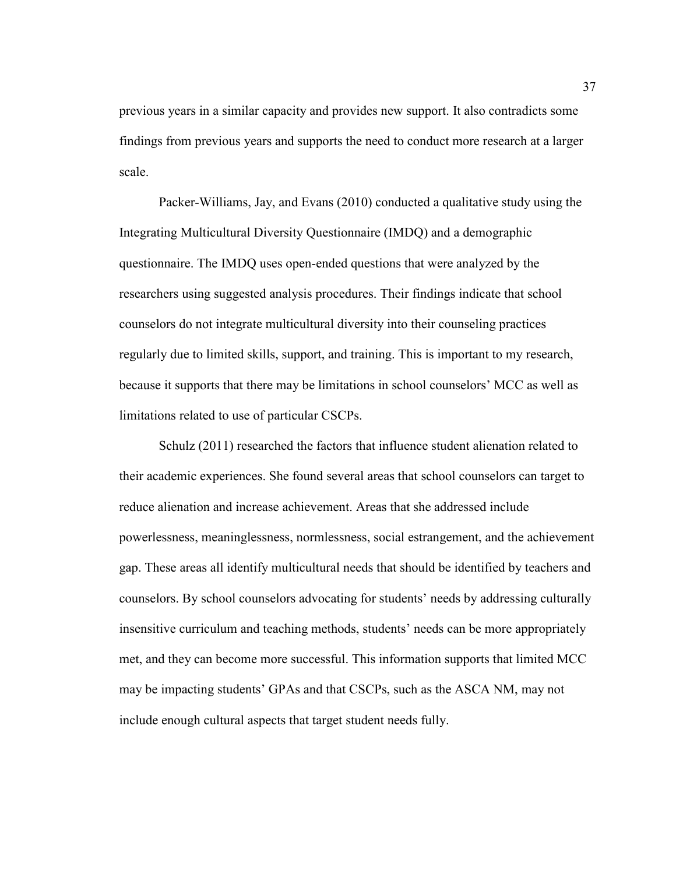previous years in a similar capacity and provides new support. It also contradicts some findings from previous years and supports the need to conduct more research at a larger scale.

 Packer-Williams, Jay, and Evans (2010) conducted a qualitative study using the Integrating Multicultural Diversity Questionnaire (IMDQ) and a demographic questionnaire. The IMDQ uses open-ended questions that were analyzed by the researchers using suggested analysis procedures. Their findings indicate that school counselors do not integrate multicultural diversity into their counseling practices regularly due to limited skills, support, and training. This is important to my research, because it supports that there may be limitations in school counselors' MCC as well as limitations related to use of particular CSCPs.

 Schulz (2011) researched the factors that influence student alienation related to their academic experiences. She found several areas that school counselors can target to reduce alienation and increase achievement. Areas that she addressed include powerlessness, meaninglessness, normlessness, social estrangement, and the achievement gap. These areas all identify multicultural needs that should be identified by teachers and counselors. By school counselors advocating for students' needs by addressing culturally insensitive curriculum and teaching methods, students' needs can be more appropriately met, and they can become more successful. This information supports that limited MCC may be impacting students' GPAs and that CSCPs, such as the ASCA NM, may not include enough cultural aspects that target student needs fully.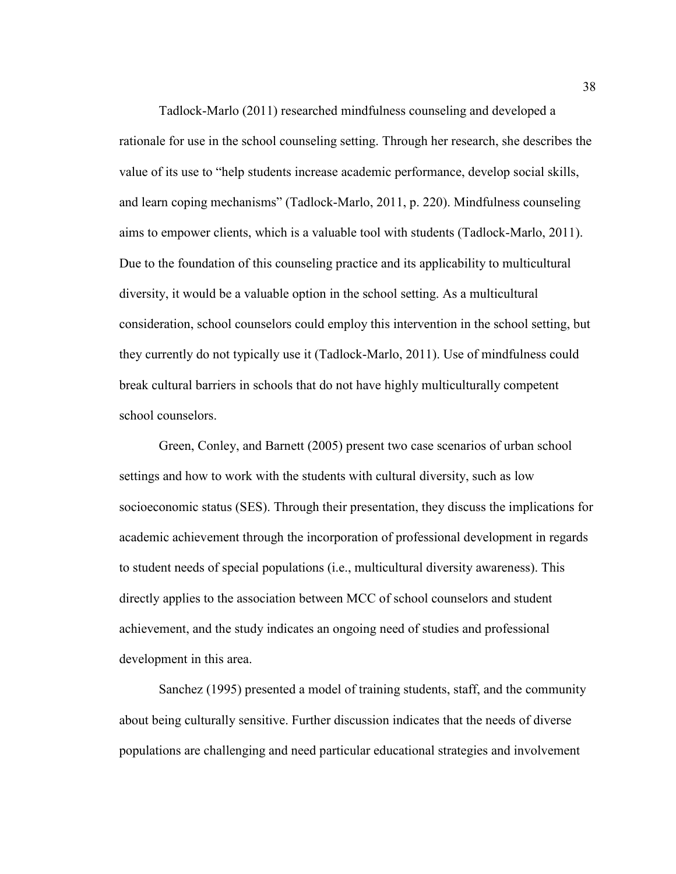Tadlock-Marlo (2011) researched mindfulness counseling and developed a rationale for use in the school counseling setting. Through her research, she describes the value of its use to "help students increase academic performance, develop social skills, and learn coping mechanisms" (Tadlock-Marlo, 2011, p. 220). Mindfulness counseling aims to empower clients, which is a valuable tool with students (Tadlock-Marlo, 2011). Due to the foundation of this counseling practice and its applicability to multicultural diversity, it would be a valuable option in the school setting. As a multicultural consideration, school counselors could employ this intervention in the school setting, but they currently do not typically use it (Tadlock-Marlo, 2011). Use of mindfulness could break cultural barriers in schools that do not have highly multiculturally competent school counselors.

 Green, Conley, and Barnett (2005) present two case scenarios of urban school settings and how to work with the students with cultural diversity, such as low socioeconomic status (SES). Through their presentation, they discuss the implications for academic achievement through the incorporation of professional development in regards to student needs of special populations (i.e., multicultural diversity awareness). This directly applies to the association between MCC of school counselors and student achievement, and the study indicates an ongoing need of studies and professional development in this area.

Sanchez (1995) presented a model of training students, staff, and the community about being culturally sensitive. Further discussion indicates that the needs of diverse populations are challenging and need particular educational strategies and involvement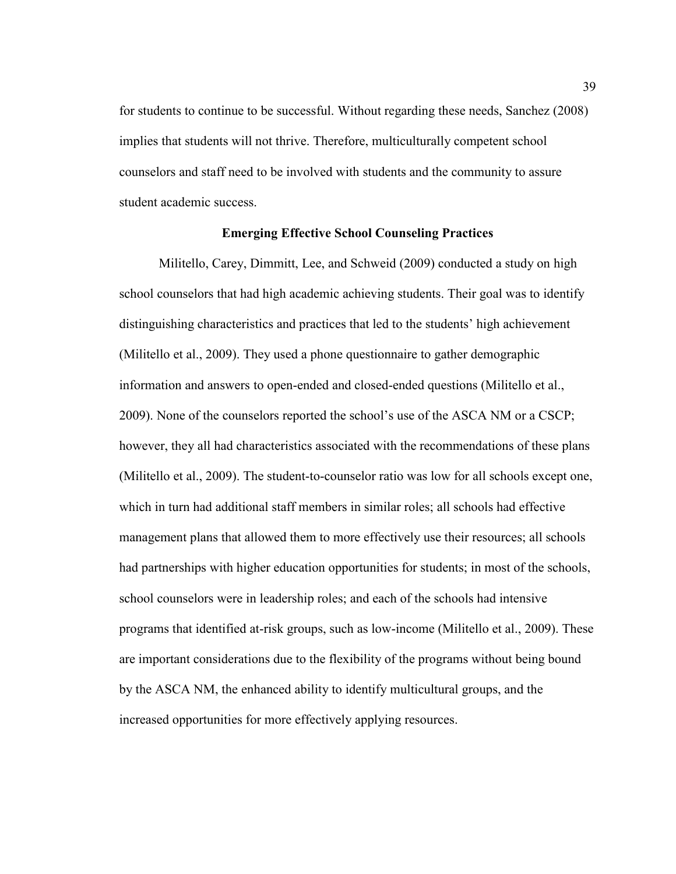for students to continue to be successful. Without regarding these needs, Sanchez (2008) implies that students will not thrive. Therefore, multiculturally competent school counselors and staff need to be involved with students and the community to assure student academic success.

### **Emerging Effective School Counseling Practices**

Militello, Carey, Dimmitt, Lee, and Schweid (2009) conducted a study on high school counselors that had high academic achieving students. Their goal was to identify distinguishing characteristics and practices that led to the students' high achievement (Militello et al., 2009). They used a phone questionnaire to gather demographic information and answers to open-ended and closed-ended questions (Militello et al., 2009). None of the counselors reported the school's use of the ASCA NM or a CSCP; however, they all had characteristics associated with the recommendations of these plans (Militello et al., 2009). The student-to-counselor ratio was low for all schools except one, which in turn had additional staff members in similar roles; all schools had effective management plans that allowed them to more effectively use their resources; all schools had partnerships with higher education opportunities for students; in most of the schools, school counselors were in leadership roles; and each of the schools had intensive programs that identified at-risk groups, such as low-income (Militello et al., 2009). These are important considerations due to the flexibility of the programs without being bound by the ASCA NM, the enhanced ability to identify multicultural groups, and the increased opportunities for more effectively applying resources.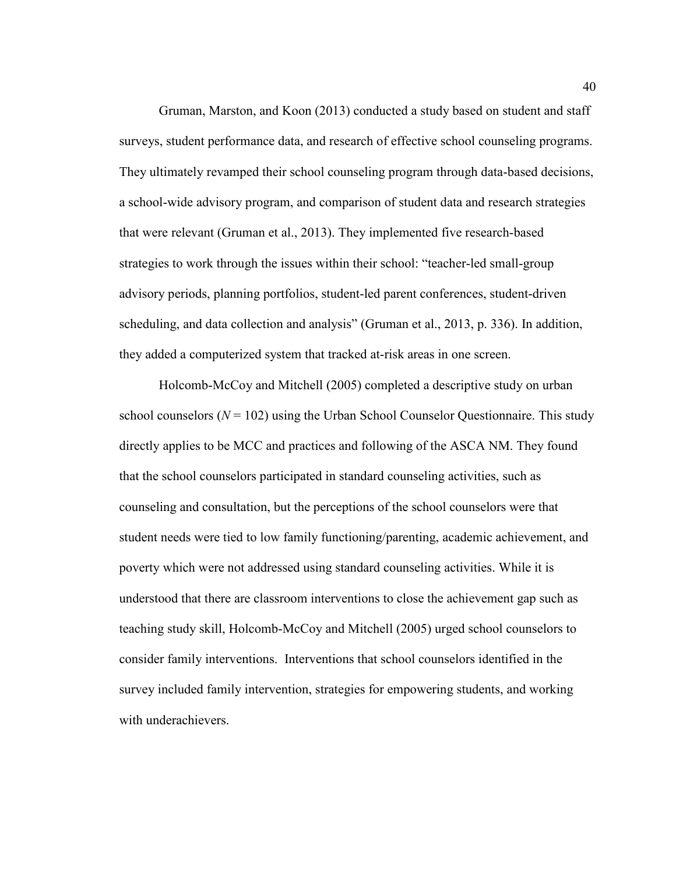Gruman, Marston, and Koon (2013) conducted a study based on student and staff surveys, student performance data, and research of effective school counseling programs. They ultimately revamped their school counseling program through data-based decisions, a school-wide advisory program, and comparison of student data and research strategies that were relevant (Gruman et al., 2013). They implemented five research-based strategies to work through the issues within their school: "teacher-led small-group advisory periods, planning portfolios, student-led parent conferences, student-driven scheduling, and data collection and analysis" (Gruman et al., 2013, p. 336). In addition, they added a computerized system that tracked at-risk areas in one screen.

Holcomb-McCoy and Mitchell (2005) completed a descriptive study on urban school counselors  $(N = 102)$  using the Urban School Counselor Questionnaire. This study directly applies to be MCC and practices and following of the ASCA NM. They found that the school counselors participated in standard counseling activities, such as counseling and consultation, but the perceptions of the school counselors were that student needs were tied to low family functioning/parenting, academic achievement, and poverty which were not addressed using standard counseling activities. While it is understood that there are classroom interventions to close the achievement gap such as teaching study skill, Holcomb-McCoy and Mitchell (2005) urged school counselors to consider family interventions. Interventions that school counselors identified in the survey included family intervention, strategies for empowering students, and working with underachievers.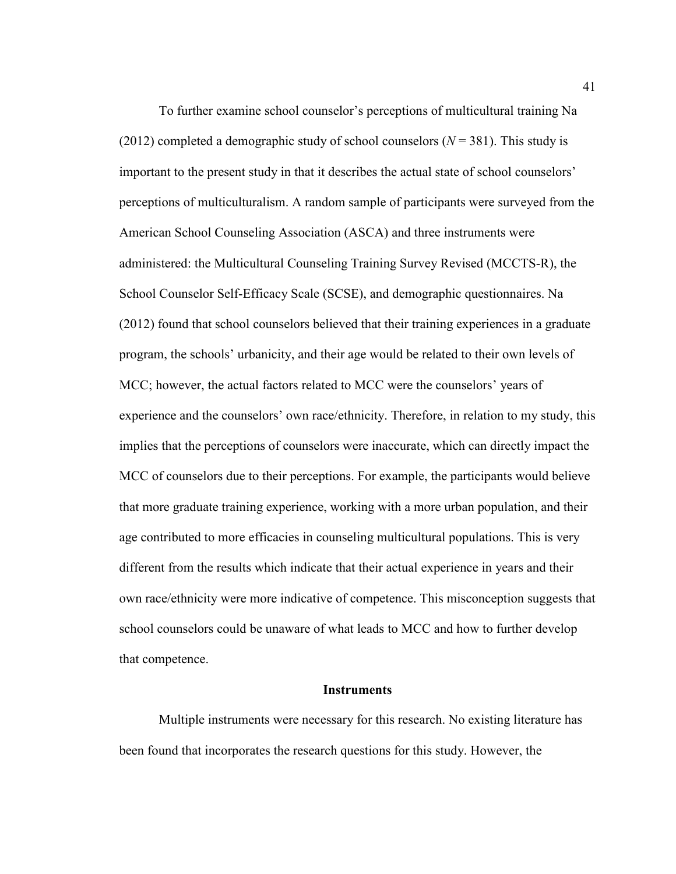To further examine school counselor's perceptions of multicultural training Na (2012) completed a demographic study of school counselors  $(N = 381)$ . This study is important to the present study in that it describes the actual state of school counselors' perceptions of multiculturalism. A random sample of participants were surveyed from the American School Counseling Association (ASCA) and three instruments were administered: the Multicultural Counseling Training Survey Revised (MCCTS-R), the School Counselor Self-Efficacy Scale (SCSE), and demographic questionnaires. Na (2012) found that school counselors believed that their training experiences in a graduate program, the schools' urbanicity, and their age would be related to their own levels of MCC; however, the actual factors related to MCC were the counselors' years of experience and the counselors' own race/ethnicity. Therefore, in relation to my study, this implies that the perceptions of counselors were inaccurate, which can directly impact the MCC of counselors due to their perceptions. For example, the participants would believe that more graduate training experience, working with a more urban population, and their age contributed to more efficacies in counseling multicultural populations. This is very different from the results which indicate that their actual experience in years and their own race/ethnicity were more indicative of competence. This misconception suggests that school counselors could be unaware of what leads to MCC and how to further develop that competence.

#### **Instruments**

 Multiple instruments were necessary for this research. No existing literature has been found that incorporates the research questions for this study. However, the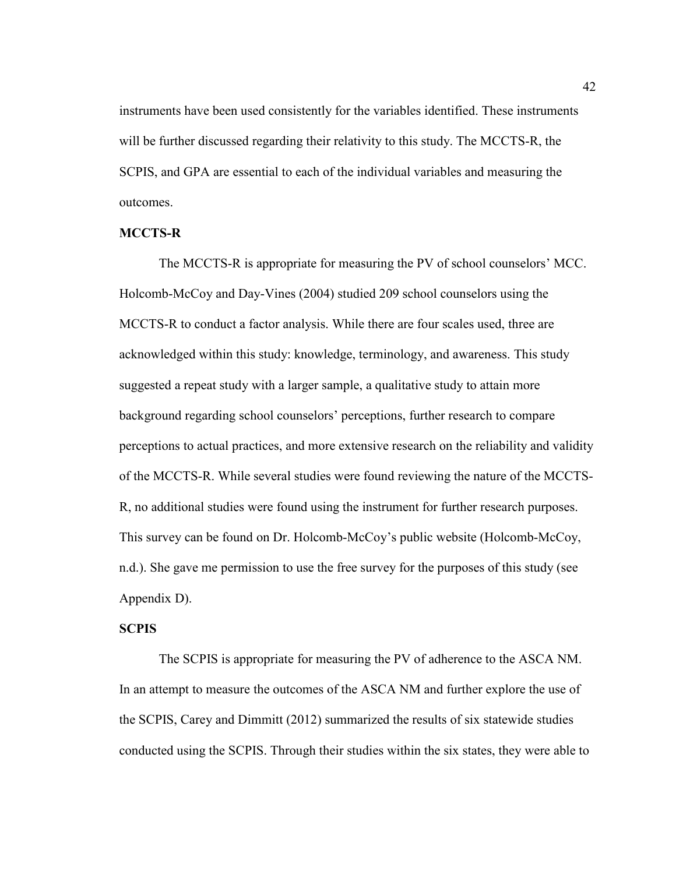instruments have been used consistently for the variables identified. These instruments will be further discussed regarding their relativity to this study. The MCCTS-R, the SCPIS, and GPA are essential to each of the individual variables and measuring the outcomes.

### **MCCTS-R**

The MCCTS-R is appropriate for measuring the PV of school counselors' MCC. Holcomb-McCoy and Day-Vines (2004) studied 209 school counselors using the MCCTS-R to conduct a factor analysis. While there are four scales used, three are acknowledged within this study: knowledge, terminology, and awareness. This study suggested a repeat study with a larger sample, a qualitative study to attain more background regarding school counselors' perceptions, further research to compare perceptions to actual practices, and more extensive research on the reliability and validity of the MCCTS-R. While several studies were found reviewing the nature of the MCCTS-R, no additional studies were found using the instrument for further research purposes. This survey can be found on Dr. Holcomb-McCoy's public website (Holcomb-McCoy, n.d.). She gave me permission to use the free survey for the purposes of this study (see Appendix D).

### **SCPIS**

The SCPIS is appropriate for measuring the PV of adherence to the ASCA NM. In an attempt to measure the outcomes of the ASCA NM and further explore the use of the SCPIS, Carey and Dimmitt (2012) summarized the results of six statewide studies conducted using the SCPIS. Through their studies within the six states, they were able to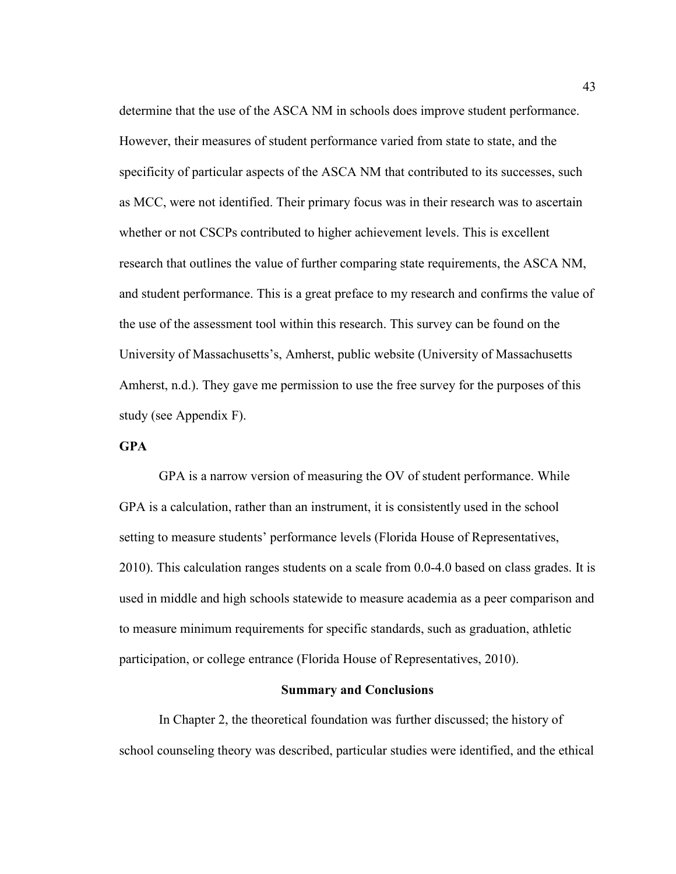determine that the use of the ASCA NM in schools does improve student performance. However, their measures of student performance varied from state to state, and the specificity of particular aspects of the ASCA NM that contributed to its successes, such as MCC, were not identified. Their primary focus was in their research was to ascertain whether or not CSCPs contributed to higher achievement levels. This is excellent research that outlines the value of further comparing state requirements, the ASCA NM, and student performance. This is a great preface to my research and confirms the value of the use of the assessment tool within this research. This survey can be found on the University of Massachusetts's, Amherst, public website (University of Massachusetts Amherst, n.d.). They gave me permission to use the free survey for the purposes of this study (see Appendix F).

# **GPA**

GPA is a narrow version of measuring the OV of student performance. While GPA is a calculation, rather than an instrument, it is consistently used in the school setting to measure students' performance levels (Florida House of Representatives, 2010). This calculation ranges students on a scale from 0.0-4.0 based on class grades. It is used in middle and high schools statewide to measure academia as a peer comparison and to measure minimum requirements for specific standards, such as graduation, athletic participation, or college entrance (Florida House of Representatives, 2010).

#### **Summary and Conclusions**

 In Chapter 2, the theoretical foundation was further discussed; the history of school counseling theory was described, particular studies were identified, and the ethical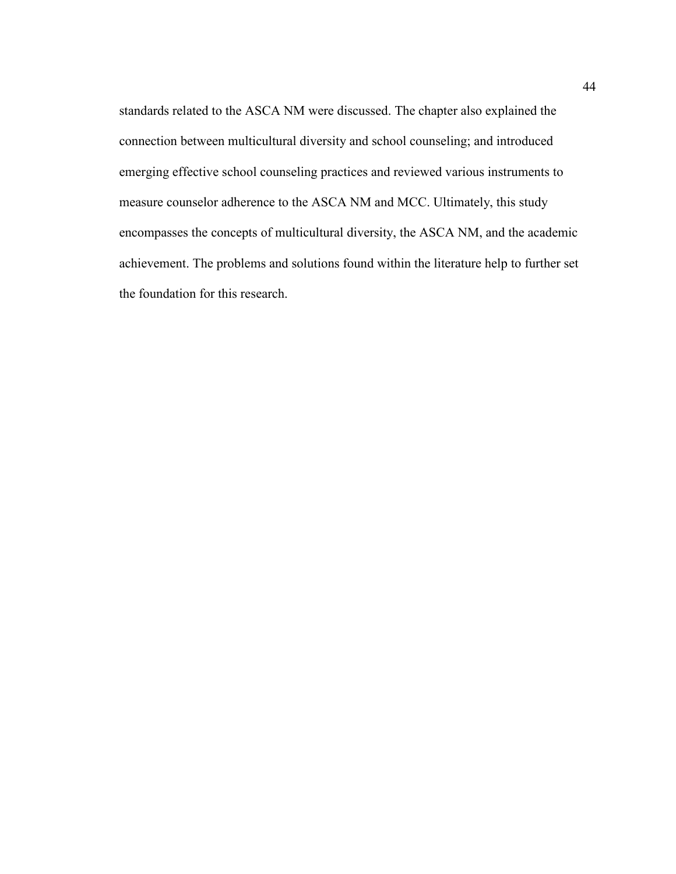standards related to the ASCA NM were discussed. The chapter also explained the connection between multicultural diversity and school counseling; and introduced emerging effective school counseling practices and reviewed various instruments to measure counselor adherence to the ASCA NM and MCC. Ultimately, this study encompasses the concepts of multicultural diversity, the ASCA NM, and the academic achievement. The problems and solutions found within the literature help to further set the foundation for this research.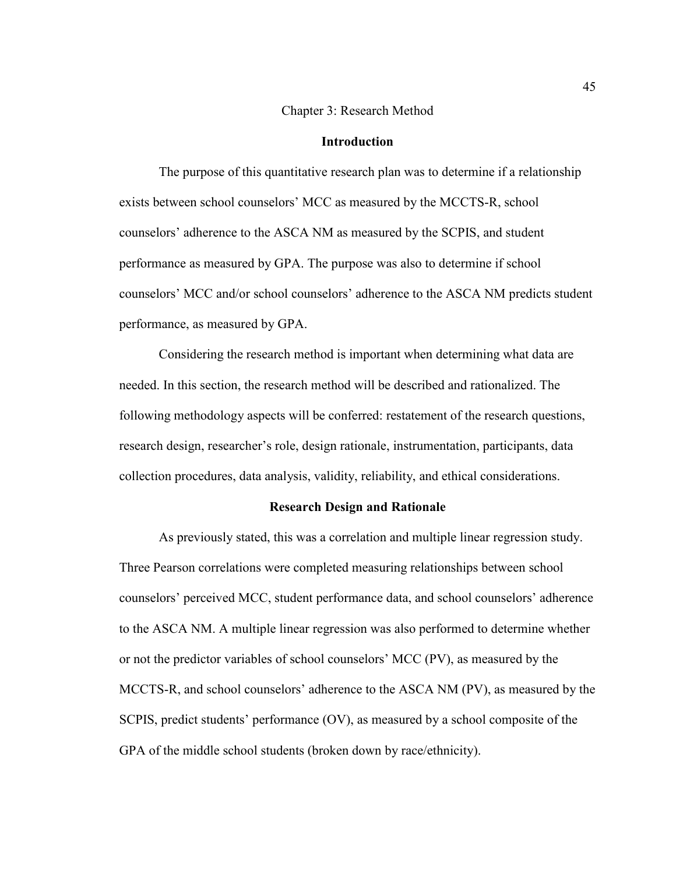#### Chapter 3: Research Method

### **Introduction**

The purpose of this quantitative research plan was to determine if a relationship exists between school counselors' MCC as measured by the MCCTS-R, school counselors' adherence to the ASCA NM as measured by the SCPIS, and student performance as measured by GPA. The purpose was also to determine if school counselors' MCC and/or school counselors' adherence to the ASCA NM predicts student performance, as measured by GPA.

Considering the research method is important when determining what data are needed. In this section, the research method will be described and rationalized. The following methodology aspects will be conferred: restatement of the research questions, research design, researcher's role, design rationale, instrumentation, participants, data collection procedures, data analysis, validity, reliability, and ethical considerations.

### **Research Design and Rationale**

 As previously stated, this was a correlation and multiple linear regression study. Three Pearson correlations were completed measuring relationships between school counselors' perceived MCC, student performance data, and school counselors' adherence to the ASCA NM. A multiple linear regression was also performed to determine whether or not the predictor variables of school counselors' MCC (PV), as measured by the MCCTS-R, and school counselors' adherence to the ASCA NM (PV), as measured by the SCPIS, predict students' performance (OV), as measured by a school composite of the GPA of the middle school students (broken down by race/ethnicity).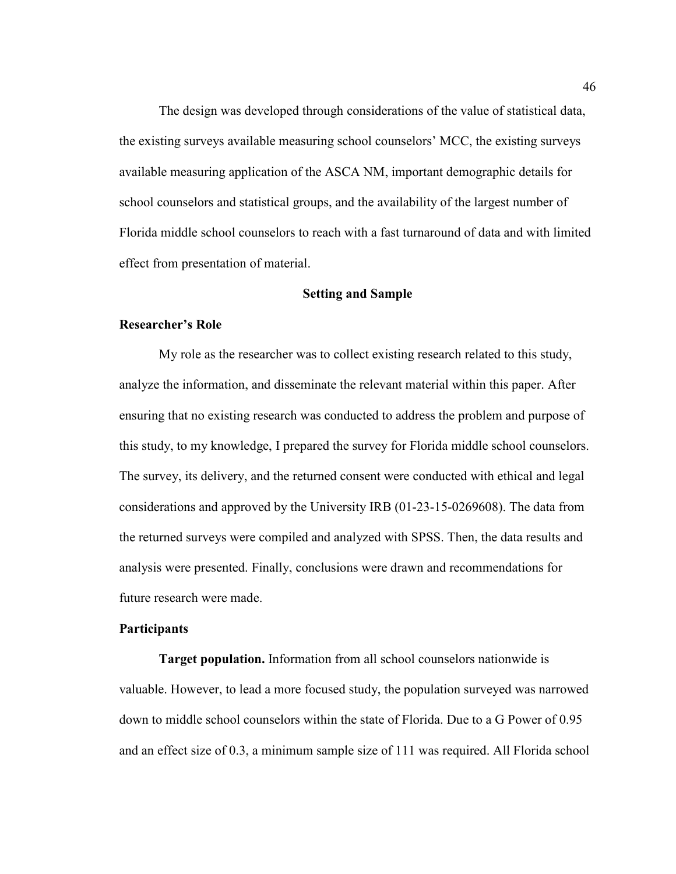The design was developed through considerations of the value of statistical data, the existing surveys available measuring school counselors' MCC, the existing surveys available measuring application of the ASCA NM, important demographic details for school counselors and statistical groups, and the availability of the largest number of Florida middle school counselors to reach with a fast turnaround of data and with limited effect from presentation of material.

### **Setting and Sample**

#### **Researcher's Role**

 My role as the researcher was to collect existing research related to this study, analyze the information, and disseminate the relevant material within this paper. After ensuring that no existing research was conducted to address the problem and purpose of this study, to my knowledge, I prepared the survey for Florida middle school counselors. The survey, its delivery, and the returned consent were conducted with ethical and legal considerations and approved by the University IRB (01-23-15-0269608). The data from the returned surveys were compiled and analyzed with SPSS. Then, the data results and analysis were presented. Finally, conclusions were drawn and recommendations for future research were made.

#### **Participants**

**Target population.** Information from all school counselors nationwide is valuable. However, to lead a more focused study, the population surveyed was narrowed down to middle school counselors within the state of Florida. Due to a G Power of 0.95 and an effect size of 0.3, a minimum sample size of 111 was required. All Florida school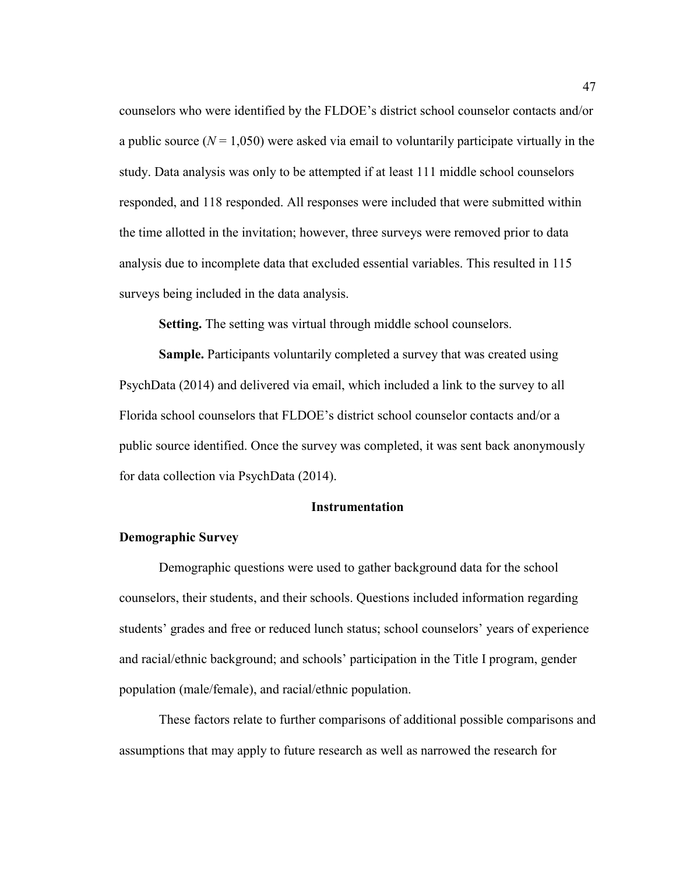counselors who were identified by the FLDOE's district school counselor contacts and/or a public source  $(N = 1,050)$  were asked via email to voluntarily participate virtually in the study. Data analysis was only to be attempted if at least 111 middle school counselors responded, and 118 responded. All responses were included that were submitted within the time allotted in the invitation; however, three surveys were removed prior to data analysis due to incomplete data that excluded essential variables. This resulted in 115 surveys being included in the data analysis.

**Setting.** The setting was virtual through middle school counselors.

**Sample.** Participants voluntarily completed a survey that was created using PsychData (2014) and delivered via email, which included a link to the survey to all Florida school counselors that FLDOE's district school counselor contacts and/or a public source identified. Once the survey was completed, it was sent back anonymously for data collection via PsychData (2014).

### **Instrumentation**

### **Demographic Survey**

Demographic questions were used to gather background data for the school counselors, their students, and their schools. Questions included information regarding students' grades and free or reduced lunch status; school counselors' years of experience and racial/ethnic background; and schools' participation in the Title I program, gender population (male/female), and racial/ethnic population.

These factors relate to further comparisons of additional possible comparisons and assumptions that may apply to future research as well as narrowed the research for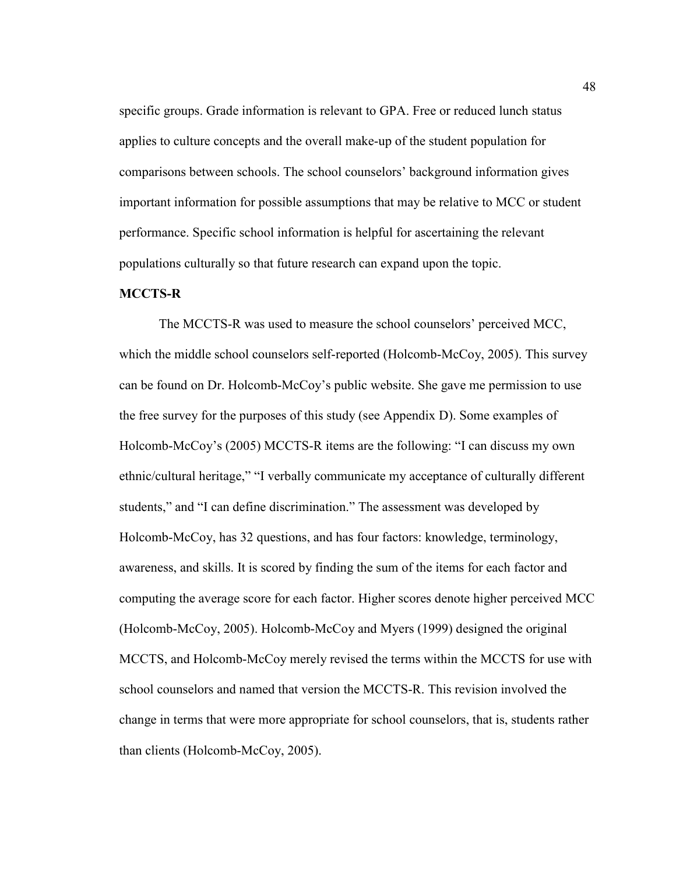specific groups. Grade information is relevant to GPA. Free or reduced lunch status applies to culture concepts and the overall make-up of the student population for comparisons between schools. The school counselors' background information gives important information for possible assumptions that may be relative to MCC or student performance. Specific school information is helpful for ascertaining the relevant populations culturally so that future research can expand upon the topic.

# **MCCTS-R**

The MCCTS-R was used to measure the school counselors' perceived MCC, which the middle school counselors self-reported (Holcomb-McCoy, 2005). This survey can be found on Dr. Holcomb-McCoy's public website. She gave me permission to use the free survey for the purposes of this study (see Appendix D). Some examples of Holcomb-McCoy's (2005) MCCTS-R items are the following: "I can discuss my own ethnic/cultural heritage," "I verbally communicate my acceptance of culturally different students," and "I can define discrimination." The assessment was developed by Holcomb-McCoy, has 32 questions, and has four factors: knowledge, terminology, awareness, and skills. It is scored by finding the sum of the items for each factor and computing the average score for each factor. Higher scores denote higher perceived MCC (Holcomb-McCoy, 2005). Holcomb-McCoy and Myers (1999) designed the original MCCTS, and Holcomb-McCoy merely revised the terms within the MCCTS for use with school counselors and named that version the MCCTS-R. This revision involved the change in terms that were more appropriate for school counselors, that is, students rather than clients (Holcomb-McCoy, 2005).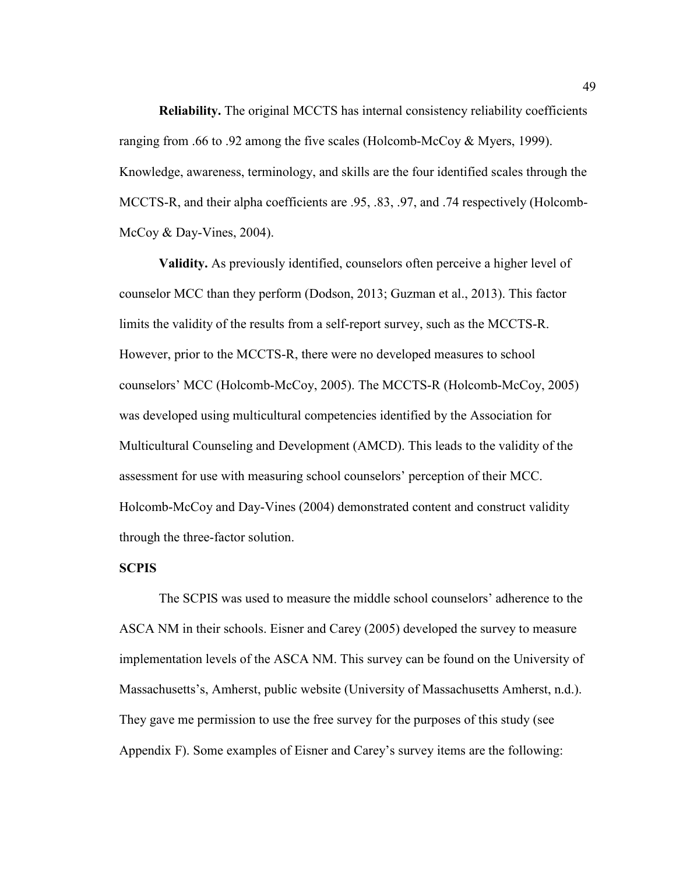**Reliability.** The original MCCTS has internal consistency reliability coefficients ranging from .66 to .92 among the five scales (Holcomb-McCoy & Myers, 1999). Knowledge, awareness, terminology, and skills are the four identified scales through the MCCTS-R, and their alpha coefficients are .95, .83, .97, and .74 respectively (Holcomb-McCoy & Day-Vines, 2004).

 **Validity.** As previously identified, counselors often perceive a higher level of counselor MCC than they perform (Dodson, 2013; Guzman et al., 2013). This factor limits the validity of the results from a self-report survey, such as the MCCTS-R. However, prior to the MCCTS-R, there were no developed measures to school counselors' MCC (Holcomb-McCoy, 2005). The MCCTS-R (Holcomb-McCoy, 2005) was developed using multicultural competencies identified by the Association for Multicultural Counseling and Development (AMCD). This leads to the validity of the assessment for use with measuring school counselors' perception of their MCC. Holcomb-McCoy and Day-Vines (2004) demonstrated content and construct validity through the three-factor solution.

#### **SCPIS**

The SCPIS was used to measure the middle school counselors' adherence to the ASCA NM in their schools. Eisner and Carey (2005) developed the survey to measure implementation levels of the ASCA NM. This survey can be found on the University of Massachusetts's, Amherst, public website (University of Massachusetts Amherst, n.d.). They gave me permission to use the free survey for the purposes of this study (see Appendix F). Some examples of Eisner and Carey's survey items are the following: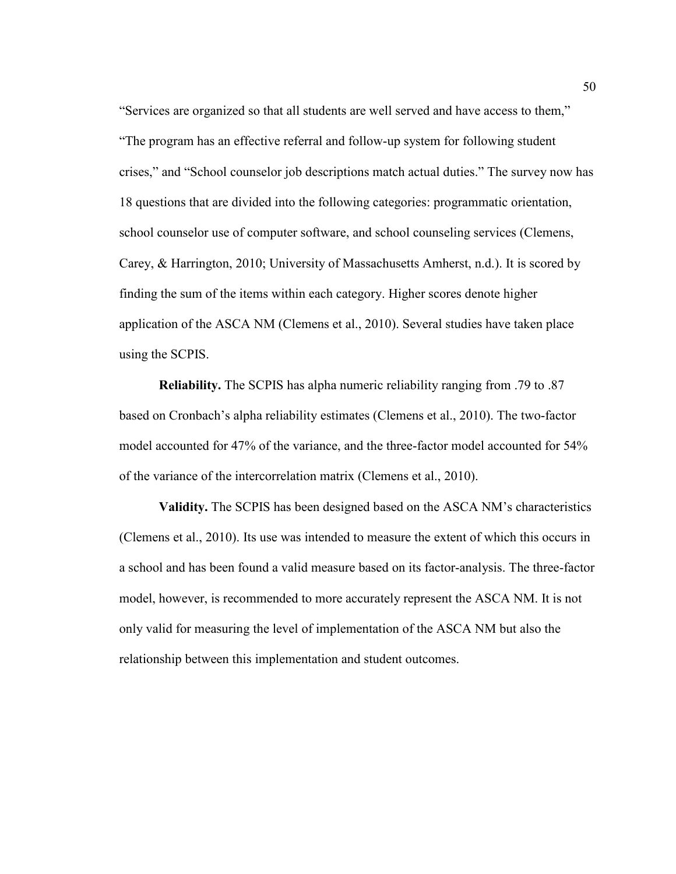"Services are organized so that all students are well served and have access to them," "The program has an effective referral and follow-up system for following student crises," and "School counselor job descriptions match actual duties." The survey now has 18 questions that are divided into the following categories: programmatic orientation, school counselor use of computer software, and school counseling services (Clemens, Carey, & Harrington, 2010; University of Massachusetts Amherst, n.d.). It is scored by finding the sum of the items within each category. Higher scores denote higher application of the ASCA NM (Clemens et al., 2010). Several studies have taken place using the SCPIS.

 **Reliability.** The SCPIS has alpha numeric reliability ranging from .79 to .87 based on Cronbach's alpha reliability estimates (Clemens et al., 2010). The two-factor model accounted for 47% of the variance, and the three-factor model accounted for 54% of the variance of the intercorrelation matrix (Clemens et al., 2010).

 **Validity.** The SCPIS has been designed based on the ASCA NM's characteristics (Clemens et al., 2010). Its use was intended to measure the extent of which this occurs in a school and has been found a valid measure based on its factor-analysis. The three-factor model, however, is recommended to more accurately represent the ASCA NM. It is not only valid for measuring the level of implementation of the ASCA NM but also the relationship between this implementation and student outcomes.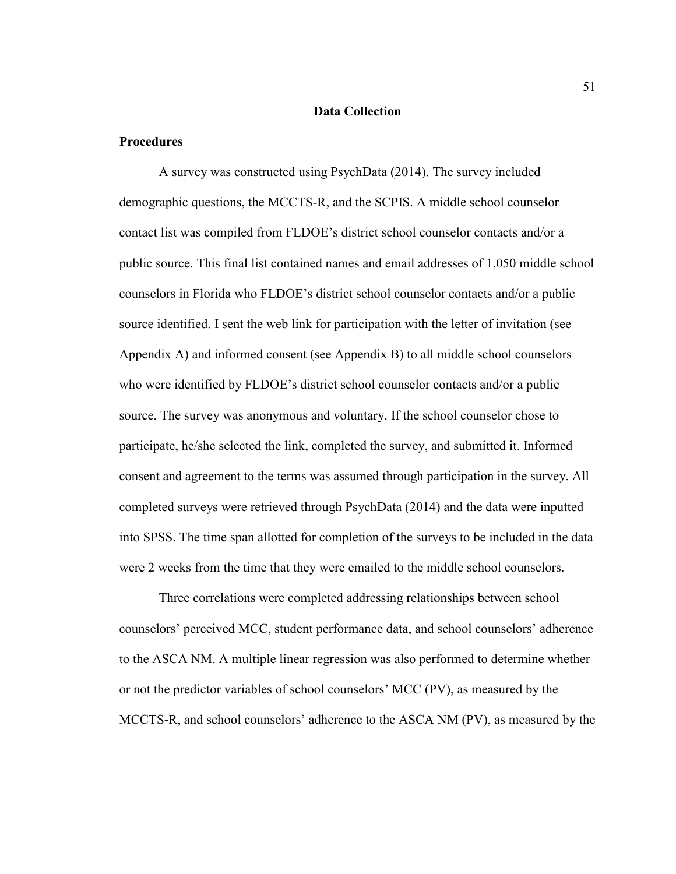#### **Data Collection**

# **Procedures**

A survey was constructed using PsychData (2014). The survey included demographic questions, the MCCTS-R, and the SCPIS. A middle school counselor contact list was compiled from FLDOE's district school counselor contacts and/or a public source. This final list contained names and email addresses of 1,050 middle school counselors in Florida who FLDOE's district school counselor contacts and/or a public source identified. I sent the web link for participation with the letter of invitation (see Appendix A) and informed consent (see Appendix B) to all middle school counselors who were identified by FLDOE's district school counselor contacts and/or a public source. The survey was anonymous and voluntary. If the school counselor chose to participate, he/she selected the link, completed the survey, and submitted it. Informed consent and agreement to the terms was assumed through participation in the survey. All completed surveys were retrieved through PsychData (2014) and the data were inputted into SPSS. The time span allotted for completion of the surveys to be included in the data were 2 weeks from the time that they were emailed to the middle school counselors.

Three correlations were completed addressing relationships between school counselors' perceived MCC, student performance data, and school counselors' adherence to the ASCA NM. A multiple linear regression was also performed to determine whether or not the predictor variables of school counselors' MCC (PV), as measured by the MCCTS-R, and school counselors' adherence to the ASCA NM (PV), as measured by the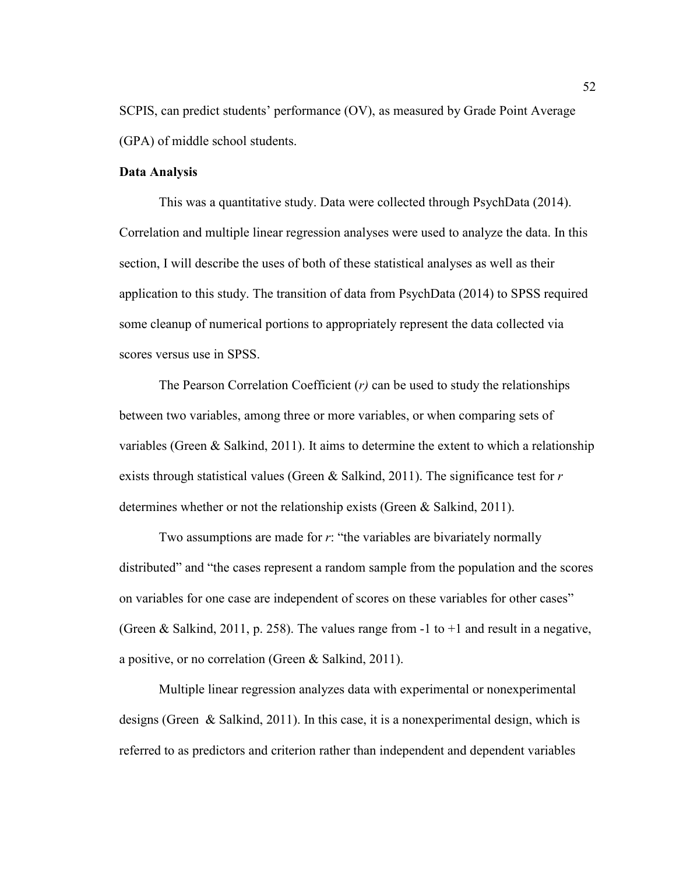SCPIS, can predict students' performance (OV), as measured by Grade Point Average (GPA) of middle school students.

#### **Data Analysis**

This was a quantitative study. Data were collected through PsychData (2014). Correlation and multiple linear regression analyses were used to analyze the data. In this section, I will describe the uses of both of these statistical analyses as well as their application to this study. The transition of data from PsychData (2014) to SPSS required some cleanup of numerical portions to appropriately represent the data collected via scores versus use in SPSS.

The Pearson Correlation Coefficient (*r)* can be used to study the relationships between two variables, among three or more variables, or when comparing sets of variables (Green & Salkind, 2011). It aims to determine the extent to which a relationship exists through statistical values (Green & Salkind, 2011). The significance test for *r* determines whether or not the relationship exists (Green & Salkind, 2011).

Two assumptions are made for *r*: "the variables are bivariately normally distributed" and "the cases represent a random sample from the population and the scores on variables for one case are independent of scores on these variables for other cases" (Green & Salkind, 2011, p. 258). The values range from -1 to  $+1$  and result in a negative, a positive, or no correlation (Green & Salkind, 2011).

Multiple linear regression analyzes data with experimental or nonexperimental designs (Green & Salkind, 2011). In this case, it is a nonexperimental design, which is referred to as predictors and criterion rather than independent and dependent variables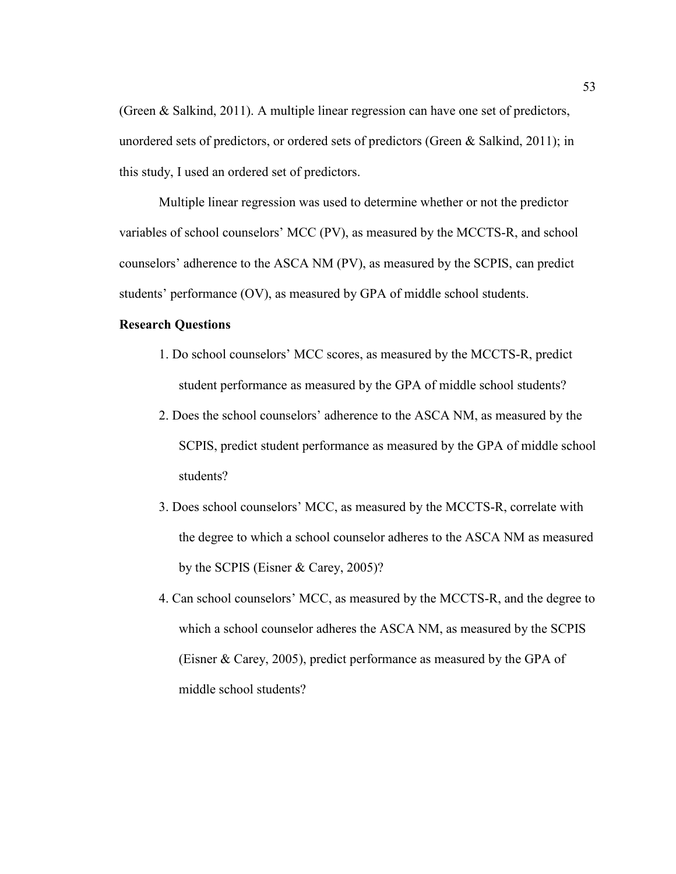(Green & Salkind, 2011). A multiple linear regression can have one set of predictors, unordered sets of predictors, or ordered sets of predictors (Green & Salkind, 2011); in this study, I used an ordered set of predictors.

Multiple linear regression was used to determine whether or not the predictor variables of school counselors' MCC (PV), as measured by the MCCTS-R, and school counselors' adherence to the ASCA NM (PV), as measured by the SCPIS, can predict students' performance (OV), as measured by GPA of middle school students.

### **Research Questions**

- 1. Do school counselors' MCC scores, as measured by the MCCTS-R, predict student performance as measured by the GPA of middle school students?
- 2. Does the school counselors' adherence to the ASCA NM, as measured by the SCPIS, predict student performance as measured by the GPA of middle school students?
- 3. Does school counselors' MCC, as measured by the MCCTS-R, correlate with the degree to which a school counselor adheres to the ASCA NM as measured by the SCPIS (Eisner & Carey, 2005)?
- 4. Can school counselors' MCC, as measured by the MCCTS-R, and the degree to which a school counselor adheres the ASCA NM, as measured by the SCPIS (Eisner & Carey, 2005), predict performance as measured by the GPA of middle school students?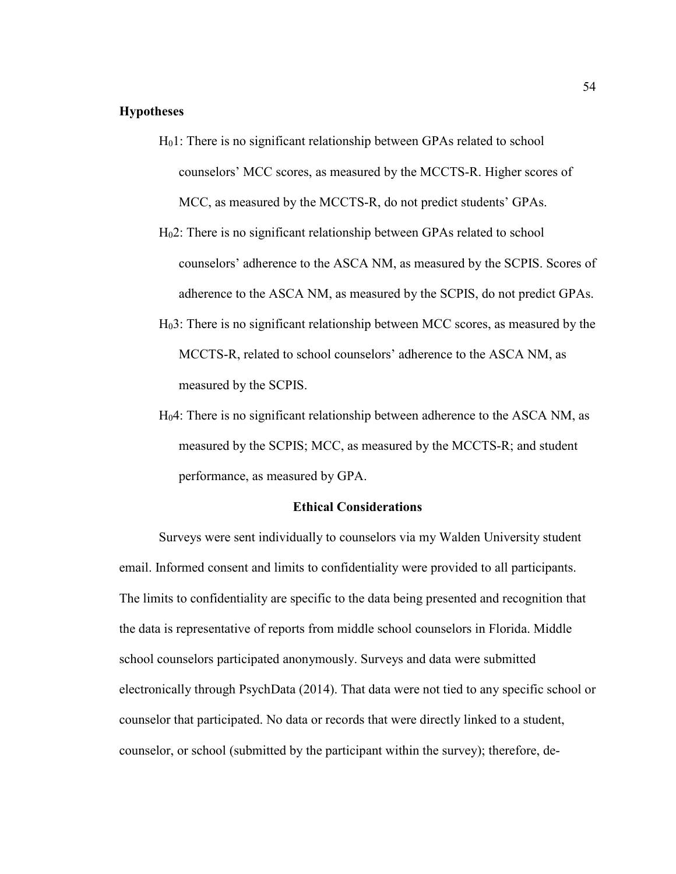# **Hypotheses**

- $H<sub>0</sub>1$ : There is no significant relationship between GPAs related to school counselors' MCC scores, as measured by the MCCTS-R. Higher scores of MCC, as measured by the MCCTS-R, do not predict students' GPAs.
- H02: There is no significant relationship between GPAs related to school counselors' adherence to the ASCA NM, as measured by the SCPIS. Scores of adherence to the ASCA NM, as measured by the SCPIS, do not predict GPAs.
- H03: There is no significant relationship between MCC scores, as measured by the MCCTS-R, related to school counselors' adherence to the ASCA NM, as measured by the SCPIS.
- H04: There is no significant relationship between adherence to the ASCA NM, as measured by the SCPIS; MCC, as measured by the MCCTS-R; and student performance, as measured by GPA.

#### **Ethical Considerations**

Surveys were sent individually to counselors via my Walden University student email. Informed consent and limits to confidentiality were provided to all participants. The limits to confidentiality are specific to the data being presented and recognition that the data is representative of reports from middle school counselors in Florida. Middle school counselors participated anonymously. Surveys and data were submitted electronically through PsychData (2014). That data were not tied to any specific school or counselor that participated. No data or records that were directly linked to a student, counselor, or school (submitted by the participant within the survey); therefore, de-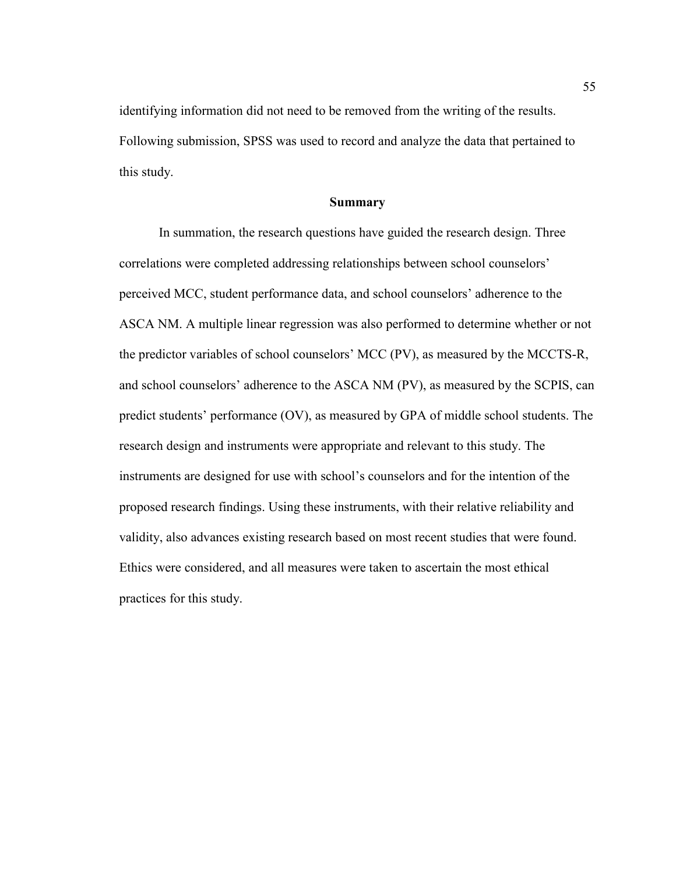identifying information did not need to be removed from the writing of the results. Following submission, SPSS was used to record and analyze the data that pertained to this study.

### **Summary**

In summation, the research questions have guided the research design. Three correlations were completed addressing relationships between school counselors' perceived MCC, student performance data, and school counselors' adherence to the ASCA NM. A multiple linear regression was also performed to determine whether or not the predictor variables of school counselors' MCC (PV), as measured by the MCCTS-R, and school counselors' adherence to the ASCA NM (PV), as measured by the SCPIS, can predict students' performance (OV), as measured by GPA of middle school students. The research design and instruments were appropriate and relevant to this study. The instruments are designed for use with school's counselors and for the intention of the proposed research findings. Using these instruments, with their relative reliability and validity, also advances existing research based on most recent studies that were found. Ethics were considered, and all measures were taken to ascertain the most ethical practices for this study.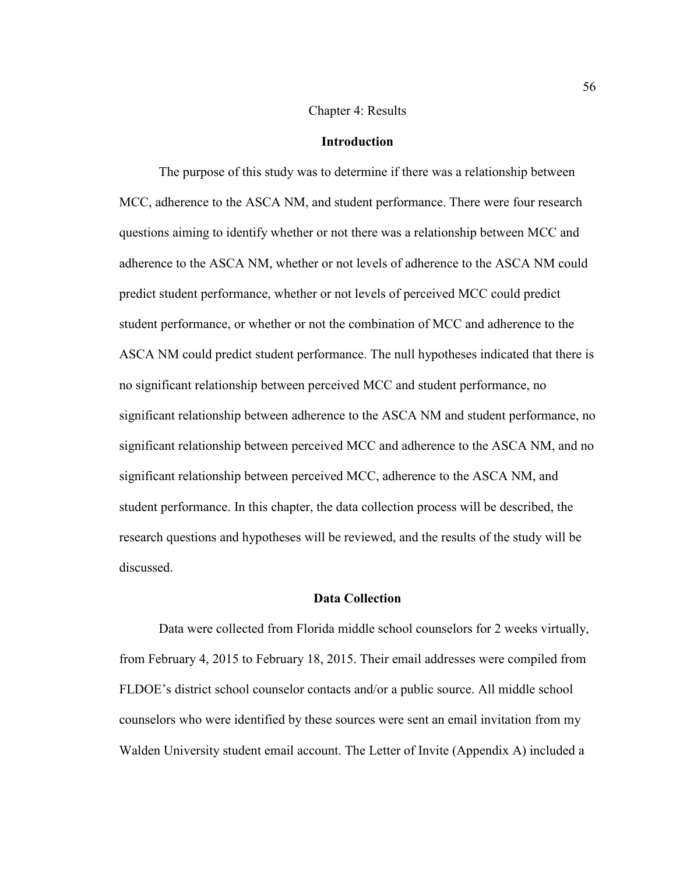### Chapter 4: Results

### **Introduction**

 The purpose of this study was to determine if there was a relationship between MCC, adherence to the ASCA NM, and student performance. There were four research questions aiming to identify whether or not there was a relationship between MCC and adherence to the ASCA NM, whether or not levels of adherence to the ASCA NM could predict student performance, whether or not levels of perceived MCC could predict student performance, or whether or not the combination of MCC and adherence to the ASCA NM could predict student performance. The null hypotheses indicated that there is no significant relationship between perceived MCC and student performance, no significant relationship between adherence to the ASCA NM and student performance, no significant relationship between perceived MCC and adherence to the ASCA NM, and no significant relationship between perceived MCC, adherence to the ASCA NM, and student performance. In this chapter, the data collection process will be described, the research questions and hypotheses will be reviewed, and the results of the study will be discussed.

#### **Data Collection**

 Data were collected from Florida middle school counselors for 2 weeks virtually, from February 4, 2015 to February 18, 2015. Their email addresses were compiled from FLDOE's district school counselor contacts and/or a public source. All middle school counselors who were identified by these sources were sent an email invitation from my Walden University student email account. The Letter of Invite (Appendix A) included a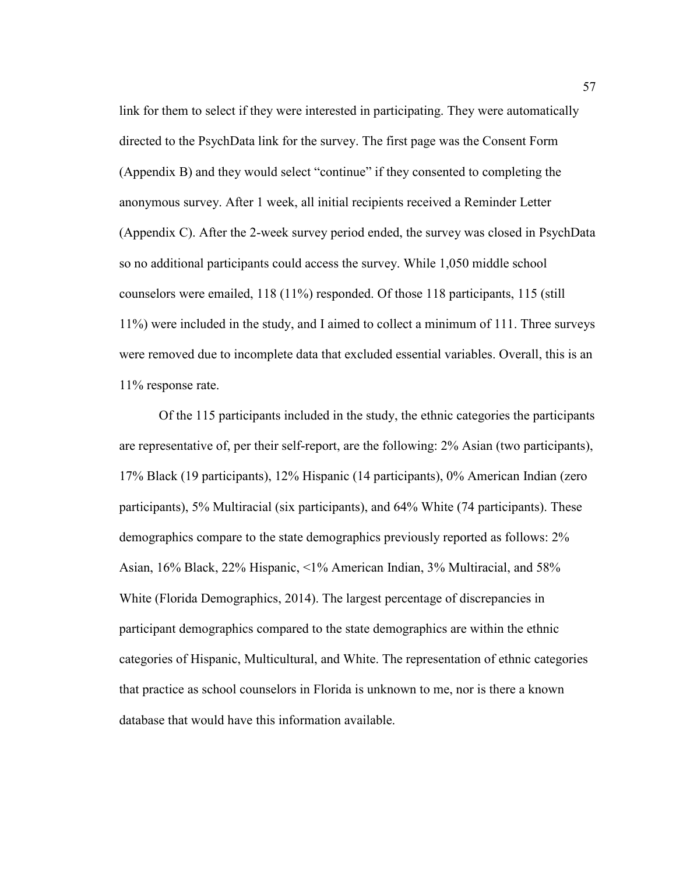link for them to select if they were interested in participating. They were automatically directed to the PsychData link for the survey. The first page was the Consent Form (Appendix B) and they would select "continue" if they consented to completing the anonymous survey. After 1 week, all initial recipients received a Reminder Letter (Appendix C). After the 2-week survey period ended, the survey was closed in PsychData so no additional participants could access the survey. While 1,050 middle school counselors were emailed, 118 (11%) responded. Of those 118 participants, 115 (still 11%) were included in the study, and I aimed to collect a minimum of 111. Three surveys were removed due to incomplete data that excluded essential variables. Overall, this is an 11% response rate.

Of the 115 participants included in the study, the ethnic categories the participants are representative of, per their self-report, are the following: 2% Asian (two participants), 17% Black (19 participants), 12% Hispanic (14 participants), 0% American Indian (zero participants), 5% Multiracial (six participants), and 64% White (74 participants). These demographics compare to the state demographics previously reported as follows: 2% Asian, 16% Black, 22% Hispanic, <1% American Indian, 3% Multiracial, and 58% White (Florida Demographics, 2014). The largest percentage of discrepancies in participant demographics compared to the state demographics are within the ethnic categories of Hispanic, Multicultural, and White. The representation of ethnic categories that practice as school counselors in Florida is unknown to me, nor is there a known database that would have this information available.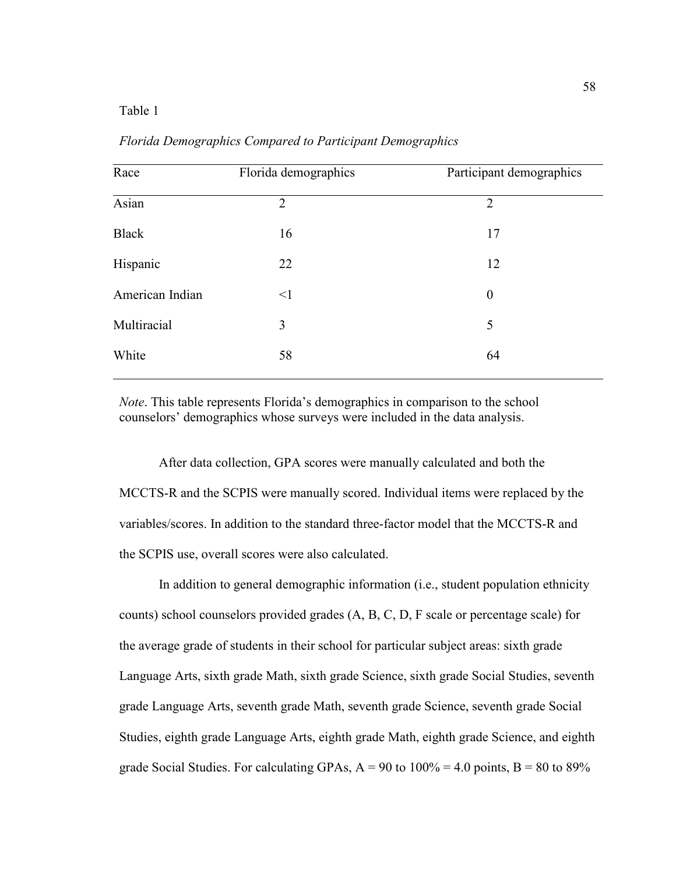# Table 1

| Race            | Florida demographics | Participant demographics |
|-----------------|----------------------|--------------------------|
| Asian           | $\overline{2}$       | $\overline{2}$           |
| <b>Black</b>    | 16                   | 17                       |
| Hispanic        | 22                   | 12                       |
| American Indian | $\leq$ 1             | $\boldsymbol{0}$         |
| Multiracial     | 3                    | 5                        |
| White           | 58                   | 64                       |
|                 |                      |                          |

*Florida Demographics Compared to Participant Demographics*

*Note*. This table represents Florida's demographics in comparison to the school counselors' demographics whose surveys were included in the data analysis.

 After data collection, GPA scores were manually calculated and both the MCCTS-R and the SCPIS were manually scored. Individual items were replaced by the variables/scores. In addition to the standard three-factor model that the MCCTS-R and the SCPIS use, overall scores were also calculated.

 In addition to general demographic information (i.e., student population ethnicity counts) school counselors provided grades (A, B, C, D, F scale or percentage scale) for the average grade of students in their school for particular subject areas: sixth grade Language Arts, sixth grade Math, sixth grade Science, sixth grade Social Studies, seventh grade Language Arts, seventh grade Math, seventh grade Science, seventh grade Social Studies, eighth grade Language Arts, eighth grade Math, eighth grade Science, and eighth grade Social Studies. For calculating GPAs,  $A = 90$  to  $100\% = 4.0$  points,  $B = 80$  to  $89\%$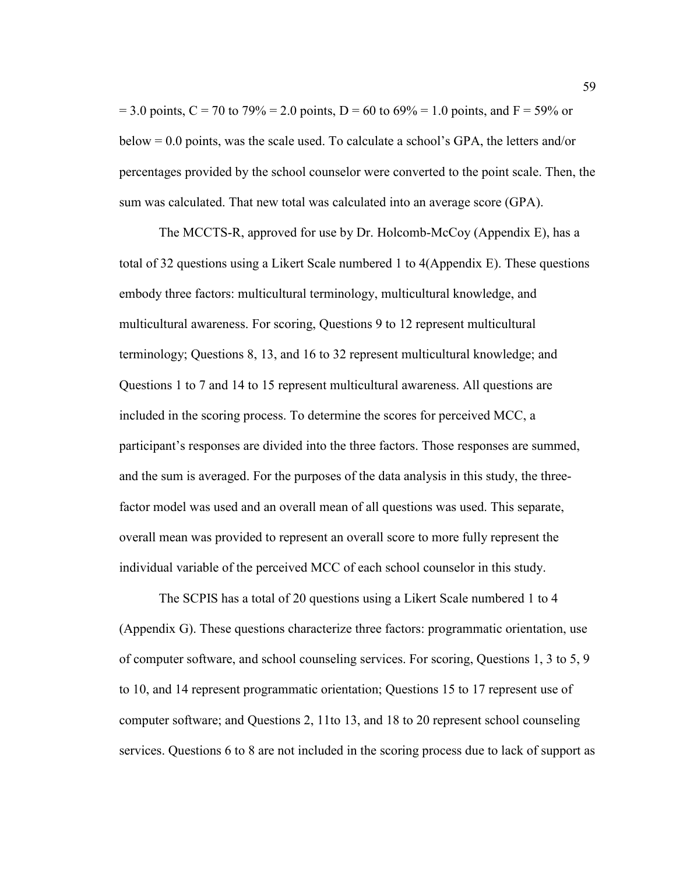$= 3.0$  points, C = 70 to 79% = 2.0 points, D = 60 to 69% = 1.0 points, and F = 59% or below = 0.0 points, was the scale used. To calculate a school's GPA, the letters and/or percentages provided by the school counselor were converted to the point scale. Then, the sum was calculated. That new total was calculated into an average score (GPA).

 The MCCTS-R, approved for use by Dr. Holcomb-McCoy (Appendix E), has a total of 32 questions using a Likert Scale numbered 1 to 4(Appendix E). These questions embody three factors: multicultural terminology, multicultural knowledge, and multicultural awareness. For scoring, Questions 9 to 12 represent multicultural terminology; Questions 8, 13, and 16 to 32 represent multicultural knowledge; and Questions 1 to 7 and 14 to 15 represent multicultural awareness. All questions are included in the scoring process. To determine the scores for perceived MCC, a participant's responses are divided into the three factors. Those responses are summed, and the sum is averaged. For the purposes of the data analysis in this study, the threefactor model was used and an overall mean of all questions was used. This separate, overall mean was provided to represent an overall score to more fully represent the individual variable of the perceived MCC of each school counselor in this study.

 The SCPIS has a total of 20 questions using a Likert Scale numbered 1 to 4 (Appendix G). These questions characterize three factors: programmatic orientation, use of computer software, and school counseling services. For scoring, Questions 1, 3 to 5, 9 to 10, and 14 represent programmatic orientation; Questions 15 to 17 represent use of computer software; and Questions 2, 11to 13, and 18 to 20 represent school counseling services. Questions 6 to 8 are not included in the scoring process due to lack of support as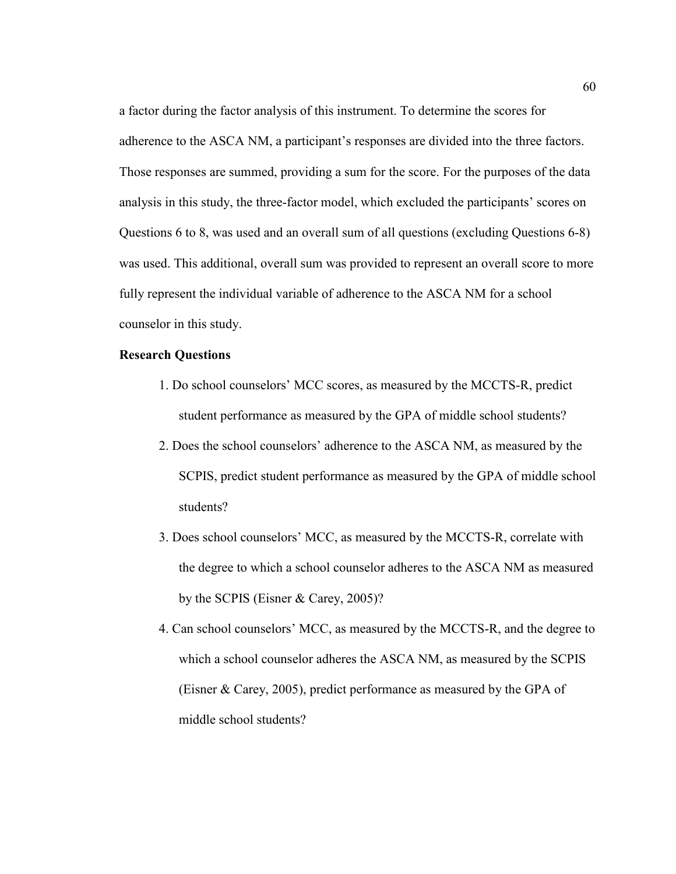a factor during the factor analysis of this instrument. To determine the scores for adherence to the ASCA NM, a participant's responses are divided into the three factors. Those responses are summed, providing a sum for the score. For the purposes of the data analysis in this study, the three-factor model, which excluded the participants' scores on Questions 6 to 8, was used and an overall sum of all questions (excluding Questions 6-8) was used. This additional, overall sum was provided to represent an overall score to more fully represent the individual variable of adherence to the ASCA NM for a school counselor in this study.

#### **Research Questions**

- 1. Do school counselors' MCC scores, as measured by the MCCTS-R, predict student performance as measured by the GPA of middle school students?
- 2. Does the school counselors' adherence to the ASCA NM, as measured by the SCPIS, predict student performance as measured by the GPA of middle school students?
- 3. Does school counselors' MCC, as measured by the MCCTS-R, correlate with the degree to which a school counselor adheres to the ASCA NM as measured by the SCPIS (Eisner & Carey, 2005)?
- 4. Can school counselors' MCC, as measured by the MCCTS-R, and the degree to which a school counselor adheres the ASCA NM, as measured by the SCPIS (Eisner & Carey, 2005), predict performance as measured by the GPA of middle school students?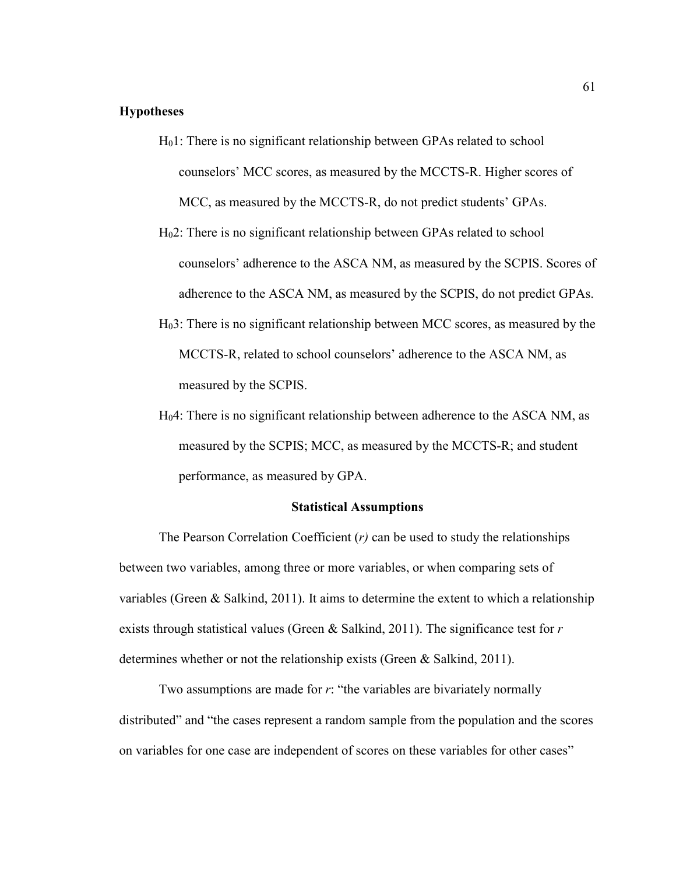# **Hypotheses**

- H01: There is no significant relationship between GPAs related to school counselors' MCC scores, as measured by the MCCTS-R. Higher scores of MCC, as measured by the MCCTS-R, do not predict students' GPAs.
- H02: There is no significant relationship between GPAs related to school counselors' adherence to the ASCA NM, as measured by the SCPIS. Scores of adherence to the ASCA NM, as measured by the SCPIS, do not predict GPAs.
- H03: There is no significant relationship between MCC scores, as measured by the MCCTS-R, related to school counselors' adherence to the ASCA NM, as measured by the SCPIS.
- H04: There is no significant relationship between adherence to the ASCA NM, as measured by the SCPIS; MCC, as measured by the MCCTS-R; and student performance, as measured by GPA.

#### **Statistical Assumptions**

The Pearson Correlation Coefficient (*r)* can be used to study the relationships between two variables, among three or more variables, or when comparing sets of variables (Green & Salkind, 2011). It aims to determine the extent to which a relationship exists through statistical values (Green & Salkind, 2011). The significance test for *r* determines whether or not the relationship exists (Green & Salkind, 2011).

Two assumptions are made for *r*: "the variables are bivariately normally distributed" and "the cases represent a random sample from the population and the scores on variables for one case are independent of scores on these variables for other cases"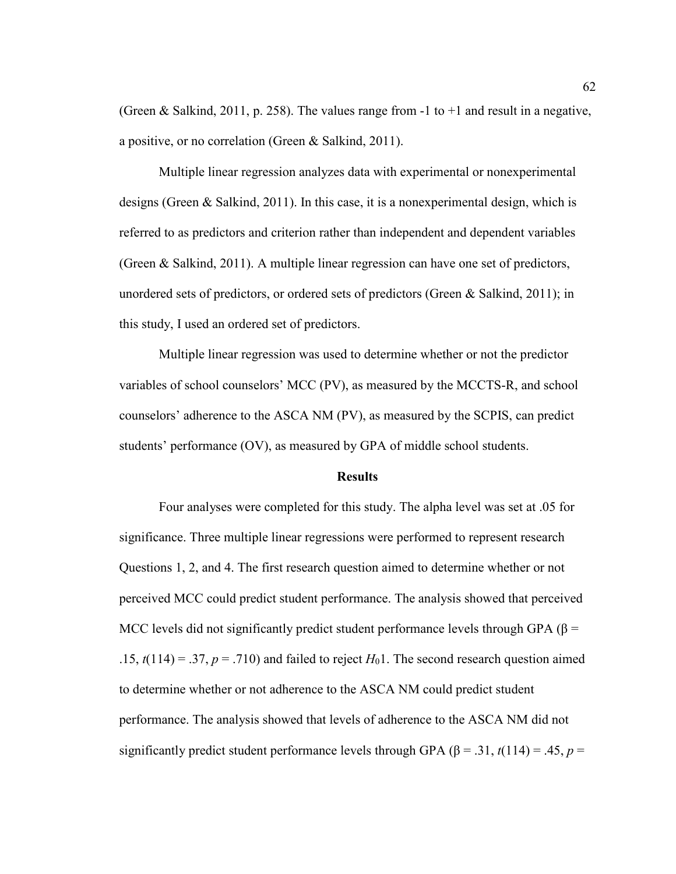(Green & Salkind, 2011, p. 258). The values range from  $-1$  to  $+1$  and result in a negative, a positive, or no correlation (Green & Salkind, 2011).

Multiple linear regression analyzes data with experimental or nonexperimental designs (Green & Salkind, 2011). In this case, it is a nonexperimental design, which is referred to as predictors and criterion rather than independent and dependent variables (Green & Salkind, 2011). A multiple linear regression can have one set of predictors, unordered sets of predictors, or ordered sets of predictors (Green  $\&$  Salkind, 2011); in this study, I used an ordered set of predictors.

Multiple linear regression was used to determine whether or not the predictor variables of school counselors' MCC (PV), as measured by the MCCTS-R, and school counselors' adherence to the ASCA NM (PV), as measured by the SCPIS, can predict students' performance (OV), as measured by GPA of middle school students.

### **Results**

 Four analyses were completed for this study. The alpha level was set at .05 for significance. Three multiple linear regressions were performed to represent research Questions 1, 2, and 4. The first research question aimed to determine whether or not perceived MCC could predict student performance. The analysis showed that perceived MCC levels did not significantly predict student performance levels through GPA ( $\beta$  = .15,  $t(114) = .37$ ,  $p = .710$ ) and failed to reject  $H_01$ . The second research question aimed to determine whether or not adherence to the ASCA NM could predict student performance. The analysis showed that levels of adherence to the ASCA NM did not significantly predict student performance levels through GPA ( $\beta$  = .31, *t*(114) = .45, *p* =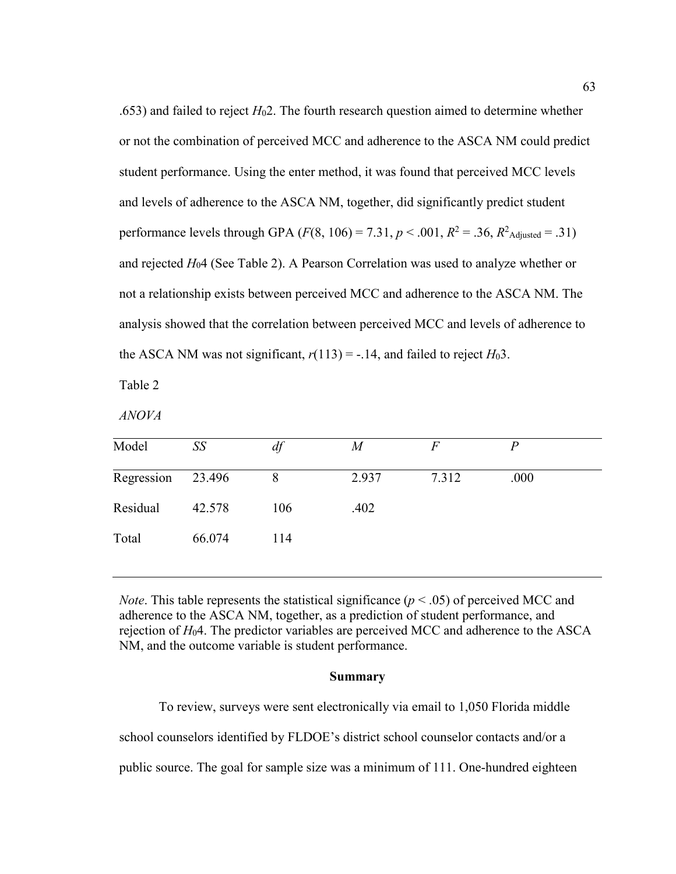.653) and failed to reject  $H<sub>0</sub>2$ . The fourth research question aimed to determine whether or not the combination of perceived MCC and adherence to the ASCA NM could predict student performance. Using the enter method, it was found that perceived MCC levels and levels of adherence to the ASCA NM, together, did significantly predict student performance levels through GPA  $(F(8, 106) = 7.31, p < .001, R^2 = .36, R^2$ <sub>Adjusted</sub> = .31) and rejected *H*04 (See Table 2). A Pearson Correlation was used to analyze whether or not a relationship exists between perceived MCC and adherence to the ASCA NM. The analysis showed that the correlation between perceived MCC and levels of adherence to the ASCA NM was not significant,  $r(113) = -0.14$ , and failed to reject  $H_03$ .

Table 2

*ANOVA* 

| Model             | SS     | df  | M     | $\,F$ | $\boldsymbol{p}$ |
|-------------------|--------|-----|-------|-------|------------------|
| Regression 23.496 |        | 8   | 2.937 | 7.312 | .000             |
| Residual          | 42.578 | 106 | .402  |       |                  |
| Total             | 66.074 | 114 |       |       |                  |

*Note*. This table represents the statistical significance ( $p < .05$ ) of perceived MCC and adherence to the ASCA NM, together, as a prediction of student performance, and rejection of *H*04. The predictor variables are perceived MCC and adherence to the ASCA NM, and the outcome variable is student performance.

# **Summary**

 To review, surveys were sent electronically via email to 1,050 Florida middle school counselors identified by FLDOE's district school counselor contacts and/or a public source. The goal for sample size was a minimum of 111. One-hundred eighteen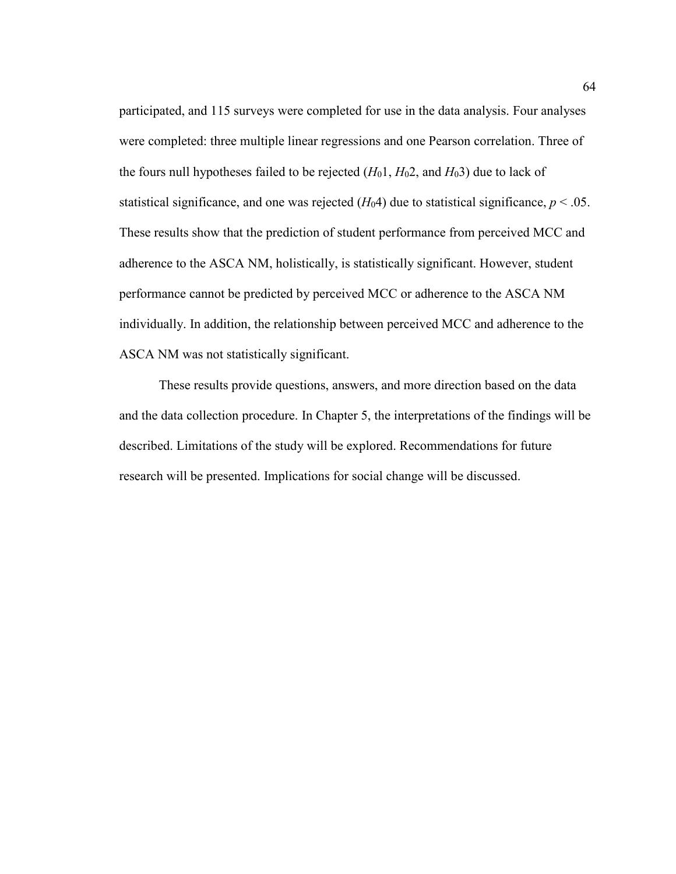participated, and 115 surveys were completed for use in the data analysis. Four analyses were completed: three multiple linear regressions and one Pearson correlation. Three of the fours null hypotheses failed to be rejected  $(H_01, H_02,$  and  $H_03)$  due to lack of statistical significance, and one was rejected  $(H_04)$  due to statistical significance,  $p < .05$ . These results show that the prediction of student performance from perceived MCC and adherence to the ASCA NM, holistically, is statistically significant. However, student performance cannot be predicted by perceived MCC or adherence to the ASCA NM individually. In addition, the relationship between perceived MCC and adherence to the ASCA NM was not statistically significant.

These results provide questions, answers, and more direction based on the data and the data collection procedure. In Chapter 5, the interpretations of the findings will be described. Limitations of the study will be explored. Recommendations for future research will be presented. Implications for social change will be discussed.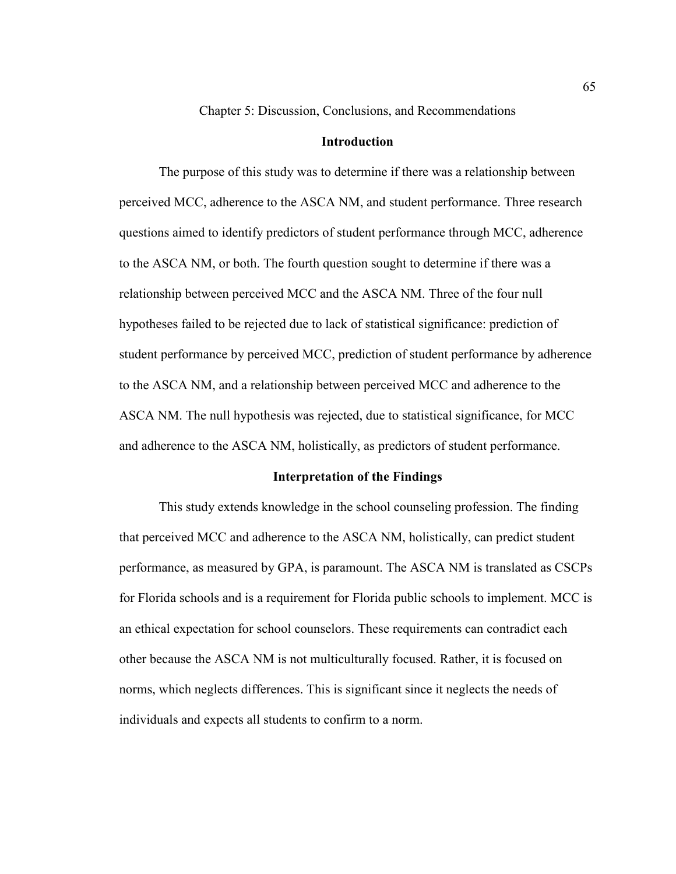Chapter 5: Discussion, Conclusions, and Recommendations

# **Introduction**

 The purpose of this study was to determine if there was a relationship between perceived MCC, adherence to the ASCA NM, and student performance. Three research questions aimed to identify predictors of student performance through MCC, adherence to the ASCA NM, or both. The fourth question sought to determine if there was a relationship between perceived MCC and the ASCA NM. Three of the four null hypotheses failed to be rejected due to lack of statistical significance: prediction of student performance by perceived MCC, prediction of student performance by adherence to the ASCA NM, and a relationship between perceived MCC and adherence to the ASCA NM. The null hypothesis was rejected, due to statistical significance, for MCC and adherence to the ASCA NM, holistically, as predictors of student performance.

#### **Interpretation of the Findings**

 This study extends knowledge in the school counseling profession. The finding that perceived MCC and adherence to the ASCA NM, holistically, can predict student performance, as measured by GPA, is paramount. The ASCA NM is translated as CSCPs for Florida schools and is a requirement for Florida public schools to implement. MCC is an ethical expectation for school counselors. These requirements can contradict each other because the ASCA NM is not multiculturally focused. Rather, it is focused on norms, which neglects differences. This is significant since it neglects the needs of individuals and expects all students to confirm to a norm.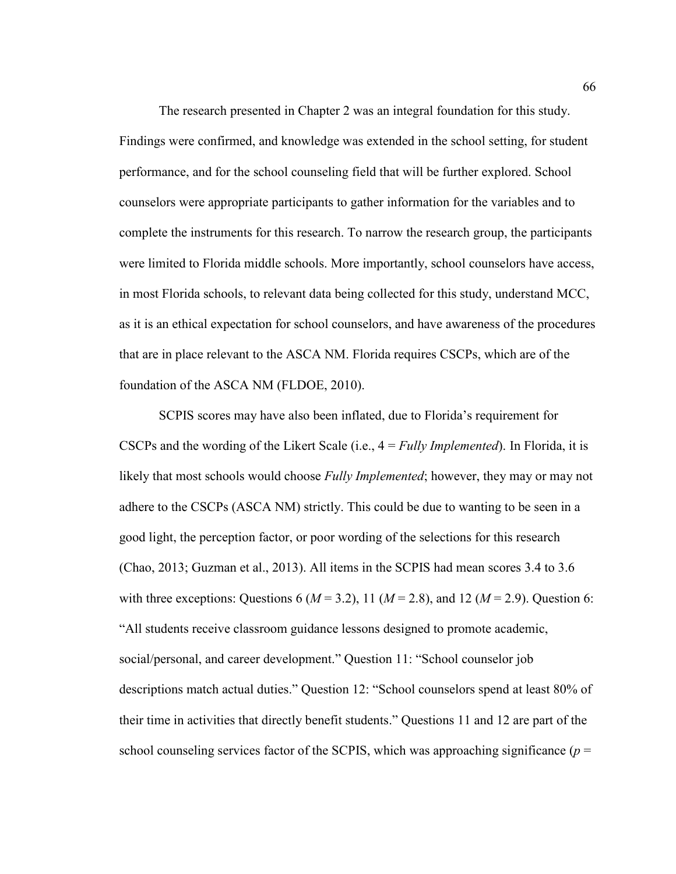The research presented in Chapter 2 was an integral foundation for this study. Findings were confirmed, and knowledge was extended in the school setting, for student performance, and for the school counseling field that will be further explored. School counselors were appropriate participants to gather information for the variables and to complete the instruments for this research. To narrow the research group, the participants were limited to Florida middle schools. More importantly, school counselors have access, in most Florida schools, to relevant data being collected for this study, understand MCC, as it is an ethical expectation for school counselors, and have awareness of the procedures that are in place relevant to the ASCA NM. Florida requires CSCPs, which are of the foundation of the ASCA NM (FLDOE, 2010).

 SCPIS scores may have also been inflated, due to Florida's requirement for CSCPs and the wording of the Likert Scale (i.e., 4 = *Fully Implemented*). In Florida, it is likely that most schools would choose *Fully Implemented*; however, they may or may not adhere to the CSCPs (ASCA NM) strictly. This could be due to wanting to be seen in a good light, the perception factor, or poor wording of the selections for this research (Chao, 2013; Guzman et al., 2013). All items in the SCPIS had mean scores 3.4 to 3.6 with three exceptions: Questions 6 ( $M = 3.2$ ), 11 ( $M = 2.8$ ), and 12 ( $M = 2.9$ ). Question 6: "All students receive classroom guidance lessons designed to promote academic, social/personal, and career development." Question 11: "School counselor job descriptions match actual duties." Question 12: "School counselors spend at least 80% of their time in activities that directly benefit students." Questions 11 and 12 are part of the school counseling services factor of the SCPIS, which was approaching significance  $(p =$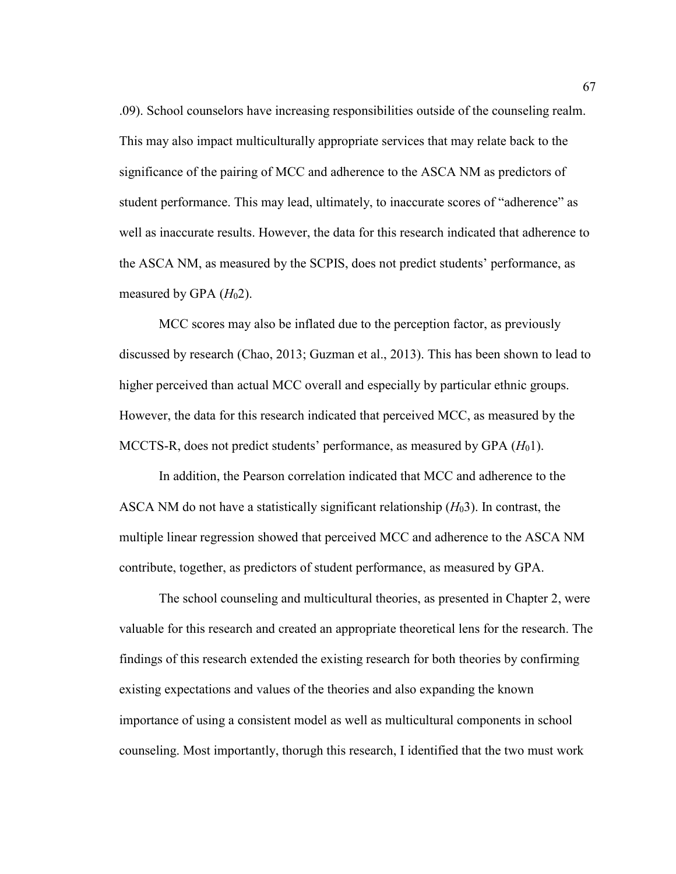.09). School counselors have increasing responsibilities outside of the counseling realm. This may also impact multiculturally appropriate services that may relate back to the significance of the pairing of MCC and adherence to the ASCA NM as predictors of student performance. This may lead, ultimately, to inaccurate scores of "adherence" as well as inaccurate results. However, the data for this research indicated that adherence to the ASCA NM, as measured by the SCPIS, does not predict students' performance, as measured by GPA  $(H<sub>0</sub>2)$ .

 MCC scores may also be inflated due to the perception factor, as previously discussed by research (Chao, 2013; Guzman et al., 2013). This has been shown to lead to higher perceived than actual MCC overall and especially by particular ethnic groups. However, the data for this research indicated that perceived MCC, as measured by the MCCTS-R, does not predict students' performance, as measured by GPA (*H*01).

In addition, the Pearson correlation indicated that MCC and adherence to the ASCA NM do not have a statistically significant relationship (*H*03). In contrast, the multiple linear regression showed that perceived MCC and adherence to the ASCA NM contribute, together, as predictors of student performance, as measured by GPA.

The school counseling and multicultural theories, as presented in Chapter 2, were valuable for this research and created an appropriate theoretical lens for the research. The findings of this research extended the existing research for both theories by confirming existing expectations and values of the theories and also expanding the known importance of using a consistent model as well as multicultural components in school counseling. Most importantly, thorugh this research, I identified that the two must work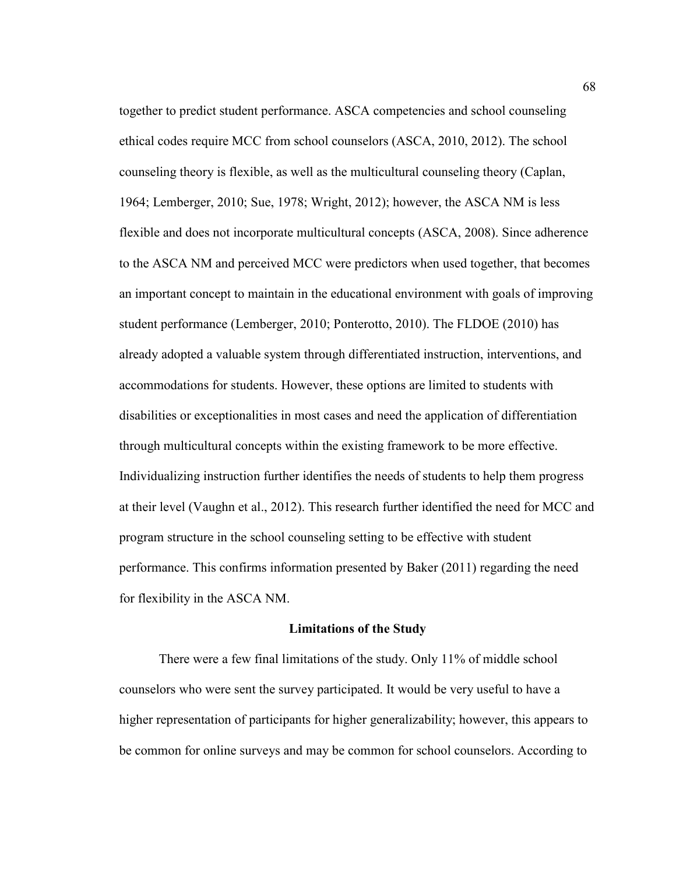together to predict student performance. ASCA competencies and school counseling ethical codes require MCC from school counselors (ASCA, 2010, 2012). The school counseling theory is flexible, as well as the multicultural counseling theory (Caplan, 1964; Lemberger, 2010; Sue, 1978; Wright, 2012); however, the ASCA NM is less flexible and does not incorporate multicultural concepts (ASCA, 2008). Since adherence to the ASCA NM and perceived MCC were predictors when used together, that becomes an important concept to maintain in the educational environment with goals of improving student performance (Lemberger, 2010; Ponterotto, 2010). The FLDOE (2010) has already adopted a valuable system through differentiated instruction, interventions, and accommodations for students. However, these options are limited to students with disabilities or exceptionalities in most cases and need the application of differentiation through multicultural concepts within the existing framework to be more effective. Individualizing instruction further identifies the needs of students to help them progress at their level (Vaughn et al., 2012). This research further identified the need for MCC and program structure in the school counseling setting to be effective with student performance. This confirms information presented by Baker (2011) regarding the need for flexibility in the ASCA NM.

#### **Limitations of the Study**

There were a few final limitations of the study. Only 11% of middle school counselors who were sent the survey participated. It would be very useful to have a higher representation of participants for higher generalizability; however, this appears to be common for online surveys and may be common for school counselors. According to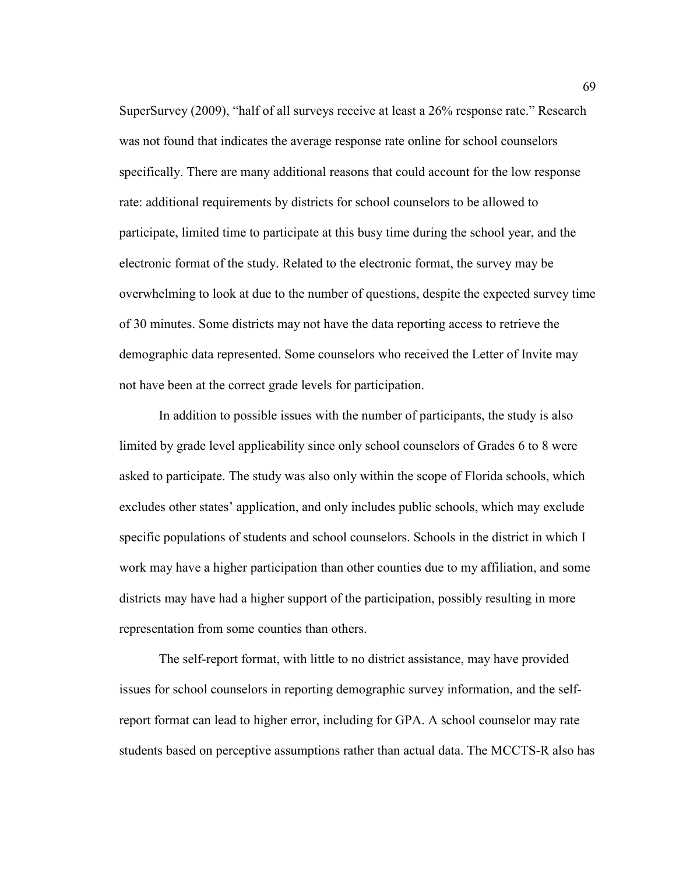SuperSurvey (2009), "half of all surveys receive at least a 26% response rate." Research was not found that indicates the average response rate online for school counselors specifically. There are many additional reasons that could account for the low response rate: additional requirements by districts for school counselors to be allowed to participate, limited time to participate at this busy time during the school year, and the electronic format of the study. Related to the electronic format, the survey may be overwhelming to look at due to the number of questions, despite the expected survey time of 30 minutes. Some districts may not have the data reporting access to retrieve the demographic data represented. Some counselors who received the Letter of Invite may not have been at the correct grade levels for participation.

 In addition to possible issues with the number of participants, the study is also limited by grade level applicability since only school counselors of Grades 6 to 8 were asked to participate. The study was also only within the scope of Florida schools, which excludes other states' application, and only includes public schools, which may exclude specific populations of students and school counselors. Schools in the district in which I work may have a higher participation than other counties due to my affiliation, and some districts may have had a higher support of the participation, possibly resulting in more representation from some counties than others.

 The self-report format, with little to no district assistance, may have provided issues for school counselors in reporting demographic survey information, and the selfreport format can lead to higher error, including for GPA. A school counselor may rate students based on perceptive assumptions rather than actual data. The MCCTS-R also has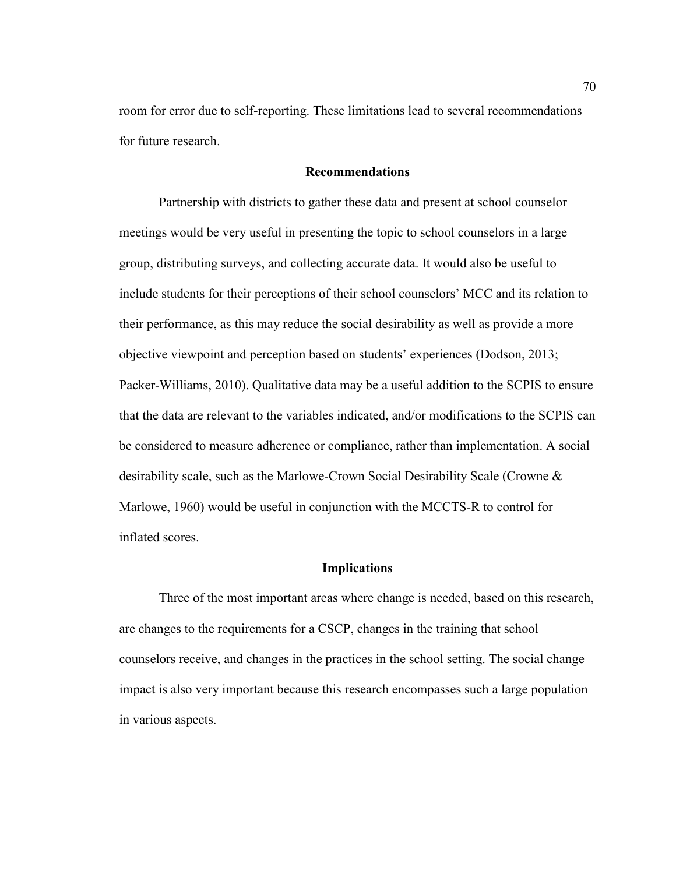room for error due to self-reporting. These limitations lead to several recommendations for future research.

# **Recommendations**

 Partnership with districts to gather these data and present at school counselor meetings would be very useful in presenting the topic to school counselors in a large group, distributing surveys, and collecting accurate data. It would also be useful to include students for their perceptions of their school counselors' MCC and its relation to their performance, as this may reduce the social desirability as well as provide a more objective viewpoint and perception based on students' experiences (Dodson, 2013; Packer-Williams, 2010). Qualitative data may be a useful addition to the SCPIS to ensure that the data are relevant to the variables indicated, and/or modifications to the SCPIS can be considered to measure adherence or compliance, rather than implementation. A social desirability scale, such as the Marlowe-Crown Social Desirability Scale (Crowne & Marlowe, 1960) would be useful in conjunction with the MCCTS-R to control for inflated scores.

# **Implications**

Three of the most important areas where change is needed, based on this research, are changes to the requirements for a CSCP, changes in the training that school counselors receive, and changes in the practices in the school setting. The social change impact is also very important because this research encompasses such a large population in various aspects.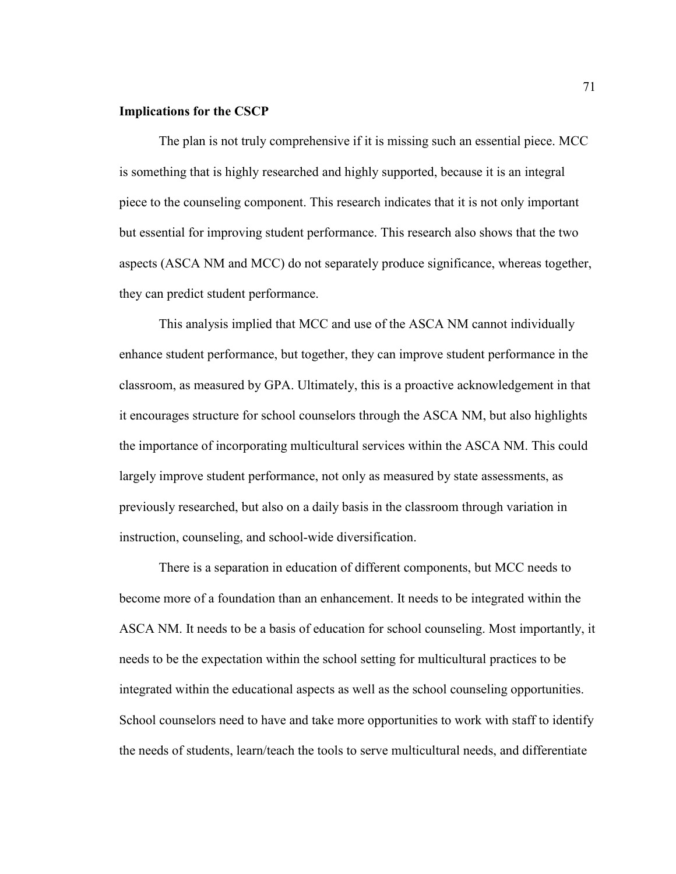#### **Implications for the CSCP**

 The plan is not truly comprehensive if it is missing such an essential piece. MCC is something that is highly researched and highly supported, because it is an integral piece to the counseling component. This research indicates that it is not only important but essential for improving student performance. This research also shows that the two aspects (ASCA NM and MCC) do not separately produce significance, whereas together, they can predict student performance.

This analysis implied that MCC and use of the ASCA NM cannot individually enhance student performance, but together, they can improve student performance in the classroom, as measured by GPA. Ultimately, this is a proactive acknowledgement in that it encourages structure for school counselors through the ASCA NM, but also highlights the importance of incorporating multicultural services within the ASCA NM. This could largely improve student performance, not only as measured by state assessments, as previously researched, but also on a daily basis in the classroom through variation in instruction, counseling, and school-wide diversification.

There is a separation in education of different components, but MCC needs to become more of a foundation than an enhancement. It needs to be integrated within the ASCA NM. It needs to be a basis of education for school counseling. Most importantly, it needs to be the expectation within the school setting for multicultural practices to be integrated within the educational aspects as well as the school counseling opportunities. School counselors need to have and take more opportunities to work with staff to identify the needs of students, learn/teach the tools to serve multicultural needs, and differentiate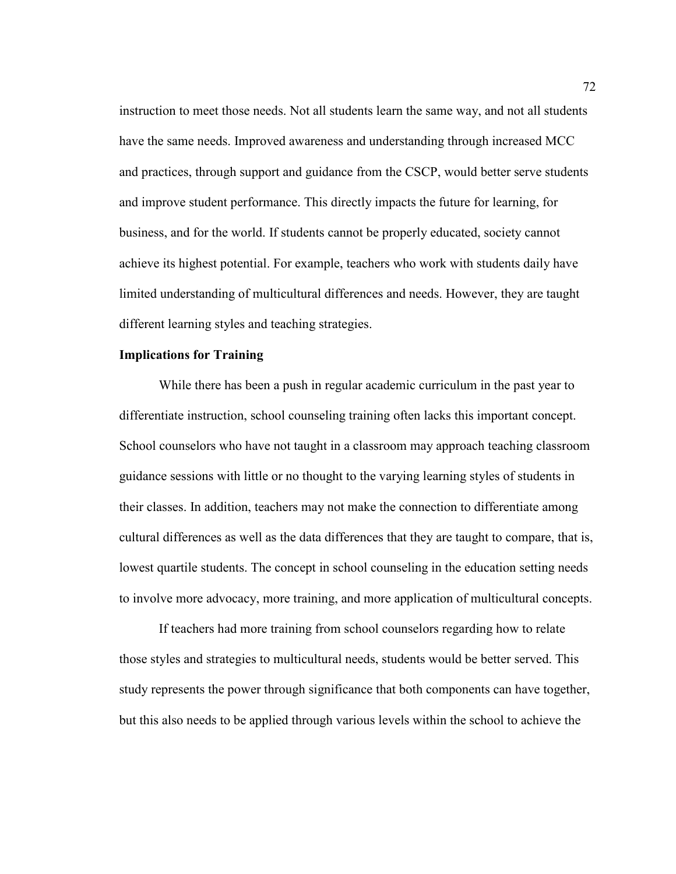instruction to meet those needs. Not all students learn the same way, and not all students have the same needs. Improved awareness and understanding through increased MCC and practices, through support and guidance from the CSCP, would better serve students and improve student performance. This directly impacts the future for learning, for business, and for the world. If students cannot be properly educated, society cannot achieve its highest potential. For example, teachers who work with students daily have limited understanding of multicultural differences and needs. However, they are taught different learning styles and teaching strategies.

# **Implications for Training**

While there has been a push in regular academic curriculum in the past year to differentiate instruction, school counseling training often lacks this important concept. School counselors who have not taught in a classroom may approach teaching classroom guidance sessions with little or no thought to the varying learning styles of students in their classes. In addition, teachers may not make the connection to differentiate among cultural differences as well as the data differences that they are taught to compare, that is, lowest quartile students. The concept in school counseling in the education setting needs to involve more advocacy, more training, and more application of multicultural concepts.

If teachers had more training from school counselors regarding how to relate those styles and strategies to multicultural needs, students would be better served. This study represents the power through significance that both components can have together, but this also needs to be applied through various levels within the school to achieve the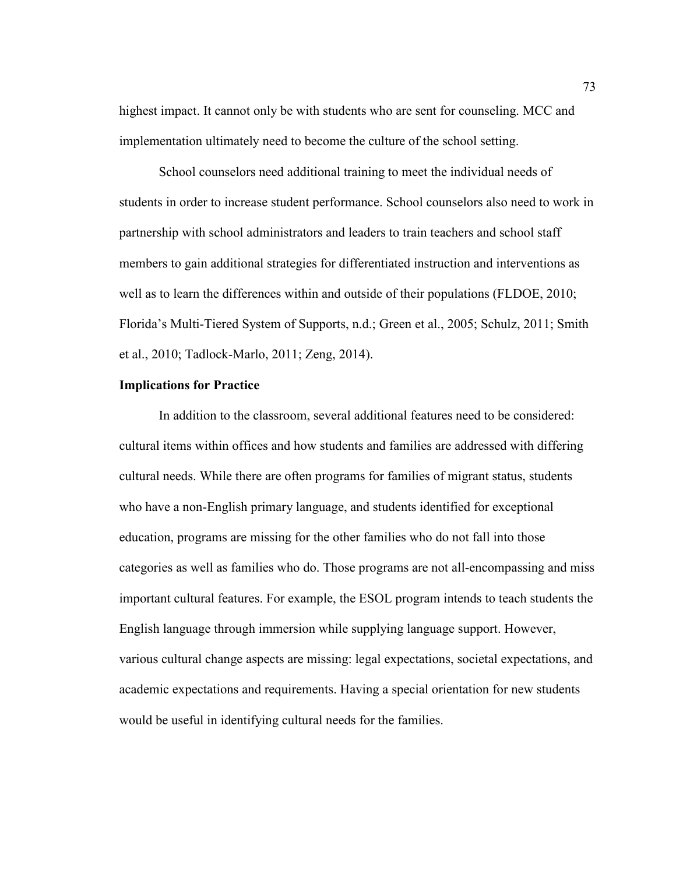highest impact. It cannot only be with students who are sent for counseling. MCC and implementation ultimately need to become the culture of the school setting.

School counselors need additional training to meet the individual needs of students in order to increase student performance. School counselors also need to work in partnership with school administrators and leaders to train teachers and school staff members to gain additional strategies for differentiated instruction and interventions as well as to learn the differences within and outside of their populations (FLDOE, 2010; Florida's Multi-Tiered System of Supports, n.d.; Green et al., 2005; Schulz, 2011; Smith et al., 2010; Tadlock-Marlo, 2011; Zeng, 2014).

# **Implications for Practice**

 In addition to the classroom, several additional features need to be considered: cultural items within offices and how students and families are addressed with differing cultural needs. While there are often programs for families of migrant status, students who have a non-English primary language, and students identified for exceptional education, programs are missing for the other families who do not fall into those categories as well as families who do. Those programs are not all-encompassing and miss important cultural features. For example, the ESOL program intends to teach students the English language through immersion while supplying language support. However, various cultural change aspects are missing: legal expectations, societal expectations, and academic expectations and requirements. Having a special orientation for new students would be useful in identifying cultural needs for the families.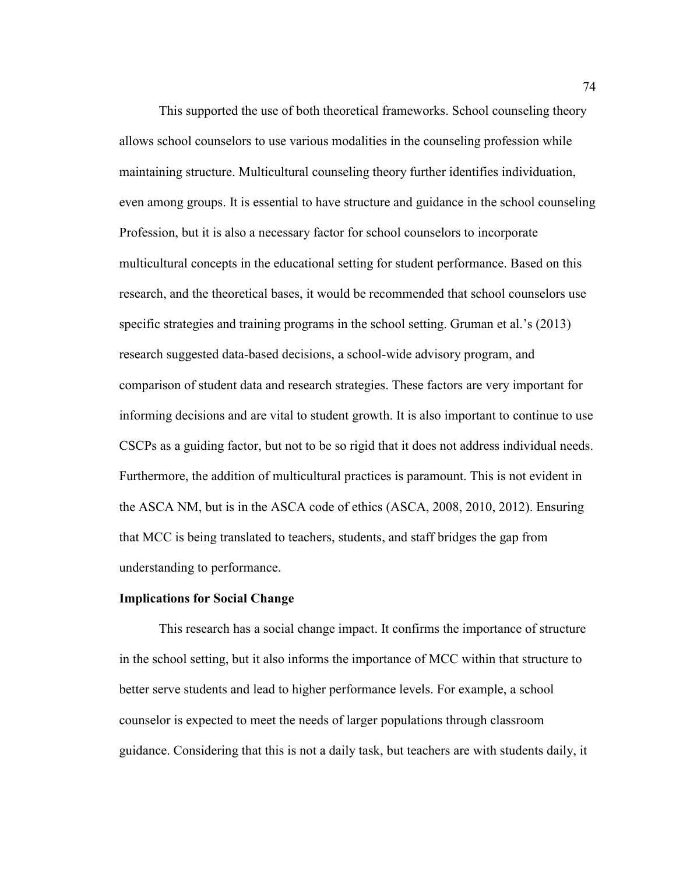This supported the use of both theoretical frameworks. School counseling theory allows school counselors to use various modalities in the counseling profession while maintaining structure. Multicultural counseling theory further identifies individuation, even among groups. It is essential to have structure and guidance in the school counseling Profession, but it is also a necessary factor for school counselors to incorporate multicultural concepts in the educational setting for student performance. Based on this research, and the theoretical bases, it would be recommended that school counselors use specific strategies and training programs in the school setting. Gruman et al.'s (2013) research suggested data-based decisions, a school-wide advisory program, and comparison of student data and research strategies. These factors are very important for informing decisions and are vital to student growth. It is also important to continue to use CSCPs as a guiding factor, but not to be so rigid that it does not address individual needs. Furthermore, the addition of multicultural practices is paramount. This is not evident in the ASCA NM, but is in the ASCA code of ethics (ASCA, 2008, 2010, 2012). Ensuring that MCC is being translated to teachers, students, and staff bridges the gap from understanding to performance.

### **Implications for Social Change**

This research has a social change impact. It confirms the importance of structure in the school setting, but it also informs the importance of MCC within that structure to better serve students and lead to higher performance levels. For example, a school counselor is expected to meet the needs of larger populations through classroom guidance. Considering that this is not a daily task, but teachers are with students daily, it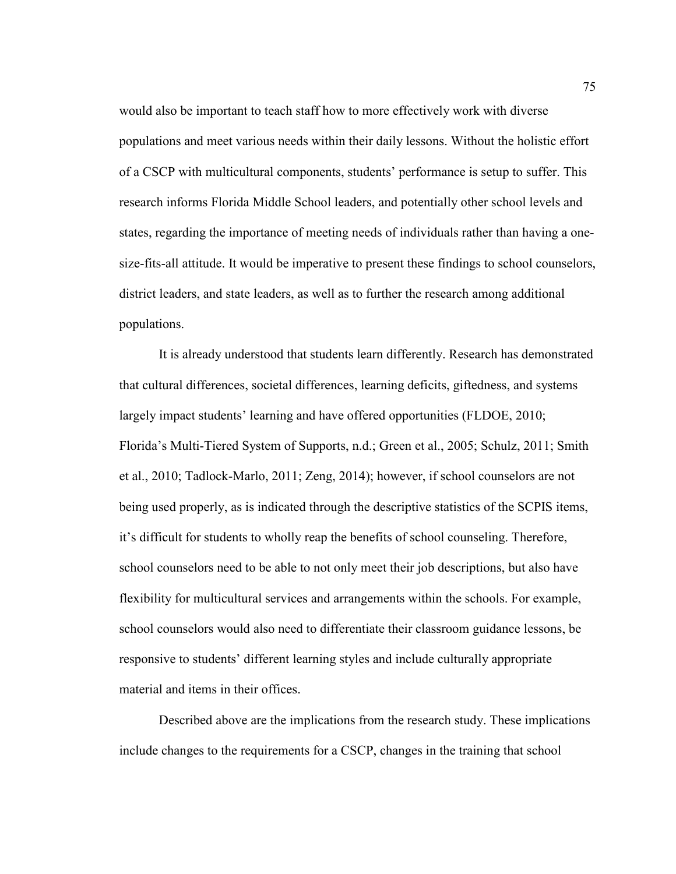would also be important to teach staff how to more effectively work with diverse populations and meet various needs within their daily lessons. Without the holistic effort of a CSCP with multicultural components, students' performance is setup to suffer. This research informs Florida Middle School leaders, and potentially other school levels and states, regarding the importance of meeting needs of individuals rather than having a onesize-fits-all attitude. It would be imperative to present these findings to school counselors, district leaders, and state leaders, as well as to further the research among additional populations.

 It is already understood that students learn differently. Research has demonstrated that cultural differences, societal differences, learning deficits, giftedness, and systems largely impact students' learning and have offered opportunities (FLDOE, 2010; Florida's Multi-Tiered System of Supports, n.d.; Green et al., 2005; Schulz, 2011; Smith et al., 2010; Tadlock-Marlo, 2011; Zeng, 2014); however, if school counselors are not being used properly, as is indicated through the descriptive statistics of the SCPIS items, it's difficult for students to wholly reap the benefits of school counseling. Therefore, school counselors need to be able to not only meet their job descriptions, but also have flexibility for multicultural services and arrangements within the schools. For example, school counselors would also need to differentiate their classroom guidance lessons, be responsive to students' different learning styles and include culturally appropriate material and items in their offices.

Described above are the implications from the research study. These implications include changes to the requirements for a CSCP, changes in the training that school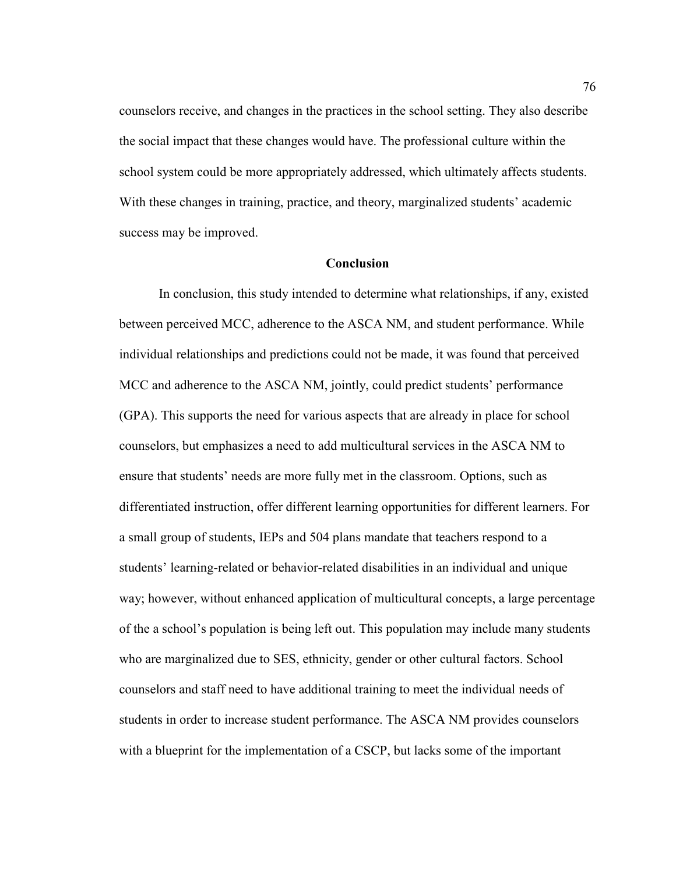counselors receive, and changes in the practices in the school setting. They also describe the social impact that these changes would have. The professional culture within the school system could be more appropriately addressed, which ultimately affects students. With these changes in training, practice, and theory, marginalized students' academic success may be improved.

# **Conclusion**

 In conclusion, this study intended to determine what relationships, if any, existed between perceived MCC, adherence to the ASCA NM, and student performance. While individual relationships and predictions could not be made, it was found that perceived MCC and adherence to the ASCA NM, jointly, could predict students' performance (GPA). This supports the need for various aspects that are already in place for school counselors, but emphasizes a need to add multicultural services in the ASCA NM to ensure that students' needs are more fully met in the classroom. Options, such as differentiated instruction, offer different learning opportunities for different learners. For a small group of students, IEPs and 504 plans mandate that teachers respond to a students' learning-related or behavior-related disabilities in an individual and unique way; however, without enhanced application of multicultural concepts, a large percentage of the a school's population is being left out. This population may include many students who are marginalized due to SES, ethnicity, gender or other cultural factors. School counselors and staff need to have additional training to meet the individual needs of students in order to increase student performance. The ASCA NM provides counselors with a blueprint for the implementation of a CSCP, but lacks some of the important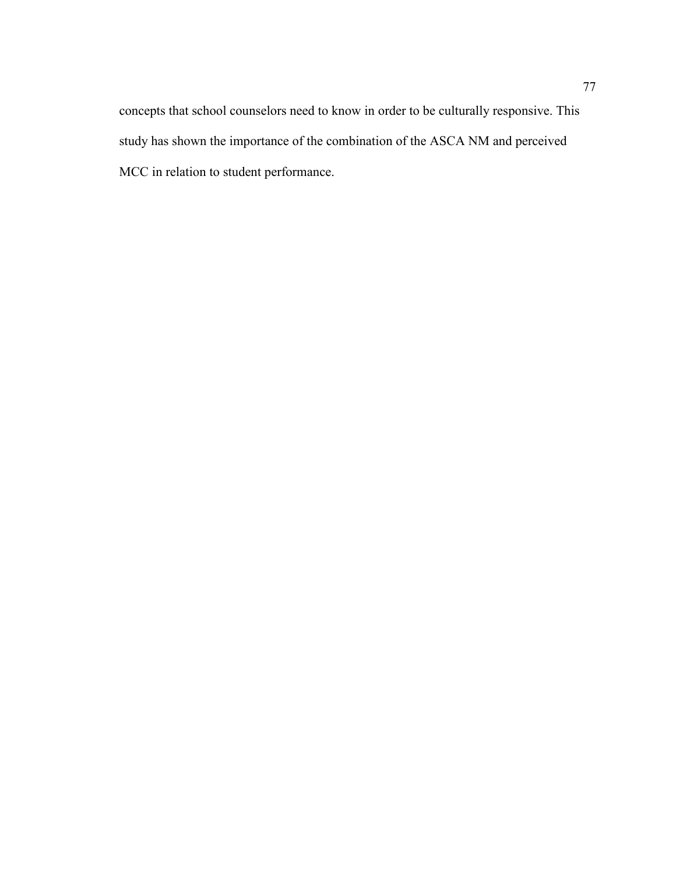concepts that school counselors need to know in order to be culturally responsive. This study has shown the importance of the combination of the ASCA NM and perceived MCC in relation to student performance.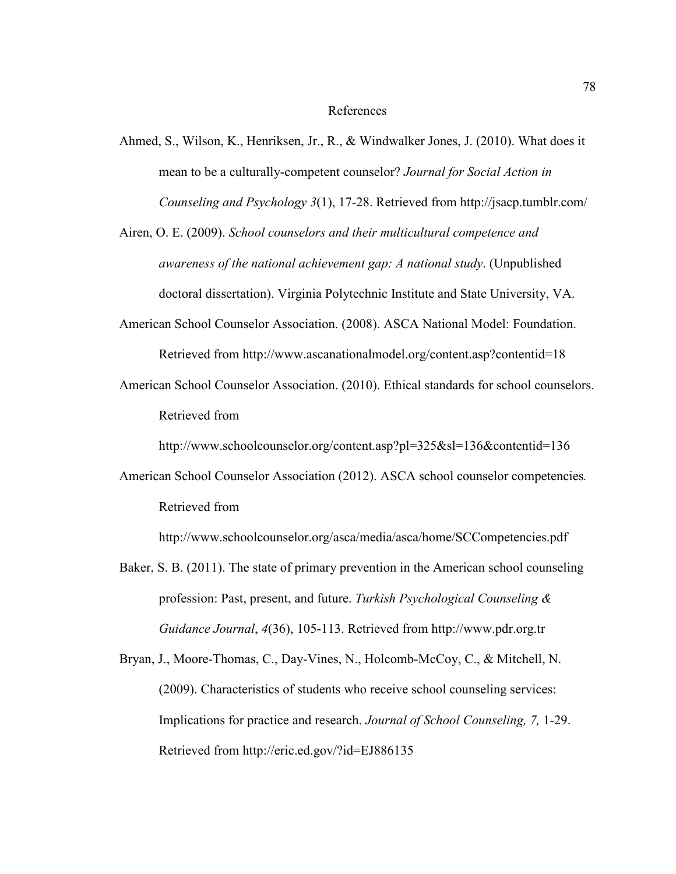#### References

- Ahmed, S., Wilson, K., Henriksen, Jr., R., & Windwalker Jones, J. (2010). What does it mean to be a culturally-competent counselor? *Journal for Social Action in Counseling and Psychology 3*(1), 17-28. Retrieved from http://jsacp.tumblr.com/
- Airen, O. E. (2009). *School counselors and their multicultural competence and awareness of the national achievement gap: A national study*. (Unpublished doctoral dissertation). Virginia Polytechnic Institute and State University, VA.
- American School Counselor Association. (2008). ASCA National Model: Foundation. Retrieved from http://www.ascanationalmodel.org/content.asp?contentid=18
- American School Counselor Association. (2010). Ethical standards for school counselors. Retrieved from

http://www.schoolcounselor.org/content.asp?pl=325&sl=136&contentid=136

American School Counselor Association (2012). ASCA school counselor competencies*.*  Retrieved from

http://www.schoolcounselor.org/asca/media/asca/home/SCCompetencies.pdf

- Baker, S. B. (2011). The state of primary prevention in the American school counseling profession: Past, present, and future. *Turkish Psychological Counseling & Guidance Journal*, *4*(36), 105-113. Retrieved from http://www.pdr.org.tr
- Bryan, J., Moore-Thomas, C., Day-Vines, N., Holcomb-McCoy, C., & Mitchell, N. (2009). Characteristics of students who receive school counseling services: Implications for practice and research. *Journal of School Counseling, 7,* 1-29. Retrieved from http://eric.ed.gov/?id=EJ886135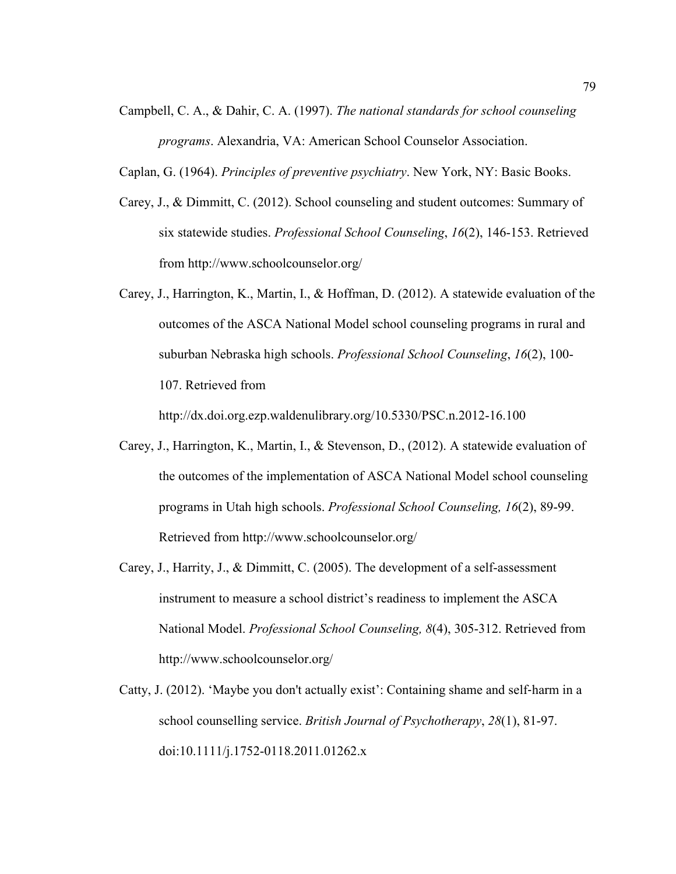- Campbell, C. A., & Dahir, C. A. (1997). *The national standards for school counseling programs*. Alexandria, VA: American School Counselor Association.
- Caplan, G. (1964). *Principles of preventive psychiatry*. New York, NY: Basic Books.
- Carey, J., & Dimmitt, C. (2012). School counseling and student outcomes: Summary of six statewide studies. *Professional School Counseling*, *16*(2), 146-153. Retrieved from http://www.schoolcounselor.org/
- Carey, J., Harrington, K., Martin, I., & Hoffman, D. (2012). A statewide evaluation of the outcomes of the ASCA National Model school counseling programs in rural and suburban Nebraska high schools. *Professional School Counseling*, *16*(2), 100- 107. Retrieved from

http://dx.doi.org.ezp.waldenulibrary.org/10.5330/PSC.n.2012-16.100

- Carey, J., Harrington, K., Martin, I., & Stevenson, D., (2012). A statewide evaluation of the outcomes of the implementation of ASCA National Model school counseling programs in Utah high schools. *Professional School Counseling, 16*(2), 89-99. Retrieved from http://www.schoolcounselor.org/
- Carey, J., Harrity, J., & Dimmitt, C. (2005). The development of a self-assessment instrument to measure a school district's readiness to implement the ASCA National Model. *Professional School Counseling, 8*(4), 305-312. Retrieved from http://www.schoolcounselor.org/
- Catty, J. (2012). 'Maybe you don't actually exist': Containing shame and self‐harm in a school counselling service. *British Journal of Psychotherapy*, *28*(1), 81-97. doi:10.1111/j.1752-0118.2011.01262.x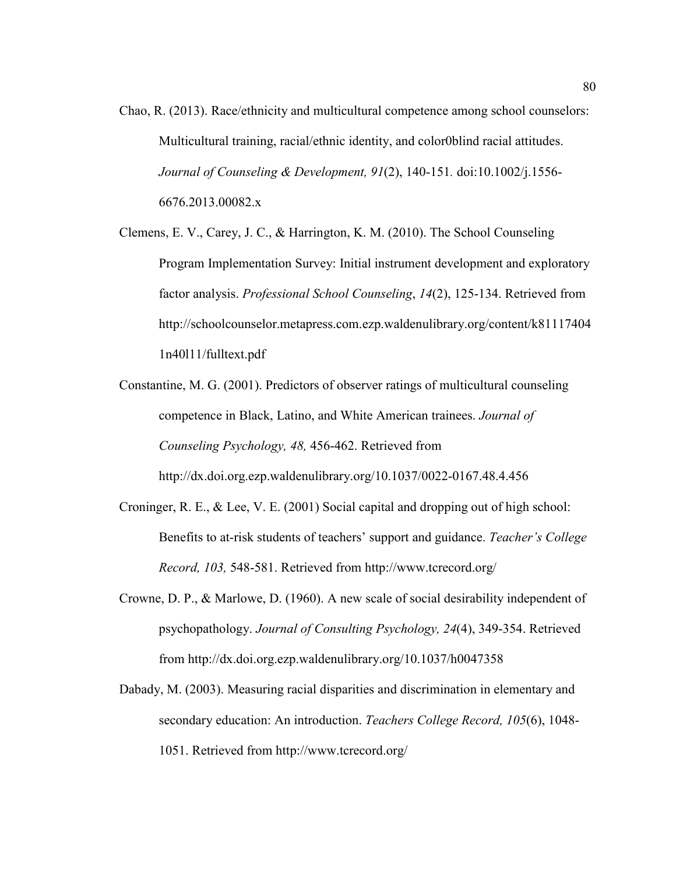Chao, R. (2013). Race/ethnicity and multicultural competence among school counselors: Multicultural training, racial/ethnic identity, and color0blind racial attitudes. *Journal of Counseling & Development, 91*(2), 140-151*.* doi:10.1002/j.1556- 6676.2013.00082.x

Clemens, E. V., Carey, J. C., & Harrington, K. M. (2010). The School Counseling Program Implementation Survey: Initial instrument development and exploratory factor analysis. *Professional School Counseling*, *14*(2), 125-134. Retrieved from http://schoolcounselor.metapress.com.ezp.waldenulibrary.org/content/k81117404 1n40l11/fulltext.pdf

Constantine, M. G. (2001). Predictors of observer ratings of multicultural counseling competence in Black, Latino, and White American trainees. *Journal of Counseling Psychology, 48,* 456-462. Retrieved from http://dx.doi.org.ezp.waldenulibrary.org/10.1037/0022-0167.48.4.456

- Croninger, R. E., & Lee, V. E. (2001) Social capital and dropping out of high school: Benefits to at-risk students of teachers' support and guidance. *Teacher's College Record, 103,* 548-581. Retrieved from http://www.tcrecord.org/
- Crowne, D. P., & Marlowe, D. (1960). A new scale of social desirability independent of psychopathology. *Journal of Consulting Psychology, 24*(4), 349-354. Retrieved from http://dx.doi.org.ezp.waldenulibrary.org/10.1037/h0047358

Dabady, M. (2003). Measuring racial disparities and discrimination in elementary and secondary education: An introduction. *Teachers College Record, 105*(6), 1048- 1051. Retrieved from http://www.tcrecord.org/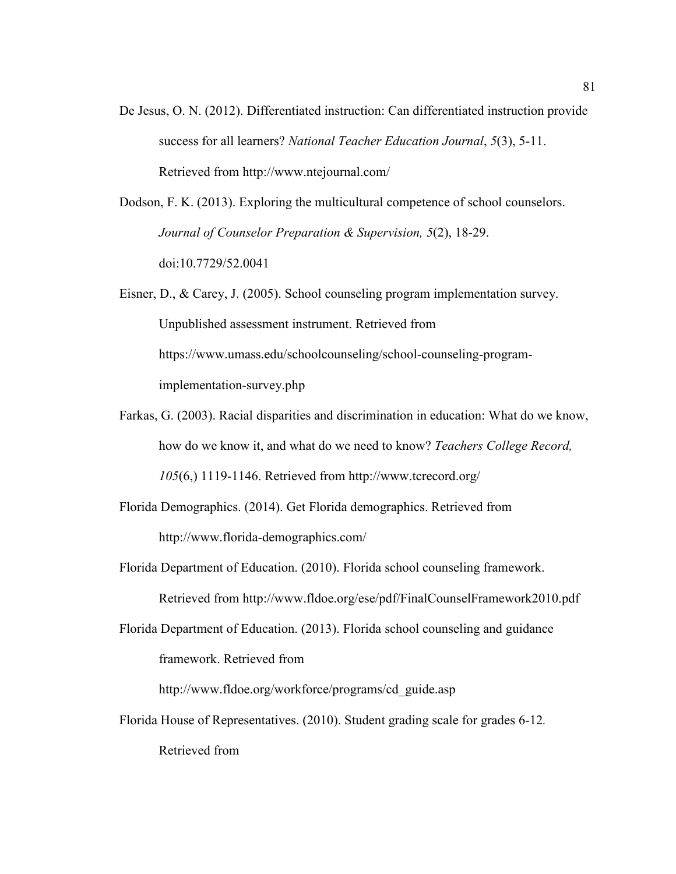De Jesus, O. N. (2012). Differentiated instruction: Can differentiated instruction provide success for all learners? *National Teacher Education Journal*, *5*(3), 5-11. Retrieved from http://www.ntejournal.com/

Dodson, F. K. (2013). Exploring the multicultural competence of school counselors. *Journal of Counselor Preparation & Supervision, 5*(2), 18-29. doi:10.7729/52.0041

- Eisner, D., & Carey, J. (2005). School counseling program implementation survey. Unpublished assessment instrument. Retrieved from https://www.umass.edu/schoolcounseling/school-counseling-programimplementation-survey.php
- Farkas, G. (2003). Racial disparities and discrimination in education: What do we know, how do we know it, and what do we need to know? *Teachers College Record, 105*(6,) 1119-1146. Retrieved from http://www.tcrecord.org/
- Florida Demographics. (2014). Get Florida demographics. Retrieved from http://www.florida-demographics.com/
- Florida Department of Education. (2010). Florida school counseling framework.

Retrieved from http://www.fldoe.org/ese/pdf/FinalCounselFramework2010.pdf

Florida Department of Education. (2013). Florida school counseling and guidance framework. Retrieved from

http://www.fldoe.org/workforce/programs/cd\_guide.asp

Florida House of Representatives. (2010). Student grading scale for grades 6-12*.*  Retrieved from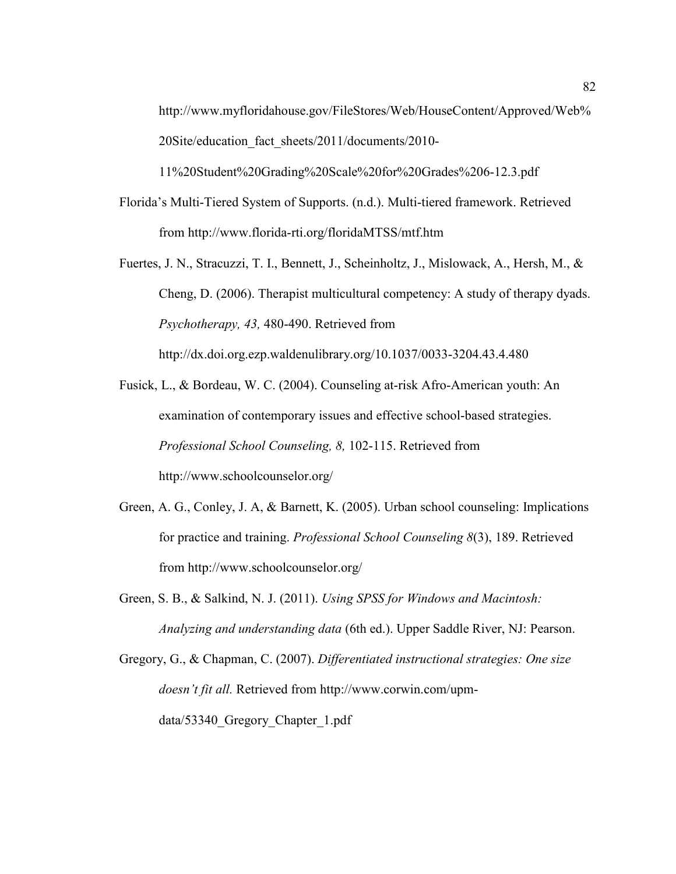http://www.myfloridahouse.gov/FileStores/Web/HouseContent/Approved/Web% 20Site/education\_fact\_sheets/2011/documents/2010-

11%20Student%20Grading%20Scale%20for%20Grades%206-12.3.pdf

- Florida's Multi-Tiered System of Supports. (n.d.). Multi-tiered framework. Retrieved from http://www.florida-rti.org/floridaMTSS/mtf.htm
- Fuertes, J. N., Stracuzzi, T. I., Bennett, J., Scheinholtz, J., Mislowack, A., Hersh, M., & Cheng, D. (2006). Therapist multicultural competency: A study of therapy dyads. *Psychotherapy, 43,* 480-490. Retrieved from

http://dx.doi.org.ezp.waldenulibrary.org/10.1037/0033-3204.43.4.480

- Fusick, L., & Bordeau, W. C. (2004). Counseling at-risk Afro-American youth: An examination of contemporary issues and effective school-based strategies. *Professional School Counseling, 8,* 102-115. Retrieved from http://www.schoolcounselor.org/
- Green, A. G., Conley, J. A, & Barnett, K. (2005). Urban school counseling: Implications for practice and training. *Professional School Counseling 8*(3), 189. Retrieved from http://www.schoolcounselor.org/
- Green, S. B., & Salkind, N. J. (2011). *Using SPSS for Windows and Macintosh: Analyzing and understanding data* (6th ed.). Upper Saddle River, NJ: Pearson.
- Gregory, G., & Chapman, C. (2007). *Differentiated instructional strategies: One size doesn't fit all.* Retrieved from http://www.corwin.com/upmdata/53340\_Gregory\_Chapter\_1.pdf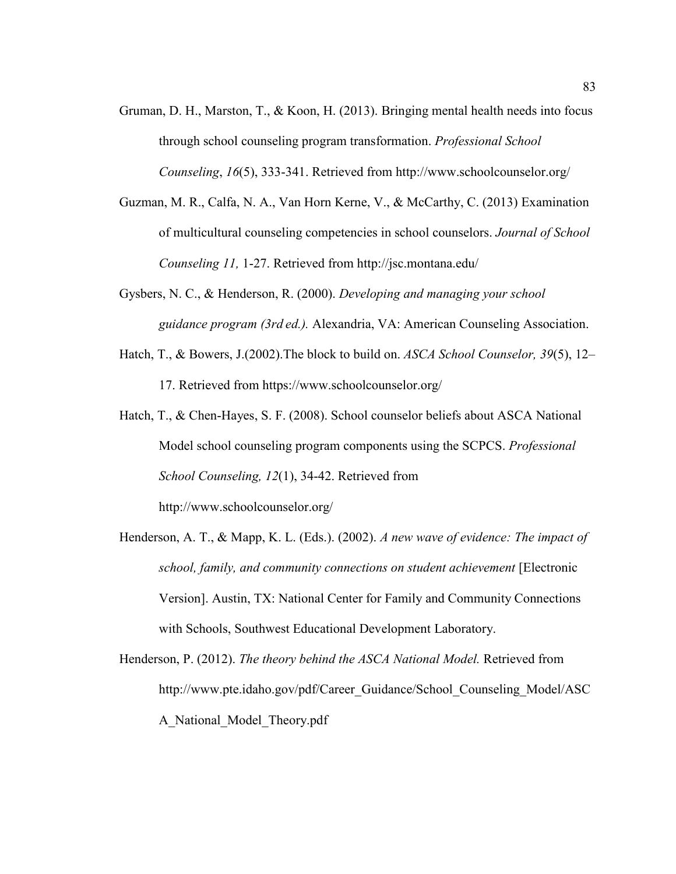- Gruman, D. H., Marston, T.,  $\&$  Koon, H. (2013). Bringing mental health needs into focus through school counseling program transformation. *Professional School Counseling*, *16*(5), 333-341. Retrieved from http://www.schoolcounselor.org/
- Guzman, M. R., Calfa, N. A., Van Horn Kerne, V., & McCarthy, C. (2013) Examination of multicultural counseling competencies in school counselors. *Journal of School Counseling 11,* 1-27. Retrieved from http://jsc.montana.edu/
- Gysbers, N. C., & Henderson, R. (2000). *Developing and managing your school guidance program (3rd ed.).* Alexandria, VA: American Counseling Association.
- Hatch, T., & Bowers, J.(2002).The block to build on. *ASCA School Counselor, 39*(5), 12– 17. Retrieved from https://www.schoolcounselor.org/
- Hatch, T., & Chen-Hayes, S. F. (2008). School counselor beliefs about ASCA National Model school counseling program components using the SCPCS. *Professional School Counseling, 12*(1), 34-42. Retrieved from http://www.schoolcounselor.org/
- Henderson, A. T., & Mapp, K. L. (Eds.). (2002). *A new wave of evidence: The impact of school, family, and community connections on student achievement* [Electronic Version]. Austin, TX: National Center for Family and Community Connections with Schools, Southwest Educational Development Laboratory.
- Henderson, P. (2012). *The theory behind the ASCA National Model.* Retrieved from http://www.pte.idaho.gov/pdf/Career\_Guidance/School\_Counseling\_Model/ASC A\_National\_Model\_Theory.pdf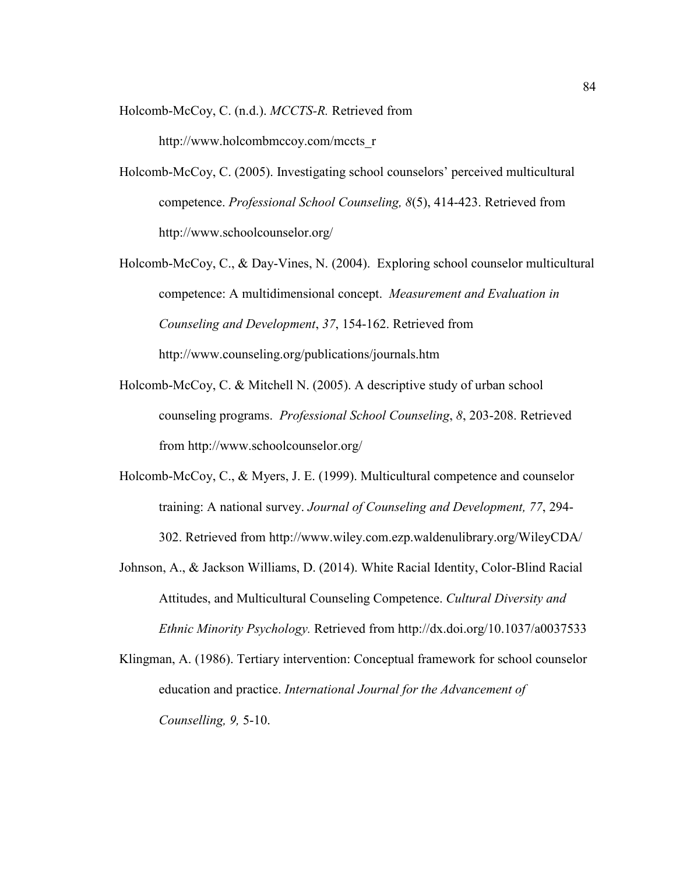Holcomb-McCoy, C. (n.d.). *MCCTS-R.* Retrieved from

http://www.holcombmccoy.com/mccts\_r

- Holcomb-McCoy, C. (2005). Investigating school counselors' perceived multicultural competence. *Professional School Counseling, 8*(5), 414-423. Retrieved from http://www.schoolcounselor.org/
- Holcomb-McCoy, C., & Day-Vines, N. (2004). Exploring school counselor multicultural competence: A multidimensional concept. *Measurement and Evaluation in Counseling and Development*, *37*, 154-162. Retrieved from http://www.counseling.org/publications/journals.htm
- Holcomb-McCoy, C. & Mitchell N. (2005). A descriptive study of urban school counseling programs. *Professional School Counseling*, *8*, 203-208. Retrieved from http://www.schoolcounselor.org/
- Holcomb-McCoy, C., & Myers, J. E. (1999). Multicultural competence and counselor training: A national survey. *Journal of Counseling and Development, 77*, 294- 302. Retrieved from http://www.wiley.com.ezp.waldenulibrary.org/WileyCDA/
- Johnson, A., & Jackson Williams, D. (2014). White Racial Identity, Color-Blind Racial Attitudes, and Multicultural Counseling Competence. *Cultural Diversity and Ethnic Minority Psychology.* Retrieved from http://dx.doi.org/10.1037/a0037533
- Klingman, A. (1986). Tertiary intervention: Conceptual framework for school counselor education and practice. *International Journal for the Advancement of Counselling, 9,* 5-10.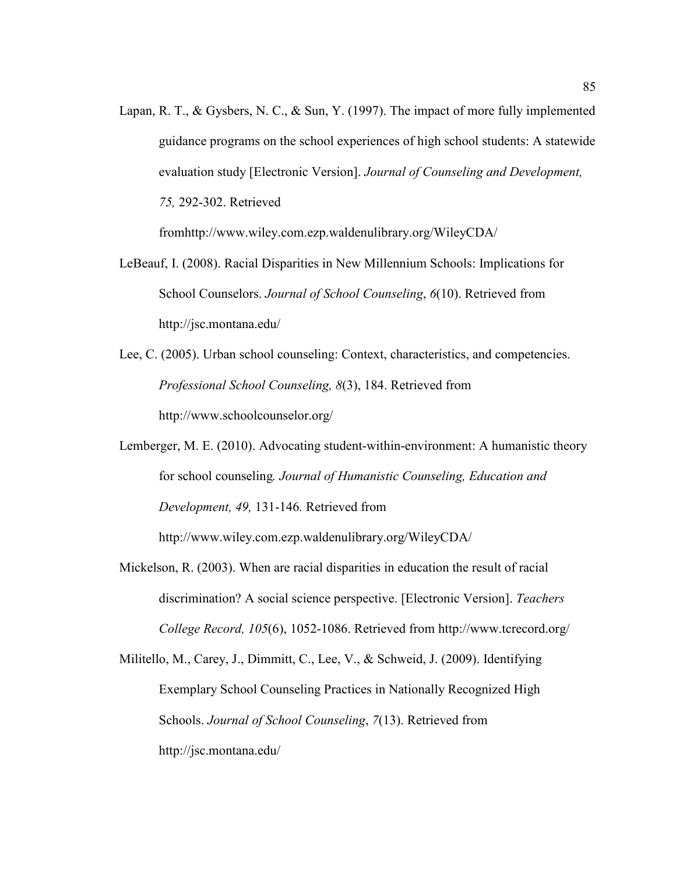Lapan, R. T., & Gysbers, N. C., & Sun, Y. (1997). The impact of more fully implemented guidance programs on the school experiences of high school students: A statewide evaluation study [Electronic Version]. *Journal of Counseling and Development, 75,* 292-302. Retrieved

fromhttp://www.wiley.com.ezp.waldenulibrary.org/WileyCDA/

- LeBeauf, I. (2008). Racial Disparities in New Millennium Schools: Implications for School Counselors. *Journal of School Counseling*, *6*(10). Retrieved from http://jsc.montana.edu/
- Lee, C. (2005). Urban school counseling: Context, characteristics, and competencies. *Professional School Counseling, 8*(3), 184. Retrieved from http://www.schoolcounselor.org/
- Lemberger, M. E. (2010). Advocating student-within-environment: A humanistic theory for school counseling*. Journal of Humanistic Counseling, Education and Development, 49,* 131-146*.* Retrieved from

http://www.wiley.com.ezp.waldenulibrary.org/WileyCDA/

- Mickelson, R. (2003). When are racial disparities in education the result of racial discrimination? A social science perspective. [Electronic Version]. *Teachers College Record, 105*(6), 1052-1086. Retrieved from http://www.tcrecord.org/
- Militello, M., Carey, J., Dimmitt, C., Lee, V., & Schweid, J. (2009). Identifying Exemplary School Counseling Practices in Nationally Recognized High Schools. *Journal of School Counseling*, *7*(13). Retrieved from http://jsc.montana.edu/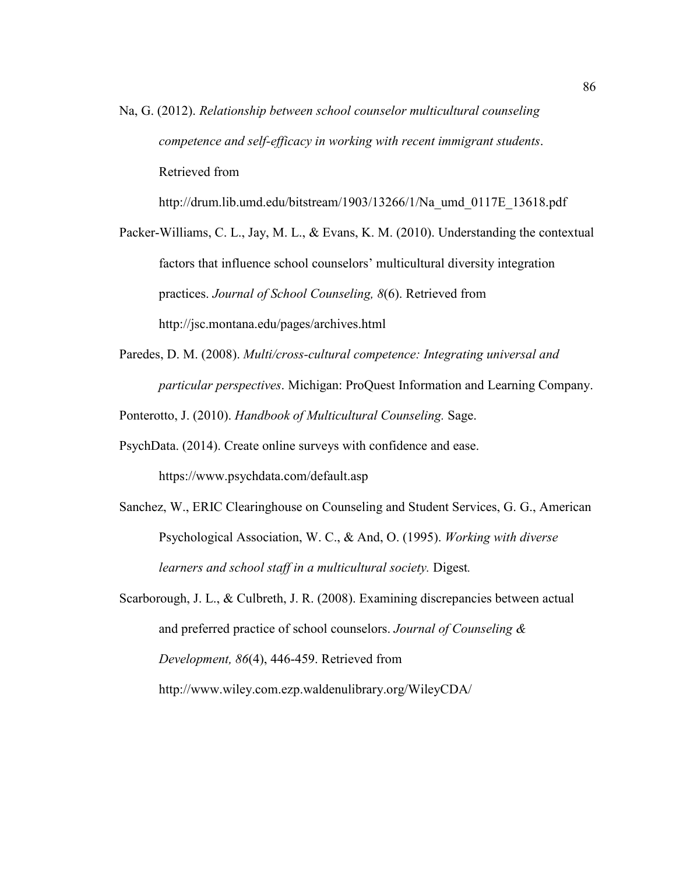Na, G. (2012). *Relationship between school counselor multicultural counseling competence and self-efficacy in working with recent immigrant students*. Retrieved from

http://drum.lib.umd.edu/bitstream/1903/13266/1/Na\_umd\_0117E\_13618.pdf

Packer-Williams, C. L., Jay, M. L., & Evans, K. M. (2010). Understanding the contextual factors that influence school counselors' multicultural diversity integration practices. *Journal of School Counseling, 8*(6). Retrieved from http://jsc.montana.edu/pages/archives.html

Paredes, D. M. (2008). *Multi/cross-cultural competence: Integrating universal and particular perspectives*. Michigan: ProQuest Information and Learning Company.

Ponterotto, J. (2010). *Handbook of Multicultural Counseling.* Sage.

- PsychData. (2014). Create online surveys with confidence and ease. https://www.psychdata.com/default.asp
- Sanchez, W., ERIC Clearinghouse on Counseling and Student Services, G. G., American Psychological Association, W. C., & And, O. (1995). *Working with diverse learners and school staff in a multicultural society.* Digest*.*
- Scarborough, J. L., & Culbreth, J. R. (2008). Examining discrepancies between actual and preferred practice of school counselors. *Journal of Counseling & Development, 86*(4), 446-459. Retrieved from http://www.wiley.com.ezp.waldenulibrary.org/WileyCDA/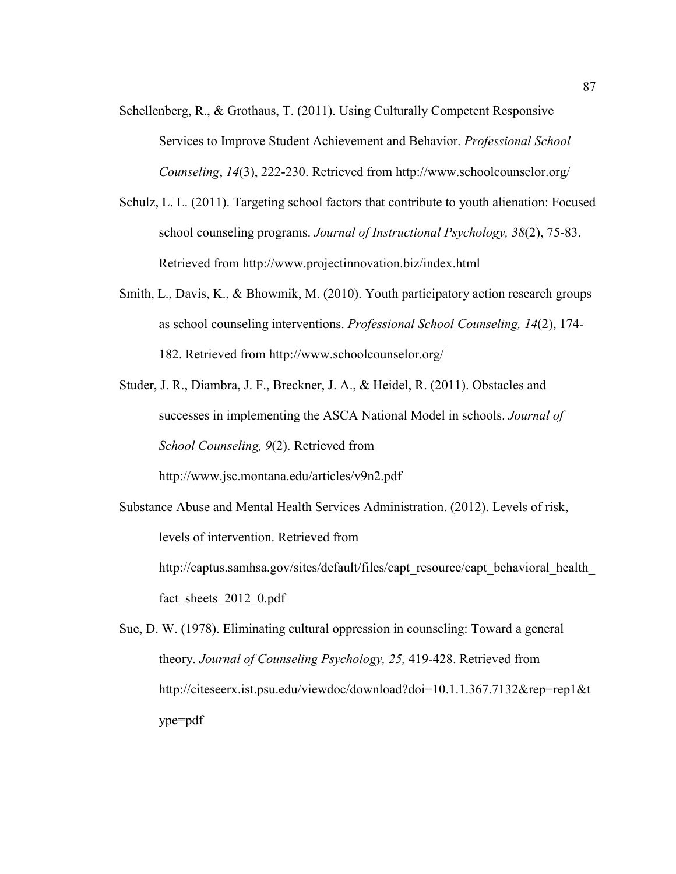- Schellenberg, R., & Grothaus, T. (2011). Using Culturally Competent Responsive Services to Improve Student Achievement and Behavior. *Professional School Counseling*, *14*(3), 222-230. Retrieved from http://www.schoolcounselor.org/
- Schulz, L. L. (2011). Targeting school factors that contribute to youth alienation: Focused school counseling programs. *Journal of Instructional Psychology, 38*(2), 75-83. Retrieved from http://www.projectinnovation.biz/index.html
- Smith, L., Davis, K., & Bhowmik, M. (2010). Youth participatory action research groups as school counseling interventions. *Professional School Counseling, 14*(2), 174- 182. Retrieved from http://www.schoolcounselor.org/
- Studer, J. R., Diambra, J. F., Breckner, J. A., & Heidel, R. (2011). Obstacles and successes in implementing the ASCA National Model in schools. *Journal of School Counseling, 9*(2). Retrieved from

http://www.jsc.montana.edu/articles/v9n2.pdf

Substance Abuse and Mental Health Services Administration. (2012). Levels of risk, levels of intervention. Retrieved from http://captus.samhsa.gov/sites/default/files/capt\_resource/capt\_behavioral\_health

fact sheets 2012 0.pdf

Sue, D. W. (1978). Eliminating cultural oppression in counseling: Toward a general theory. *Journal of Counseling Psychology, 25,* 419-428. Retrieved from http://citeseerx.ist.psu.edu/viewdoc/download?doi=10.1.1.367.7132&rep=rep1&t ype=pdf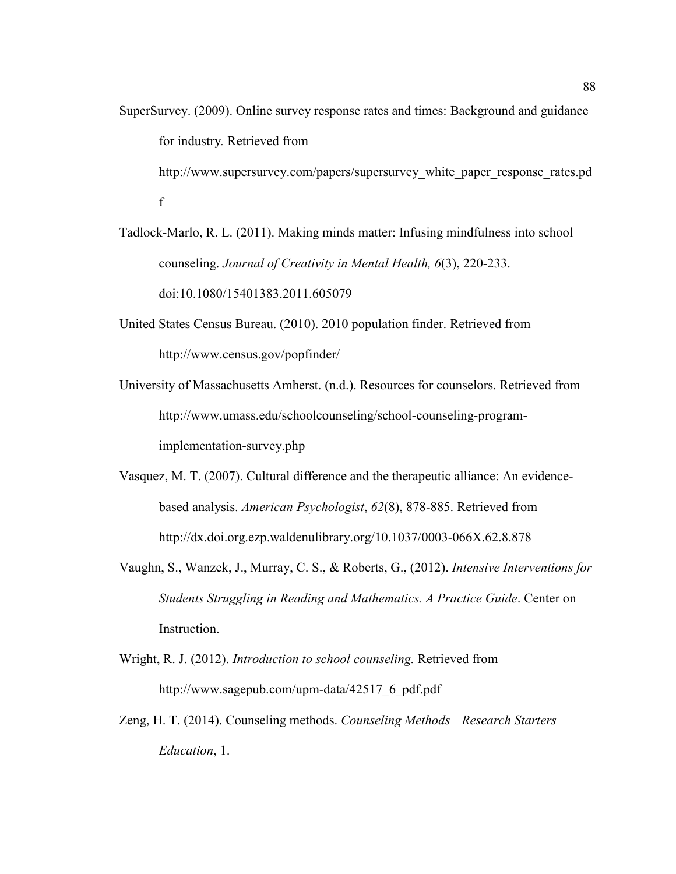- SuperSurvey. (2009). Online survey response rates and times: Background and guidance for industry*.* Retrieved from http://www.supersurvey.com/papers/supersurvey\_white\_paper\_response\_rates.pd f
- Tadlock-Marlo, R. L. (2011). Making minds matter: Infusing mindfulness into school counseling. *Journal of Creativity in Mental Health, 6*(3), 220-233. doi:10.1080/15401383.2011.605079
- United States Census Bureau. (2010). 2010 population finder. Retrieved from http://www.census.gov/popfinder/
- University of Massachusetts Amherst. (n.d.). Resources for counselors. Retrieved from http://www.umass.edu/schoolcounseling/school-counseling-programimplementation-survey.php
- Vasquez, M. T. (2007). Cultural difference and the therapeutic alliance: An evidencebased analysis. *American Psychologist*, *62*(8), 878-885. Retrieved from http://dx.doi.org.ezp.waldenulibrary.org/10.1037/0003-066X.62.8.878
- Vaughn, S., Wanzek, J., Murray, C. S., & Roberts, G., (2012). *Intensive Interventions for Students Struggling in Reading and Mathematics. A Practice Guide*. Center on Instruction.
- Wright, R. J. (2012). *Introduction to school counseling.* Retrieved from http://www.sagepub.com/upm-data/42517\_6\_pdf.pdf
- Zeng, H. T. (2014). Counseling methods. *Counseling Methods—Research Starters Education*, 1.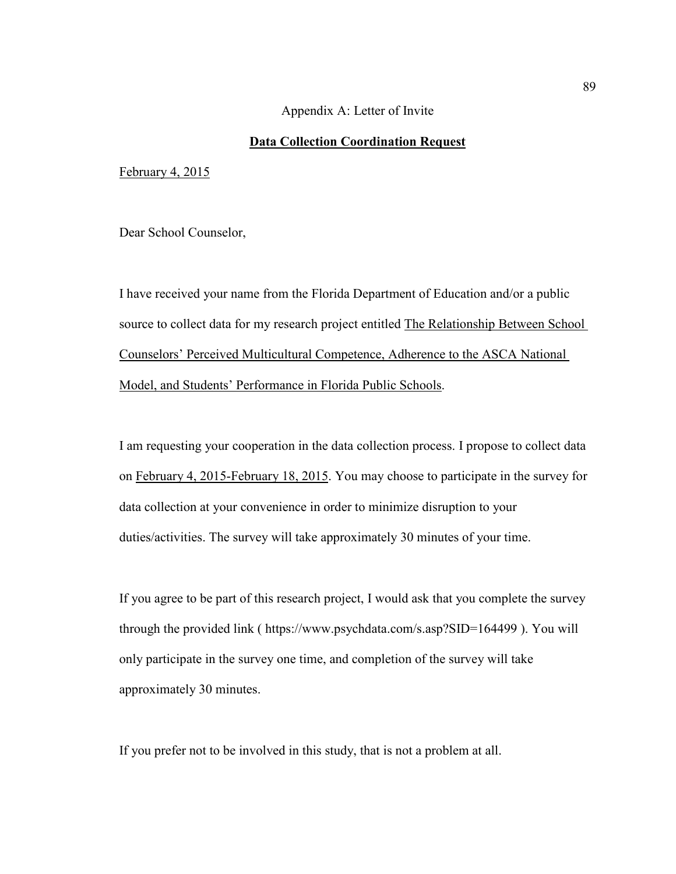#### Appendix A: Letter of Invite

# **Data Collection Coordination Request**

February 4, 2015

Dear School Counselor,

I have received your name from the Florida Department of Education and/or a public source to collect data for my research project entitled The Relationship Between School Counselors' Perceived Multicultural Competence, Adherence to the ASCA National Model, and Students' Performance in Florida Public Schools.

I am requesting your cooperation in the data collection process. I propose to collect data on February 4, 2015-February 18, 2015. You may choose to participate in the survey for data collection at your convenience in order to minimize disruption to your duties/activities. The survey will take approximately 30 minutes of your time.

If you agree to be part of this research project, I would ask that you complete the survey through the provided link ( https://www.psychdata.com/s.asp?SID=164499 ). You will only participate in the survey one time, and completion of the survey will take approximately 30 minutes.

If you prefer not to be involved in this study, that is not a problem at all.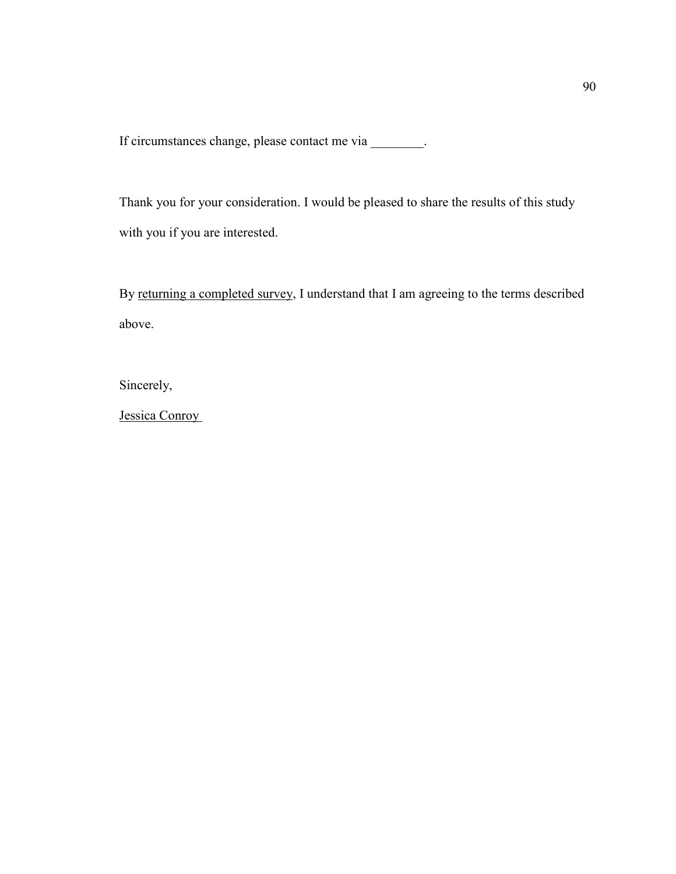If circumstances change, please contact me via \_\_\_\_\_\_\_\_.

Thank you for your consideration. I would be pleased to share the results of this study with you if you are interested.

By returning a completed survey, I understand that I am agreeing to the terms described above.

Sincerely,

Jessica Conroy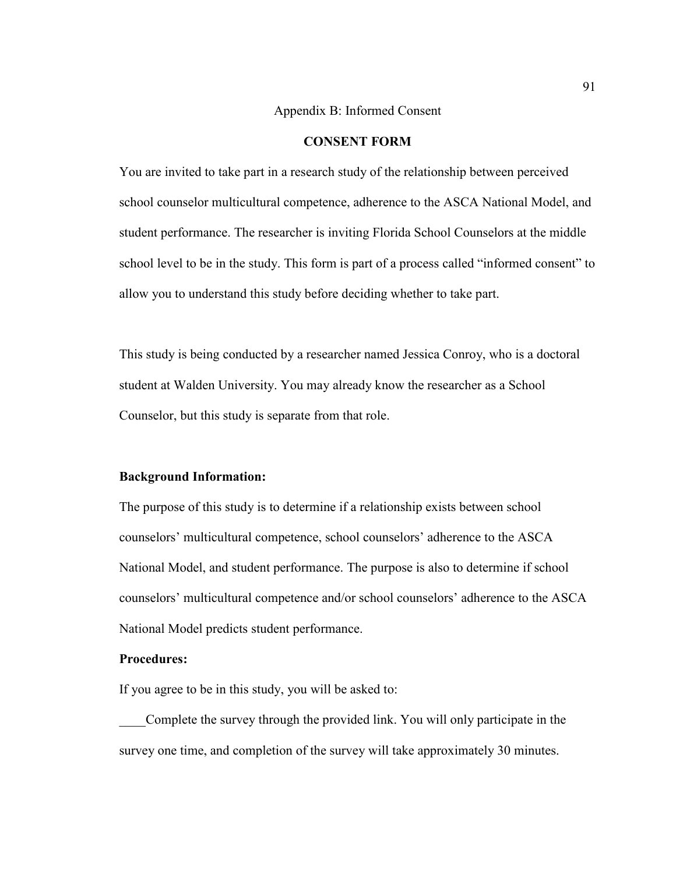Appendix B: Informed Consent

# **CONSENT FORM**

You are invited to take part in a research study of the relationship between perceived school counselor multicultural competence, adherence to the ASCA National Model, and student performance. The researcher is inviting Florida School Counselors at the middle school level to be in the study. This form is part of a process called "informed consent" to allow you to understand this study before deciding whether to take part.

This study is being conducted by a researcher named Jessica Conroy, who is a doctoral student at Walden University. You may already know the researcher as a School Counselor, but this study is separate from that role.

# **Background Information:**

The purpose of this study is to determine if a relationship exists between school counselors' multicultural competence, school counselors' adherence to the ASCA National Model, and student performance. The purpose is also to determine if school counselors' multicultural competence and/or school counselors' adherence to the ASCA National Model predicts student performance.

# **Procedures:**

If you agree to be in this study, you will be asked to:

\_\_\_\_Complete the survey through the provided link. You will only participate in the survey one time, and completion of the survey will take approximately 30 minutes.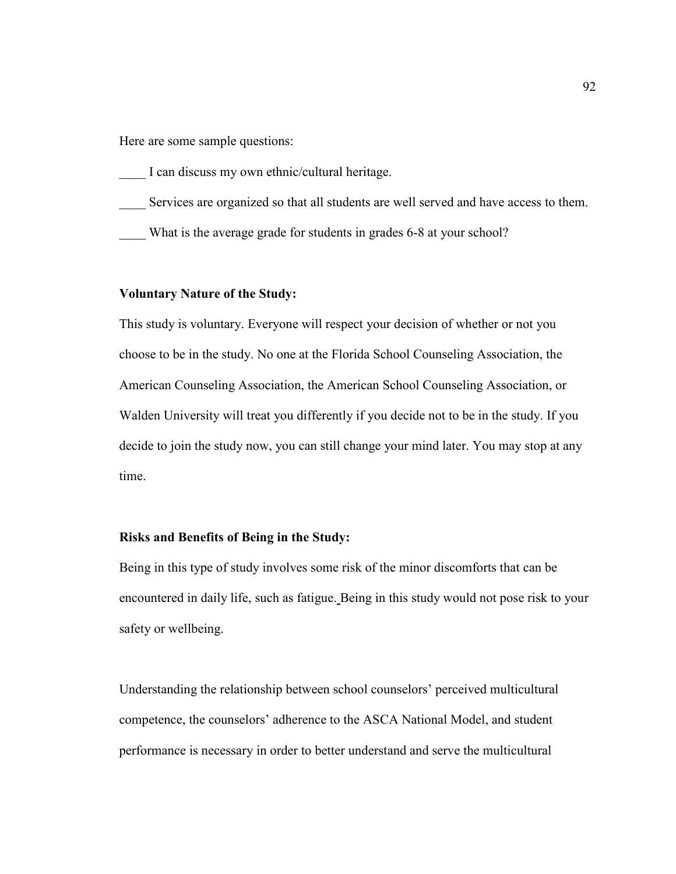Here are some sample questions:

I can discuss my own ethnic/cultural heritage.

- \_\_\_\_ Services are organized so that all students are well served and have access to them.
- What is the average grade for students in grades 6-8 at your school?

# **Voluntary Nature of the Study:**

This study is voluntary. Everyone will respect your decision of whether or not you choose to be in the study. No one at the Florida School Counseling Association, the American Counseling Association, the American School Counseling Association, or Walden University will treat you differently if you decide not to be in the study. If you decide to join the study now, you can still change your mind later. You may stop at any time.

# **Risks and Benefits of Being in the Study:**

Being in this type of study involves some risk of the minor discomforts that can be encountered in daily life, such as fatigue. Being in this study would not pose risk to your safety or wellbeing.

Understanding the relationship between school counselors' perceived multicultural competence, the counselors' adherence to the ASCA National Model, and student performance is necessary in order to better understand and serve the multicultural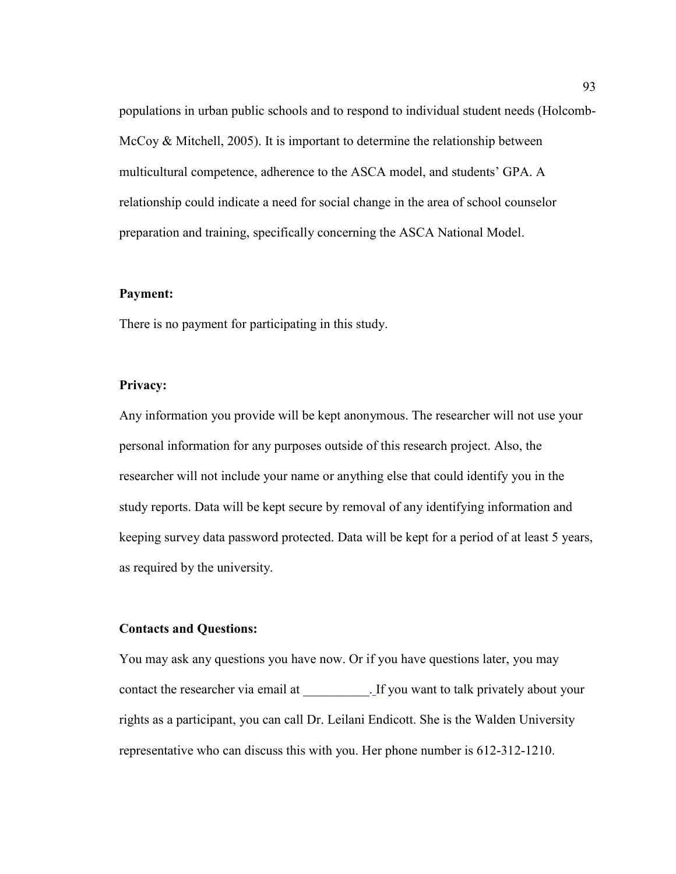populations in urban public schools and to respond to individual student needs (Holcomb-McCoy & Mitchell, 2005). It is important to determine the relationship between multicultural competence, adherence to the ASCA model, and students' GPA. A relationship could indicate a need for social change in the area of school counselor preparation and training, specifically concerning the ASCA National Model.

# **Payment:**

There is no payment for participating in this study.

# **Privacy:**

Any information you provide will be kept anonymous. The researcher will not use your personal information for any purposes outside of this research project. Also, the researcher will not include your name or anything else that could identify you in the study reports. Data will be kept secure by removal of any identifying information and keeping survey data password protected. Data will be kept for a period of at least 5 years, as required by the university.

# **Contacts and Questions:**

You may ask any questions you have now. Or if you have questions later, you may contact the researcher via email at \_\_\_\_\_\_\_\_\_\_. If you want to talk privately about your rights as a participant, you can call Dr. Leilani Endicott. She is the Walden University representative who can discuss this with you. Her phone number is 612-312-1210.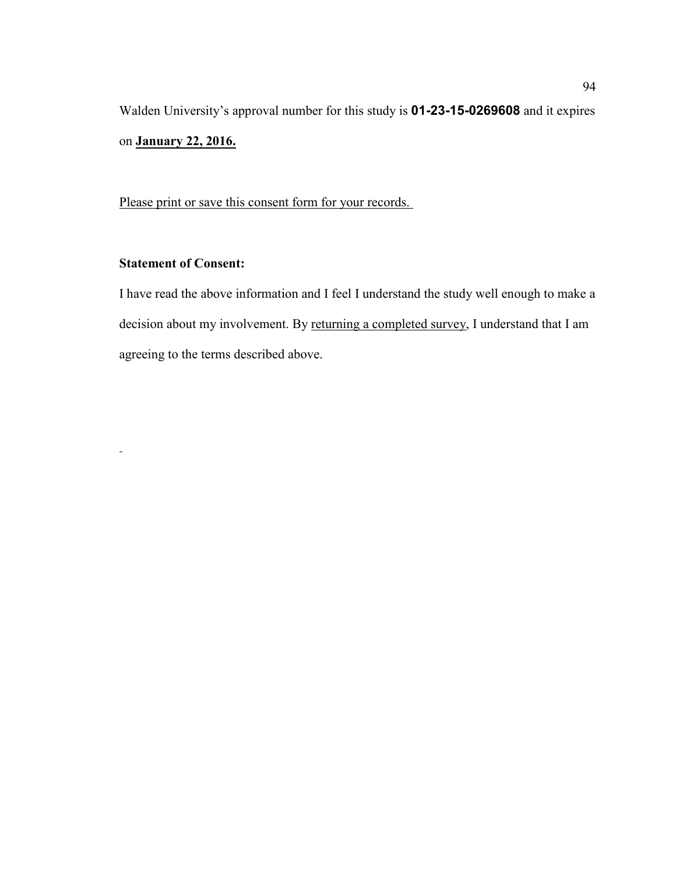Walden University's approval number for this study is **01-23-15-0269608** and it expires on **January 22, 2016.** 

Please print or save this consent form for your records.

# **Statement of Consent:**

 $\blacksquare$ 

I have read the above information and I feel I understand the study well enough to make a decision about my involvement. By returning a completed survey, I understand that I am agreeing to the terms described above.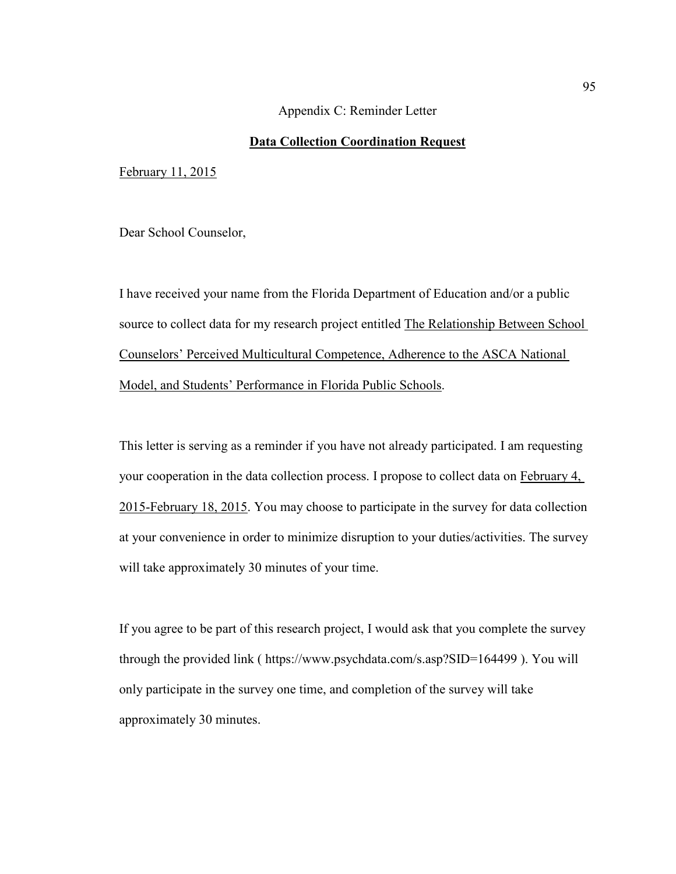# Appendix C: Reminder Letter

# **Data Collection Coordination Request**

February 11, 2015

Dear School Counselor,

I have received your name from the Florida Department of Education and/or a public source to collect data for my research project entitled The Relationship Between School Counselors' Perceived Multicultural Competence, Adherence to the ASCA National Model, and Students' Performance in Florida Public Schools.

This letter is serving as a reminder if you have not already participated. I am requesting your cooperation in the data collection process. I propose to collect data on February 4, 2015-February 18, 2015. You may choose to participate in the survey for data collection at your convenience in order to minimize disruption to your duties/activities. The survey will take approximately 30 minutes of your time.

If you agree to be part of this research project, I would ask that you complete the survey through the provided link ( https://www.psychdata.com/s.asp?SID=164499 ). You will only participate in the survey one time, and completion of the survey will take approximately 30 minutes.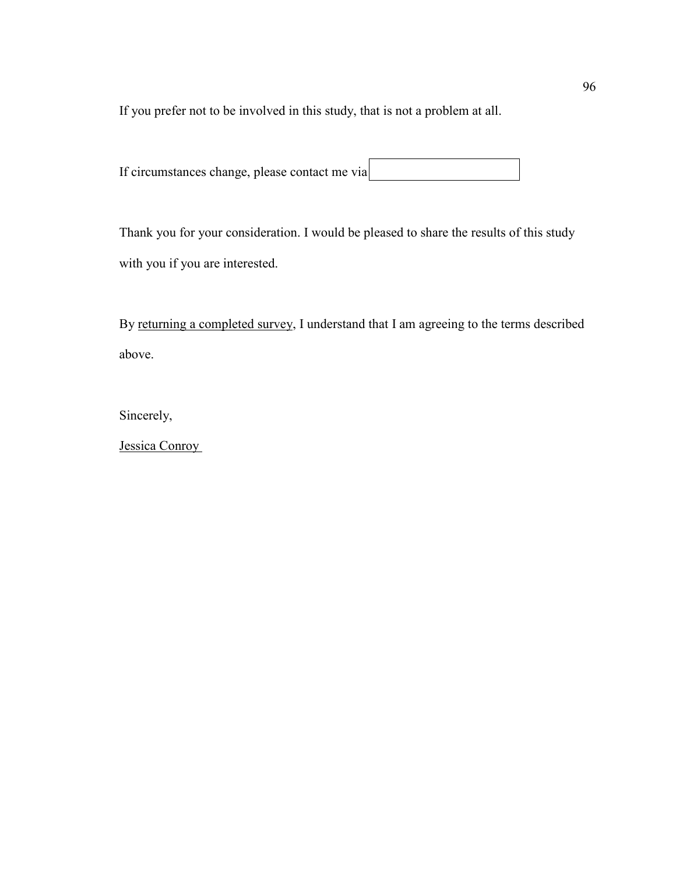If you prefer not to be involved in this study, that is not a problem at all.

If circumstances change, please contact me via

Thank you for your consideration. I would be pleased to share the results of this study with you if you are interested.

By returning a completed survey, I understand that I am agreeing to the terms described above.

Sincerely,

Jessica Conroy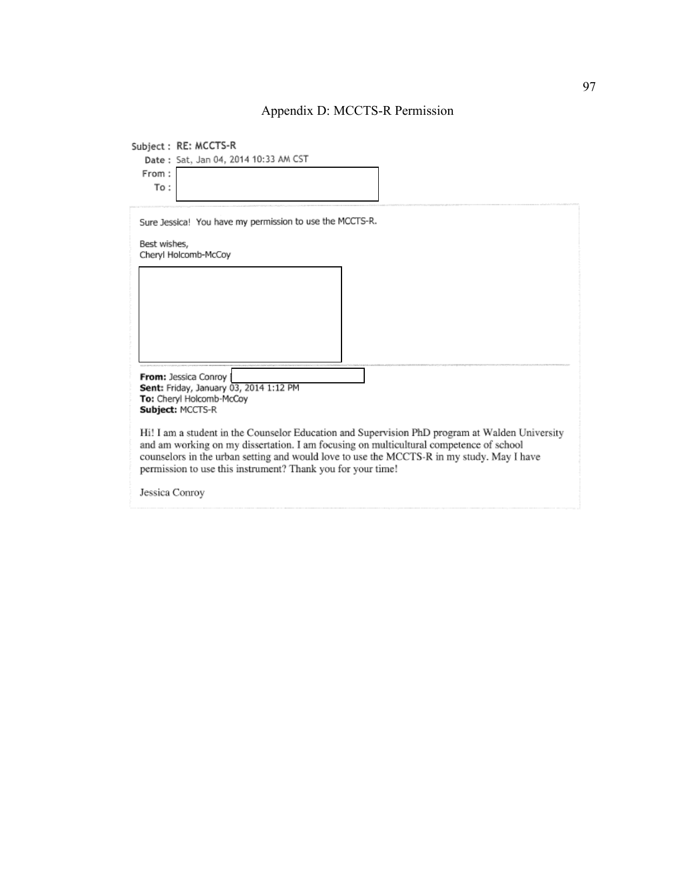## Appendix D: MCCTS-R Permission

|                | Subject: RE: MCCTS-R                                                                                                                                                                                                                                                                                                                                 |
|----------------|------------------------------------------------------------------------------------------------------------------------------------------------------------------------------------------------------------------------------------------------------------------------------------------------------------------------------------------------------|
|                | Date: Sat, Jan 04, 2014 10:33 AM CST                                                                                                                                                                                                                                                                                                                 |
| From:          |                                                                                                                                                                                                                                                                                                                                                      |
| To:            |                                                                                                                                                                                                                                                                                                                                                      |
|                |                                                                                                                                                                                                                                                                                                                                                      |
| Best wishes,   | Sure Jessica! You have my permission to use the MCCTS-R.                                                                                                                                                                                                                                                                                             |
|                | Cheryl Holcomb-McCoy                                                                                                                                                                                                                                                                                                                                 |
|                |                                                                                                                                                                                                                                                                                                                                                      |
|                |                                                                                                                                                                                                                                                                                                                                                      |
|                |                                                                                                                                                                                                                                                                                                                                                      |
|                |                                                                                                                                                                                                                                                                                                                                                      |
|                |                                                                                                                                                                                                                                                                                                                                                      |
|                |                                                                                                                                                                                                                                                                                                                                                      |
|                |                                                                                                                                                                                                                                                                                                                                                      |
|                |                                                                                                                                                                                                                                                                                                                                                      |
|                | From: Jessica Conroy                                                                                                                                                                                                                                                                                                                                 |
|                | Sent: Friday, January 03, 2014 1:12 PM                                                                                                                                                                                                                                                                                                               |
|                | To: Cheryl Holcomb-McCoy<br>Subject: MCCTS-R                                                                                                                                                                                                                                                                                                         |
|                |                                                                                                                                                                                                                                                                                                                                                      |
|                | Hi! I am a student in the Counselor Education and Supervision PhD program at Walden University<br>and am working on my dissertation. I am focusing on multicultural competence of school<br>counselors in the urban setting and would love to use the MCCTS-R in my study. May I have<br>permission to use this instrument? Thank you for your time! |
| Jessica Conroy |                                                                                                                                                                                                                                                                                                                                                      |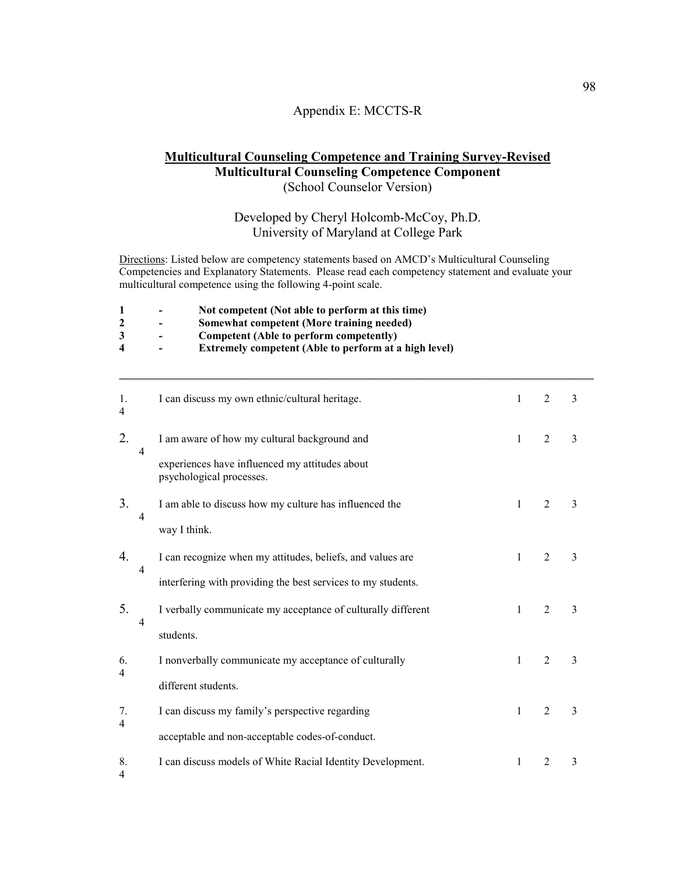#### Appendix E: MCCTS-R

#### **Multicultural Counseling Competence and Training Survey-Revised Multicultural Counseling Competence Component**  (School Counselor Version)

### Developed by Cheryl Holcomb-McCoy, Ph.D. University of Maryland at College Park

**\_\_\_\_\_\_\_\_\_\_\_\_\_\_\_\_\_\_\_\_\_\_\_\_\_\_\_\_\_\_\_\_\_\_\_\_\_\_\_\_\_\_\_\_\_\_\_\_\_\_\_\_\_\_\_\_\_\_\_\_\_\_\_\_\_\_\_\_\_\_\_\_\_\_\_\_\_\_\_\_\_\_\_\_\_\_** 

Directions: Listed below are competency statements based on AMCD's Multicultural Counseling Competencies and Explanatory Statements. Please read each competency statement and evaluate your multicultural competence using the following 4-point scale.

- 1 Not competent (Not able to perform at this time)<br>2 Somewhat competent (More training needed)
- **2 Somewhat competent (More training needed)**
- **3 Competent (Able to perform competently)**
- **Extremely competent (Able to perform at a high level)**

| 1.<br>4              |                | I can discuss my own ethnic/cultural heritage.                             | 1            | $\overline{2}$ | 3              |
|----------------------|----------------|----------------------------------------------------------------------------|--------------|----------------|----------------|
| 2.                   | $\overline{4}$ | I am aware of how my cultural background and                               | $\mathbf{1}$ | $\overline{2}$ | 3              |
|                      |                | experiences have influenced my attitudes about<br>psychological processes. |              |                |                |
| 3.                   | 4              | I am able to discuss how my culture has influenced the                     | 1            | $\overline{2}$ | $\overline{3}$ |
|                      |                | way I think.                                                               |              |                |                |
| 4.                   |                | I can recognize when my attitudes, beliefs, and values are                 | $\mathbf{1}$ | $\overline{2}$ | $\overline{3}$ |
|                      | $\overline{4}$ | interfering with providing the best services to my students.               |              |                |                |
| 5.                   |                | I verbally communicate my acceptance of culturally different               | $\mathbf{1}$ | $\overline{2}$ | $\overline{3}$ |
|                      | 4              | students.                                                                  |              |                |                |
| 6.<br>4              |                | I nonverbally communicate my acceptance of culturally                      | 1            | $\overline{2}$ | 3              |
|                      |                | different students.                                                        |              |                |                |
| 7.<br>4              |                | I can discuss my family's perspective regarding                            | 1            | $\overline{2}$ | $\overline{3}$ |
|                      |                | acceptable and non-acceptable codes-of-conduct.                            |              |                |                |
| 8.<br>$\overline{4}$ |                | I can discuss models of White Racial Identity Development.                 | 1            | 2              | 3              |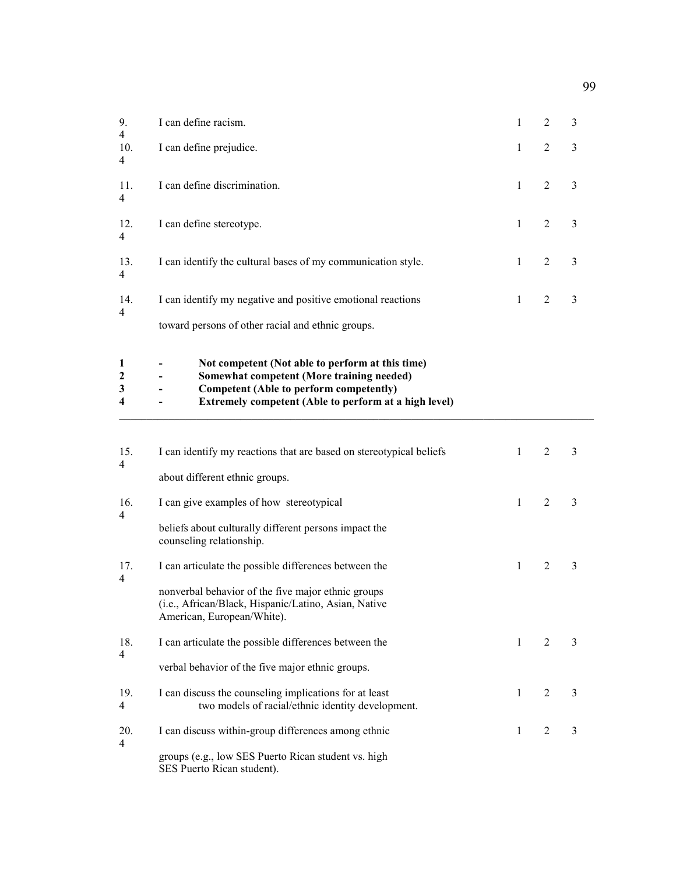| 9.                    | I can define racism.                                                                                                                                                                              | 1            | 2              | 3              |
|-----------------------|---------------------------------------------------------------------------------------------------------------------------------------------------------------------------------------------------|--------------|----------------|----------------|
| 4<br>10.<br>4         | I can define prejudice.                                                                                                                                                                           | $\mathbf{1}$ | $\overline{2}$ | 3              |
| 11.<br>$\overline{4}$ | I can define discrimination.                                                                                                                                                                      | 1            | $\overline{2}$ | 3              |
| 12.<br>4              | I can define stereotype.                                                                                                                                                                          | 1            | 2              | 3              |
| 13.<br>4              | I can identify the cultural bases of my communication style.                                                                                                                                      | 1            | 2              | 3              |
| 14.<br>4              | I can identify my negative and positive emotional reactions                                                                                                                                       | 1            | 2              | 3              |
|                       | toward persons of other racial and ethnic groups.                                                                                                                                                 |              |                |                |
| 1<br>2<br>3<br>4      | Not competent (Not able to perform at this time)<br>Somewhat competent (More training needed)<br>Competent (Able to perform competently)<br>Extremely competent (Able to perform at a high level) |              |                |                |
| 15.<br>4              | I can identify my reactions that are based on stereotypical beliefs<br>about different ethnic groups.                                                                                             | $\mathbf{1}$ | $\overline{2}$ | 3              |
| 16.                   | I can give examples of how stereotypical                                                                                                                                                          | $\mathbf{1}$ | $\overline{2}$ | $\overline{3}$ |
| 4                     | beliefs about culturally different persons impact the<br>counseling relationship.                                                                                                                 |              |                |                |
| 17.<br>$\overline{4}$ | I can articulate the possible differences between the                                                                                                                                             | 1            | 2              | 3              |
|                       | nonverbal behavior of the five major ethnic groups<br>(i.e., African/Black, Hispanic/Latino, Asian, Native<br>American, European/White).                                                          |              |                |                |
| 18.<br>$\overline{4}$ | I can articulate the possible differences between the                                                                                                                                             | 1            | 2              | 3              |
|                       | verbal behavior of the five major ethnic groups.                                                                                                                                                  |              |                |                |
| 19.<br>4              | I can discuss the counseling implications for at least<br>two models of racial/ethnic identity development.                                                                                       | 1            | 2              | 3              |
| 20.<br>$\overline{4}$ | I can discuss within-group differences among ethnic                                                                                                                                               | 1            | 2              | 3              |
|                       | groups (e.g., low SES Puerto Rican student vs. high<br>SES Puerto Rican student).                                                                                                                 |              |                |                |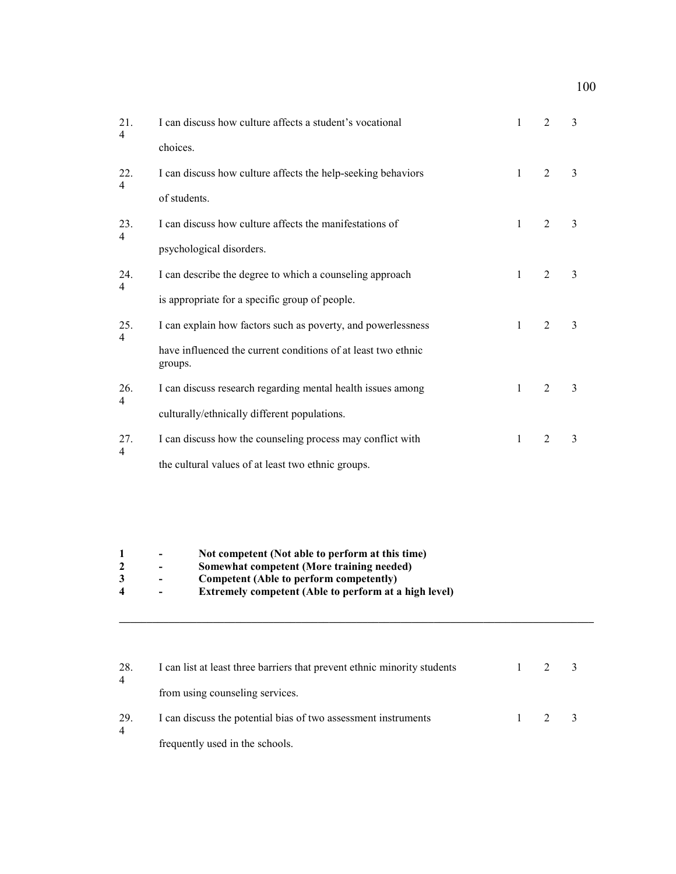100

| 21.<br>$\overline{4}$  | I can discuss how culture affects a student's vocational                                                                                 | 1            | $\overline{2}$ | 3              |  |  |
|------------------------|------------------------------------------------------------------------------------------------------------------------------------------|--------------|----------------|----------------|--|--|
|                        | choices.                                                                                                                                 |              |                |                |  |  |
| 22.<br>4               | I can discuss how culture affects the help-seeking behaviors                                                                             | $\mathbf{1}$ | $\overline{2}$ | 3              |  |  |
|                        | of students.                                                                                                                             |              |                |                |  |  |
| 23.<br>4               | I can discuss how culture affects the manifestations of                                                                                  | 1            | $\overline{2}$ | 3              |  |  |
|                        | psychological disorders.                                                                                                                 |              |                |                |  |  |
| 24.                    | I can describe the degree to which a counseling approach                                                                                 | $\mathbf{1}$ | 2              | 3              |  |  |
| 4                      | is appropriate for a specific group of people.                                                                                           |              |                |                |  |  |
| 25.                    | I can explain how factors such as poverty, and powerlessness                                                                             | $\mathbf{1}$ | $\overline{2}$ | $\overline{3}$ |  |  |
| 4                      | have influenced the current conditions of at least two ethnic<br>groups.                                                                 |              |                |                |  |  |
| 26.<br>4               | I can discuss research regarding mental health issues among                                                                              | $\mathbf{1}$ | $\overline{2}$ | 3              |  |  |
|                        | culturally/ethnically different populations.                                                                                             |              |                |                |  |  |
| 27.<br>$\overline{4}$  | I can discuss how the counseling process may conflict with                                                                               | 1            | $\overline{2}$ | 3              |  |  |
|                        | the cultural values of at least two ethnic groups.                                                                                       |              |                |                |  |  |
|                        |                                                                                                                                          |              |                |                |  |  |
|                        |                                                                                                                                          |              |                |                |  |  |
| 1<br>$\mathbf{2}$<br>3 | Not competent (Not able to perform at this time)<br>Somewhat competent (More training needed)<br>Competent (Able to perform competently) |              |                |                |  |  |
| 4                      | Extremely competent (Able to perform at a high level)                                                                                    |              |                |                |  |  |

| 28.<br>$\overline{4}$ | I can list at least three barriers that prevent ethnic minority students |               |  |
|-----------------------|--------------------------------------------------------------------------|---------------|--|
|                       | from using counseling services.                                          |               |  |
| 29.<br>4              | I can discuss the potential bias of two assessment instruments           | $\mathcal{D}$ |  |
|                       | frequently used in the schools.                                          |               |  |

**\_\_\_\_\_\_\_\_\_\_\_\_\_\_\_\_\_\_\_\_\_\_\_\_\_\_\_\_\_\_\_\_\_\_\_\_\_\_\_\_\_\_\_\_\_\_\_\_\_\_\_\_\_\_\_\_\_\_\_\_\_\_\_\_\_\_\_\_\_\_\_\_\_\_\_\_\_\_\_\_\_\_\_\_\_\_**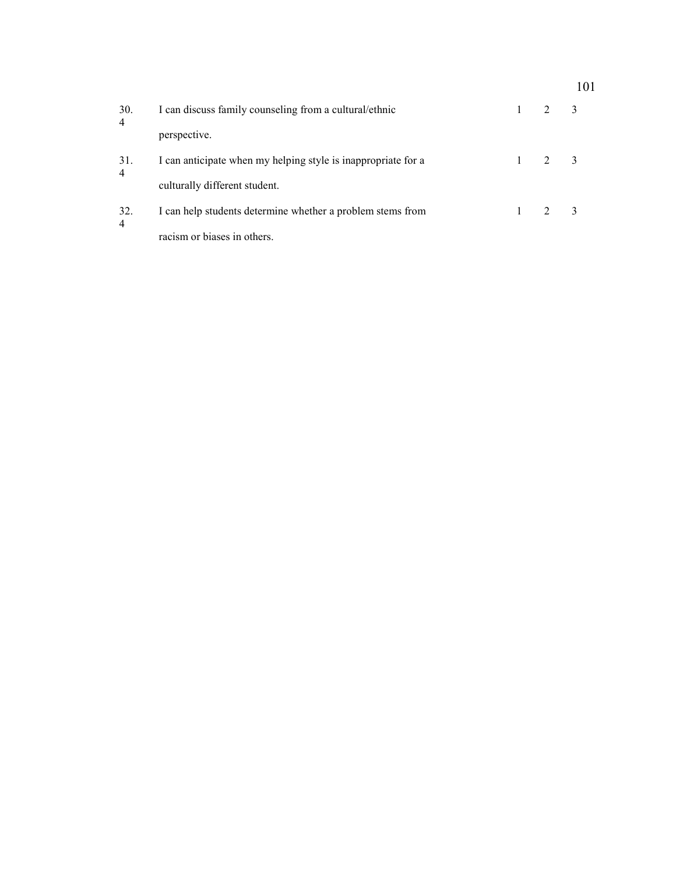|                       |                                                               |                             | 101 |
|-----------------------|---------------------------------------------------------------|-----------------------------|-----|
| 30.<br>$\overline{4}$ | I can discuss family counseling from a cultural/ethnic        | $\mathcal{D}_{\mathcal{L}}$ |     |
|                       | perspective.                                                  |                             |     |
| 31.<br>$\overline{4}$ | I can anticipate when my helping style is inappropriate for a | 2                           |     |
|                       | culturally different student.                                 |                             |     |
| 32.                   | I can help students determine whether a problem stems from    |                             |     |
| 4                     | racism or biases in others.                                   |                             |     |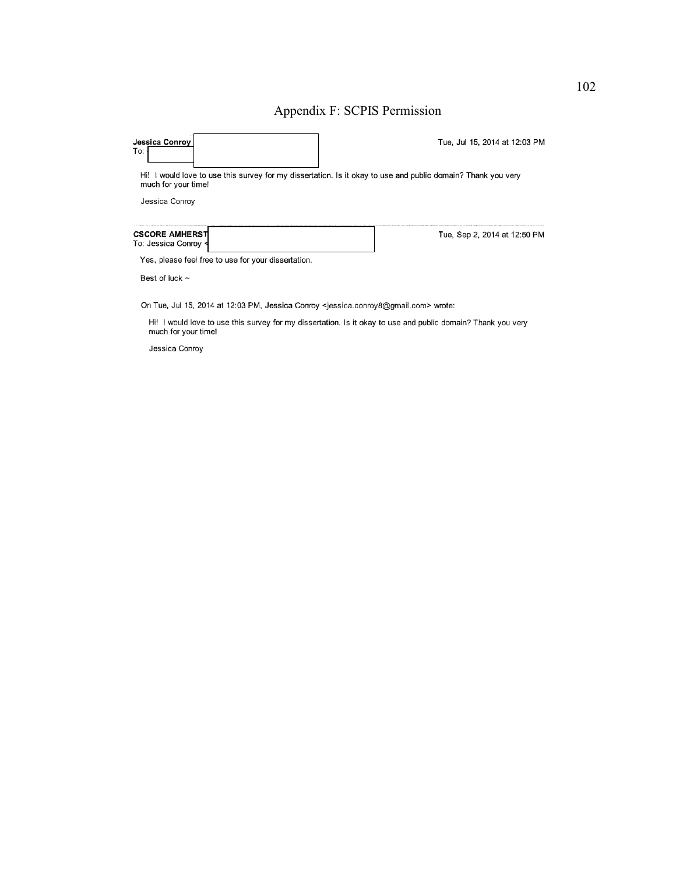## Appendix F: SCPIS Permission

| Jessica Conrov<br>To:                               | Tue, Jul 15, 2014 at 12:03 PM                                                                                |
|-----------------------------------------------------|--------------------------------------------------------------------------------------------------------------|
| much for your time!                                 | Hi! I would love to use this survey for my dissertation. Is it okay to use and public domain? Thank you very |
| Jessica Conroy                                      |                                                                                                              |
| <b>CSCORE AMHERST</b><br>To: Jessica Conroy <       | Tue, Sep 2, 2014 at 12:50 PM                                                                                 |
|                                                     |                                                                                                              |
| Yes, please feel free to use for your dissertation. |                                                                                                              |
| Best of luck $\sim$                                 |                                                                                                              |

Hi! I would love to use this survey for my dissertation. Is it okay to use and public domain? Thank you very much for your time!

Jessica Conroy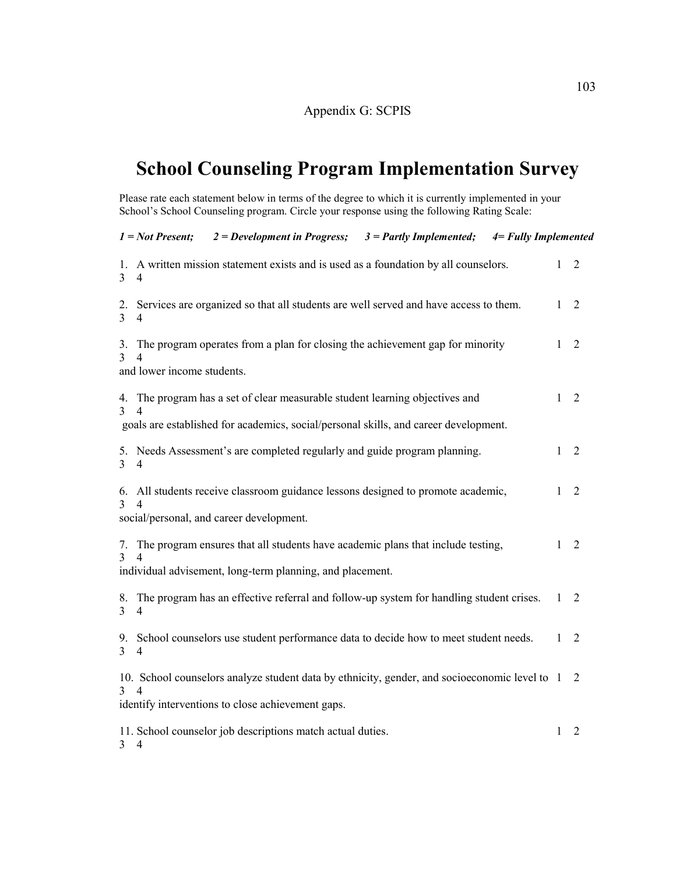# **School Counseling Program Implementation Survey**

Please rate each statement below in terms of the degree to which it is currently implemented in your School's School Counseling program. Circle your response using the following Rating Scale:

|                      | 2 = Development in Progress; $3 =$ Partly Implemented; $4 =$ Fully Implemented<br>$1 = Not$ Present;                      |   |                |
|----------------------|---------------------------------------------------------------------------------------------------------------------------|---|----------------|
| 1.<br>3              | A written mission statement exists and is used as a foundation by all counselors.<br>4                                    | 1 | 2              |
| 2.<br>$\overline{3}$ | Services are organized so that all students are well served and have access to them.<br>$\overline{4}$                    | 1 | 2              |
| 3.<br>3              | The program operates from a plan for closing the achievement gap for minority<br>4<br>and lower income students.          | 1 | 2              |
| 4.<br>3              | The program has a set of clear measurable student learning objectives and<br>$\overline{\mathcal{A}}$                     | 1 | 2              |
|                      | goals are established for academics, social/personal skills, and career development.                                      |   |                |
| 5.<br>$\overline{3}$ | Needs Assessment's are completed regularly and guide program planning.<br>4                                               | 1 | $\overline{2}$ |
| 6.                   | All students receive classroom guidance lessons designed to promote academic,                                             | 1 | 2              |
|                      | social/personal, and career development.                                                                                  |   |                |
| $\mathcal{F}$        | 7. The program ensures that all students have academic plans that include testing,                                        | 1 | 2              |
|                      | individual advisement, long-term planning, and placement.                                                                 |   |                |
| 8.<br>$\overline{3}$ | The program has an effective referral and follow-up system for handling student crises.<br>$\overline{4}$                 | 1 | 2              |
| 9.<br>3              | School counselors use student performance data to decide how to meet student needs.<br>4                                  | 1 | 2              |
| $\mathcal{E}$        | 10. School counselors analyze student data by ethnicity, gender, and socioeconomic level to 1<br>$\boldsymbol{\varDelta}$ |   | 2              |
|                      | identify interventions to close achievement gaps.                                                                         |   |                |
| 3                    | 11. School counselor job descriptions match actual duties.<br>4                                                           | 1 | 2              |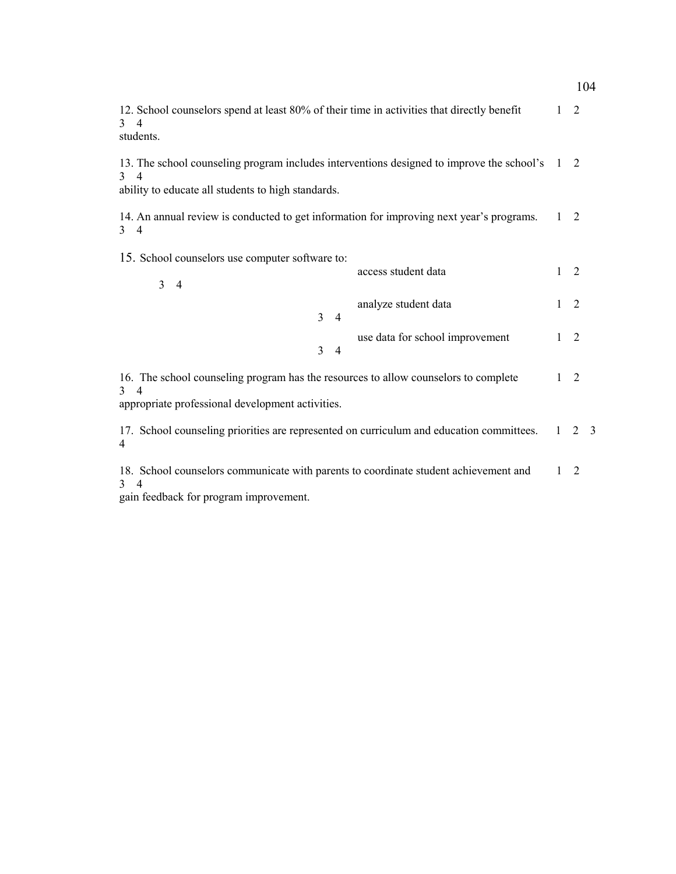|                                                                                                                                                                                      |              |   | 104            |
|--------------------------------------------------------------------------------------------------------------------------------------------------------------------------------------|--------------|---|----------------|
| 12. School counselors spend at least 80% of their time in activities that directly benefit<br>$3 \quad 4$<br>students.                                                               | $\mathbf{1}$ | 2 |                |
| 13. The school counseling program includes interventions designed to improve the school's<br>$3 \quad 4$<br>ability to educate all students to high standards.                       | 1 2          |   |                |
| 14. An annual review is conducted to get information for improving next year's programs.<br>4<br>3                                                                                   | $\mathbf{1}$ | 2 |                |
| 15. School counselors use computer software to:<br>access student data<br>$\overline{3}$<br>$\overline{4}$                                                                           | 1            | 2 |                |
| analyze student data<br>$\overline{3}$<br>$\overline{4}$                                                                                                                             | 1            | 2 |                |
| use data for school improvement<br>$\mathcal{E}$<br>$\overline{4}$                                                                                                                   | 1            | 2 |                |
| 16. The school counseling program has the resources to allow counselors to complete<br>$\mathcal{R}$<br>$\overline{\mathcal{A}}$<br>appropriate professional development activities. | 1            | 2 |                |
| 17. School counseling priorities are represented on curriculum and education committees.<br>4                                                                                        | $\mathbf{1}$ | 2 | $\overline{3}$ |
| 18. School counselors communicate with parents to coordinate student achievement and<br>3<br>$\overline{4}$                                                                          | 1            | 2 |                |

gain feedback for program improvement.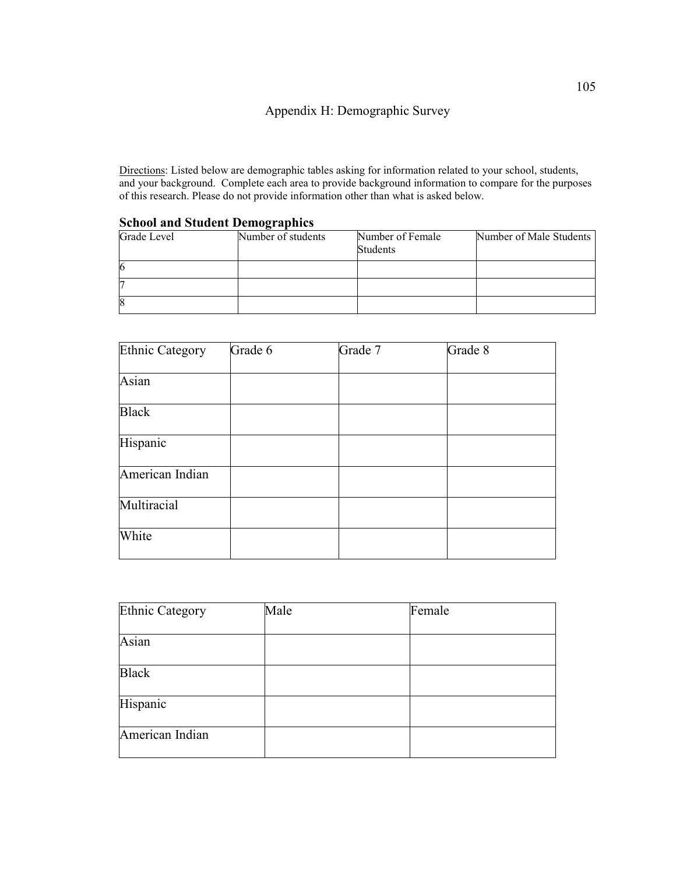Directions: Listed below are demographic tables asking for information related to your school, students, and your background. Complete each area to provide background information to compare for the purposes of this research. Please do not provide information other than what is asked below.

| $\beta$ chool and $\beta$ tudent Deniographies |                    |                  |                         |  |  |  |  |  |
|------------------------------------------------|--------------------|------------------|-------------------------|--|--|--|--|--|
| Grade Level                                    | Number of students | Number of Female | Number of Male Students |  |  |  |  |  |
|                                                |                    | <b>Students</b>  |                         |  |  |  |  |  |
| 6                                              |                    |                  |                         |  |  |  |  |  |
|                                                |                    |                  |                         |  |  |  |  |  |
| 8                                              |                    |                  |                         |  |  |  |  |  |

#### **School and Student Demographics**

| <b>Ethnic Category</b> | Grade 6 | Grade 7 | Grade 8 |
|------------------------|---------|---------|---------|
| Asian                  |         |         |         |
| <b>Black</b>           |         |         |         |
| Hispanic               |         |         |         |
| American Indian        |         |         |         |
| Multiracial            |         |         |         |
| White                  |         |         |         |

| Ethnic Category | Male | Female |
|-----------------|------|--------|
|                 |      |        |
| Asian           |      |        |
|                 |      |        |
| <b>Black</b>    |      |        |
| Hispanic        |      |        |
| American Indian |      |        |